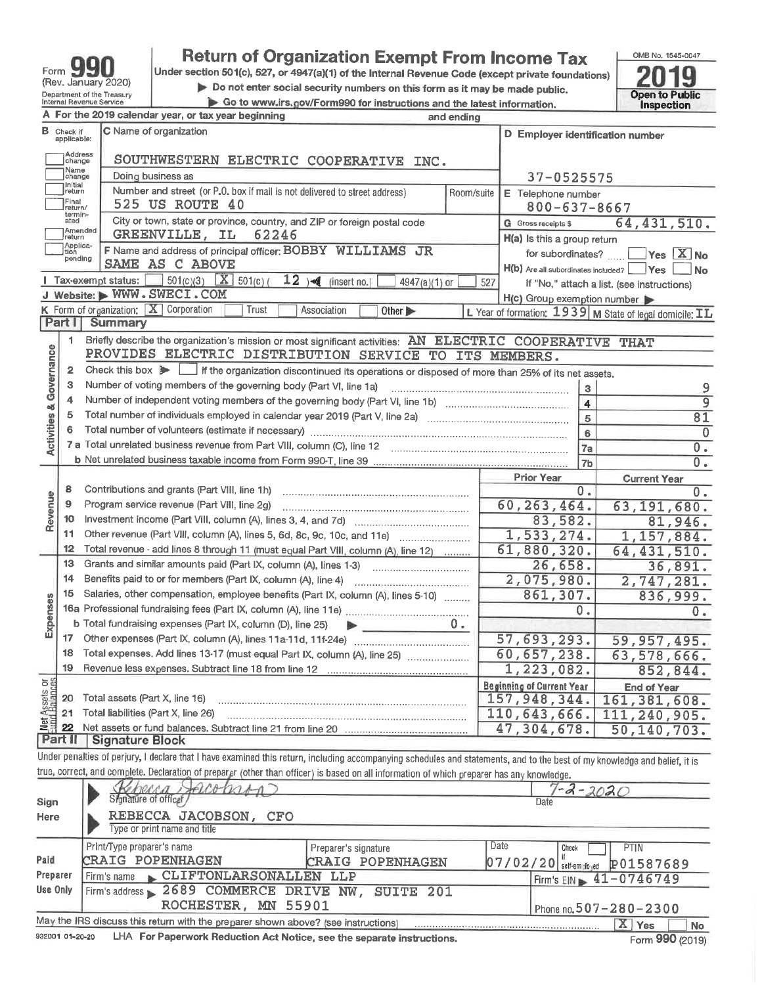| Form                                                   |
|--------------------------------------------------------|
| (Rev. January 2020)                                    |
| Department of the Treasury<br>Internal Revenue Service |

# **Return of Organization Exempt From Income Tax**<br>Under section 501(c), 527, or 4947(a)(1) of the Internal Revenue Code (except private foundations)

Do not enter social security numbers on this form as it may be made public.

Go to www.irs.gov/Form990 for instructions and the latest information.

OMB No. 1545-0047 2019 Open to Public<br>Inspection

|                         |                           | A For the 2019 calendar year, or tax year beginning                                                                                                                        | and ending                  |                                                    |                                                         |  |  |  |  |
|-------------------------|---------------------------|----------------------------------------------------------------------------------------------------------------------------------------------------------------------------|-----------------------------|----------------------------------------------------|---------------------------------------------------------|--|--|--|--|
| в                       | Check if<br>applicable:   | C Name of organization<br>D Employer identification number                                                                                                                 |                             |                                                    |                                                         |  |  |  |  |
|                         | Address<br>change<br>Name | SOUTHWESTERN ELECTRIC COOPERATIVE INC.                                                                                                                                     |                             |                                                    |                                                         |  |  |  |  |
|                         | change<br>Initial         | Doing business as                                                                                                                                                          |                             | 37-0525575                                         |                                                         |  |  |  |  |
|                         | return                    | Number and street (or P.O. box if mail is not delivered to street address)                                                                                                 | Room/suite                  | E Telephone number                                 |                                                         |  |  |  |  |
|                         | Final<br>return/          | 525 US ROUTE 40                                                                                                                                                            |                             | $800 - 637 - 8667$                                 |                                                         |  |  |  |  |
|                         | termin-<br>ated           | City or town, state or province, country, and ZIP or foreign postal code                                                                                                   |                             | G Gross receipts \$                                | 64, 431, 510.                                           |  |  |  |  |
|                         | Amended<br>return         | GREENVILLE, IL<br>62246                                                                                                                                                    | H(a) Is this a group return |                                                    |                                                         |  |  |  |  |
|                         | Applica-<br>tion          | F Name and address of principal officer: BOBBY WILLIAMS JR                                                                                                                 |                             | for subordinates? $Yes \overline{X}$ No            |                                                         |  |  |  |  |
|                         | pending                   | SAME AS C ABOVE                                                                                                                                                            |                             | $H(b)$ Are all subordinates included? $\Box$ Yes   | $\blacksquare$ No                                       |  |  |  |  |
|                         |                           | $501(c)(3)$ $X$ $501(c)$ (<br>12 ) $\triangleleft$ (insert no.)<br>Tax-exempt status:<br>4947(a)(1) or                                                                     | 527                         |                                                    | If "No," attach a list. (see instructions)              |  |  |  |  |
|                         |                           | J Website: WWW.SWECI.COM                                                                                                                                                   |                             | $H(c)$ Group exemption number                      |                                                         |  |  |  |  |
|                         |                           | K Form of organization: $X$ Corporation<br>Trust<br>Association<br>Other $\blacktriangleright$                                                                             |                             |                                                    | L Year of formation: 1939 M State of legal domicile: IL |  |  |  |  |
|                         | Part I                    | <b>Summary</b>                                                                                                                                                             |                             |                                                    |                                                         |  |  |  |  |
|                         | 1                         | Briefly describe the organization's mission or most significant activities: AN ELECTRIC COOPERATIVE THAT                                                                   |                             |                                                    |                                                         |  |  |  |  |
|                         |                           | PROVIDES ELECTRIC DISTRIBUTION SERVICE TO ITS MEMBERS.                                                                                                                     |                             |                                                    |                                                         |  |  |  |  |
|                         | 2                         | Check this box $\blacktriangleright$ $\Box$ if the organization discontinued its operations or disposed of more than 25% of its net assets.                                |                             |                                                    |                                                         |  |  |  |  |
| Governance              | 3                         | Number of voting members of the governing body (Part VI, line 1a)                                                                                                          |                             | $\mathbf{3}$                                       | 9                                                       |  |  |  |  |
|                         | 4                         |                                                                                                                                                                            |                             | $\overline{4}$                                     | $\overline{9}$                                          |  |  |  |  |
|                         | 5                         |                                                                                                                                                                            |                             | $\overline{5}$                                     | 81                                                      |  |  |  |  |
| <b>Activities &amp;</b> | 6                         |                                                                                                                                                                            |                             | 6                                                  | $\overline{0}$                                          |  |  |  |  |
|                         |                           |                                                                                                                                                                            |                             | 7a                                                 | $0 -$                                                   |  |  |  |  |
|                         |                           |                                                                                                                                                                            |                             | 7 <sub>b</sub>                                     | 0.                                                      |  |  |  |  |
|                         |                           |                                                                                                                                                                            |                             | <b>Prior Year</b>                                  |                                                         |  |  |  |  |
|                         | 8                         | Contributions and grants (Part VIII, line 1h)                                                                                                                              |                             | 0.                                                 | <b>Current Year</b><br>0.                               |  |  |  |  |
| Revenue                 | 9                         | Program service revenue (Part VIII, line 2g)                                                                                                                               |                             | 60, 263, 464.                                      | 63, 191, 680.                                           |  |  |  |  |
|                         | 10                        |                                                                                                                                                                            |                             | 83,582.                                            | 81,946.                                                 |  |  |  |  |
|                         | 11                        | Other revenue (Part VIII, column (A), lines 5, 6d, 8c, 9c, 10c, and 11e)                                                                                                   |                             | 1,533,274.                                         | 1,157,884.                                              |  |  |  |  |
|                         | 12                        | Total revenue - add lines 8 through 11 (must equal Part VIII, column (A), line 12)                                                                                         |                             | 61,880,320.                                        | 64, 431, 510.                                           |  |  |  |  |
|                         | 13                        | Grants and similar amounts paid (Part IX, column (A), lines 1-3)                                                                                                           |                             | 26,658.                                            |                                                         |  |  |  |  |
|                         | 14                        |                                                                                                                                                                            |                             | 2,075,980.                                         | 36,891.<br>2,747,281.                                   |  |  |  |  |
|                         | 15                        | Salaries, other compensation, employee benefits (Part IX, column (A), lines 5-10)                                                                                          |                             | 861,307.                                           |                                                         |  |  |  |  |
|                         |                           |                                                                                                                                                                            |                             | 0.                                                 | 836,999.                                                |  |  |  |  |
| Expenses                |                           | <b>b</b> Total fundraising expenses (Part IX, column (D), line 25)                                                                                                         | U.,                         |                                                    | 0.                                                      |  |  |  |  |
|                         | 17                        |                                                                                                                                                                            |                             | 57, 693, 293.                                      | 59,957,495.                                             |  |  |  |  |
|                         | 18                        | Total expenses. Add lines 13-17 (must equal Part IX, column (A), line 25)                                                                                                  |                             | 60,657,238.                                        |                                                         |  |  |  |  |
|                         | 19                        | Revenue less expenses. Subtract line 18 from line 12                                                                                                                       |                             | 1,223,082.                                         | 63,578,666.                                             |  |  |  |  |
|                         |                           |                                                                                                                                                                            |                             |                                                    | 852,844.                                                |  |  |  |  |
| Net Assets or           | 20                        | Total assets (Part X, line 16)                                                                                                                                             |                             | <b>Beginning of Current Year</b><br>157, 948, 344. | <b>End of Year</b>                                      |  |  |  |  |
|                         | 21                        | Total liabilities (Part X, line 26)                                                                                                                                        |                             |                                                    | 161, 381, 608.                                          |  |  |  |  |
|                         | 22                        |                                                                                                                                                                            |                             | 110,643,666.                                       | 111,240,905.                                            |  |  |  |  |
|                         | Part II                   | <b>Signature Block</b>                                                                                                                                                     |                             | 47,304,678.                                        | 50,140,703.                                             |  |  |  |  |
|                         |                           | Under penalties of perjury, I declare that I have examined this return, including accompanying schedules and statements, and to the best of my knowledge and belief, it is |                             |                                                    |                                                         |  |  |  |  |
|                         |                           |                                                                                                                                                                            |                             |                                                    |                                                         |  |  |  |  |
|                         |                           | true, correct, and com <u>pl</u> ete. Declaration of preparer (other than officer) is based on all information of which preparer has any knowledge.                        |                             |                                                    |                                                         |  |  |  |  |
|                         |                           | nops<br>Signature of officer                                                                                                                                               |                             | $-2 - 2020$<br>Date                                |                                                         |  |  |  |  |
| Sign                    |                           | REBECCA JACOBSON, CFO                                                                                                                                                      |                             |                                                    |                                                         |  |  |  |  |
| Here                    |                           | Type or print name and title                                                                                                                                               |                             |                                                    |                                                         |  |  |  |  |
|                         |                           |                                                                                                                                                                            |                             |                                                    |                                                         |  |  |  |  |

|                                                                                                | Print/Type preparer's name                                                                                         | Preparer's signature    | Date                           | PTIN<br>Check                        |  |  |  |  |  |
|------------------------------------------------------------------------------------------------|--------------------------------------------------------------------------------------------------------------------|-------------------------|--------------------------------|--------------------------------------|--|--|--|--|--|
| Paid                                                                                           | <b>CRAIG POPENHAGEN</b>                                                                                            | <b>CRAIG POPENHAGEN</b> |                                | $07/02/20$ self-employed $P01587689$ |  |  |  |  |  |
| Preparer                                                                                       | Firm's name CLIFTONLARSONALLEN LLP                                                                                 |                         | Firm's EIN $\geq 41 - 0746749$ |                                      |  |  |  |  |  |
| Use Only                                                                                       | Firm's address 2689 COMMERCE DRIVE NW, SUITE 201                                                                   |                         |                                |                                      |  |  |  |  |  |
|                                                                                                | ROCHESTER. MN 55901<br>Phone no. $507 - 280 - 2300$                                                                |                         |                                |                                      |  |  |  |  |  |
| May the IRS discuss this return with the preparer shown above? (see instructions)<br>Yes<br>No |                                                                                                                    |                         |                                |                                      |  |  |  |  |  |
|                                                                                                | <b>I HA For Panerwork Reduction Act Notice see the congrate instructions</b><br>932001 01-20-20<br>$E = 000$ $m/s$ |                         |                                |                                      |  |  |  |  |  |

erwork Reduction Act Notice, see the separate instructions.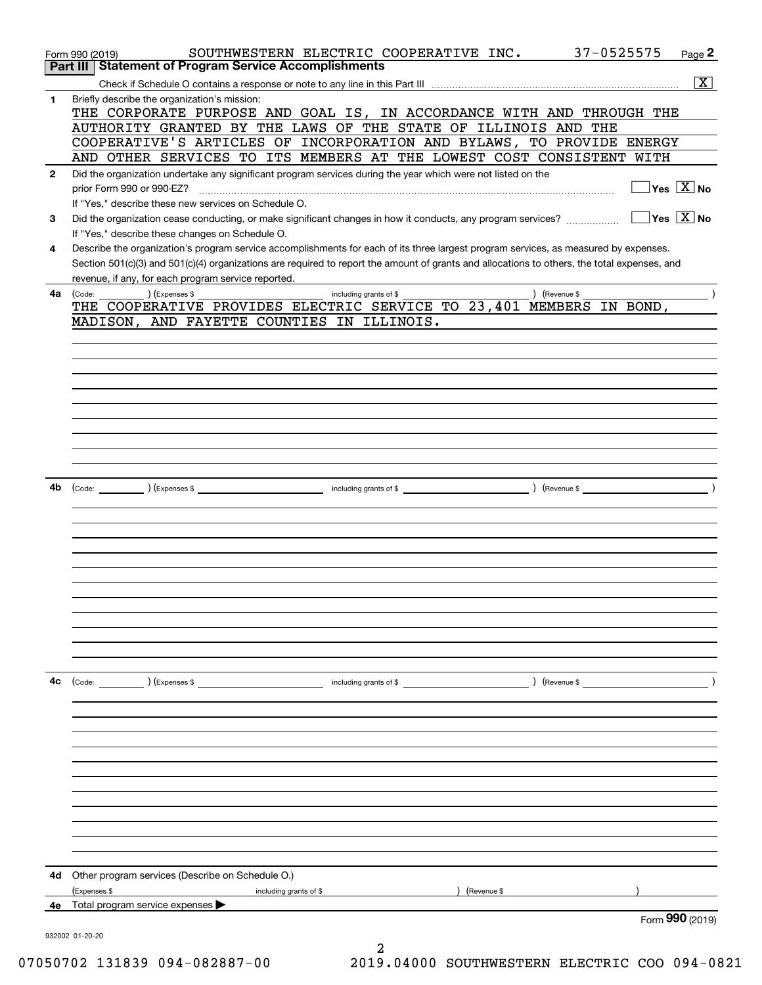|              | 37-0525575<br>SOUTHWESTERN ELECTRIC COOPERATIVE INC.<br>Page 2<br>Form 990 (2019)                                                                                                       |
|--------------|-----------------------------------------------------------------------------------------------------------------------------------------------------------------------------------------|
|              | Part III   Statement of Program Service Accomplishments                                                                                                                                 |
|              | $\overline{\mathbf{x}}$                                                                                                                                                                 |
| $\mathbf{1}$ | Briefly describe the organization's mission:                                                                                                                                            |
|              | THE CORPORATE PURPOSE AND GOAL IS, IN ACCORDANCE WITH AND THROUGH THE                                                                                                                   |
|              | AUTHORITY GRANTED BY THE LAWS OF THE STATE OF ILLINOIS AND THE                                                                                                                          |
|              | COOPERATIVE'S ARTICLES OF INCORPORATION AND BYLAWS, TO PROVIDE ENERGY                                                                                                                   |
|              | AND OTHER SERVICES TO ITS MEMBERS AT THE LOWEST COST CONSISTENT WITH                                                                                                                    |
| $\mathbf{2}$ | Did the organization undertake any significant program services during the year which were not listed on the                                                                            |
|              | $\sqrt{\mathsf{Yes}\ \boxed{\mathrm{X}}}$ No<br>prior Form 990 or 990-EZ?                                                                                                               |
|              | If "Yes," describe these new services on Schedule O.<br>$\sqrt{}$ Yes $\sqrt{}$ X $\sqrt{}$ No                                                                                          |
| 3            | Did the organization cease conducting, or make significant changes in how it conducts, any program services?                                                                            |
|              | If "Yes," describe these changes on Schedule O.<br>Describe the organization's program service accomplishments for each of its three largest program services, as measured by expenses. |
| 4            | Section 501(c)(3) and 501(c)(4) organizations are required to report the amount of grants and allocations to others, the total expenses, and                                            |
|              | revenue, if any, for each program service reported.                                                                                                                                     |
| 4a           | $\left($ Revenue \$<br>including grants of \$                                                                                                                                           |
|              | THE COOPERATIVE PROVIDES ELECTRIC SERVICE TO 23,401 MEMBERS IN BOND,                                                                                                                    |
|              | MADISON, AND FAYETTE COUNTIES IN ILLINOIS.                                                                                                                                              |
|              |                                                                                                                                                                                         |
|              |                                                                                                                                                                                         |
|              |                                                                                                                                                                                         |
|              |                                                                                                                                                                                         |
|              |                                                                                                                                                                                         |
|              |                                                                                                                                                                                         |
|              |                                                                                                                                                                                         |
|              |                                                                                                                                                                                         |
|              |                                                                                                                                                                                         |
|              |                                                                                                                                                                                         |
| 4b           |                                                                                                                                                                                         |
|              |                                                                                                                                                                                         |
|              |                                                                                                                                                                                         |
|              |                                                                                                                                                                                         |
|              |                                                                                                                                                                                         |
|              |                                                                                                                                                                                         |
|              |                                                                                                                                                                                         |
|              |                                                                                                                                                                                         |
|              |                                                                                                                                                                                         |
|              |                                                                                                                                                                                         |
|              |                                                                                                                                                                                         |
|              |                                                                                                                                                                                         |
|              |                                                                                                                                                                                         |
| 4c           |                                                                                                                                                                                         |
|              |                                                                                                                                                                                         |
|              |                                                                                                                                                                                         |
|              |                                                                                                                                                                                         |
|              |                                                                                                                                                                                         |
|              |                                                                                                                                                                                         |
|              |                                                                                                                                                                                         |
|              |                                                                                                                                                                                         |
|              |                                                                                                                                                                                         |
|              |                                                                                                                                                                                         |
|              |                                                                                                                                                                                         |
|              |                                                                                                                                                                                         |
|              |                                                                                                                                                                                         |
|              | 4d Other program services (Describe on Schedule O.)                                                                                                                                     |
|              | Expenses \$<br>) (Revenue \$<br>including grants of \$                                                                                                                                  |
|              | 4e Total program service expenses<br>Form 990 (2019)                                                                                                                                    |
|              |                                                                                                                                                                                         |
|              | 932002 01-20-20                                                                                                                                                                         |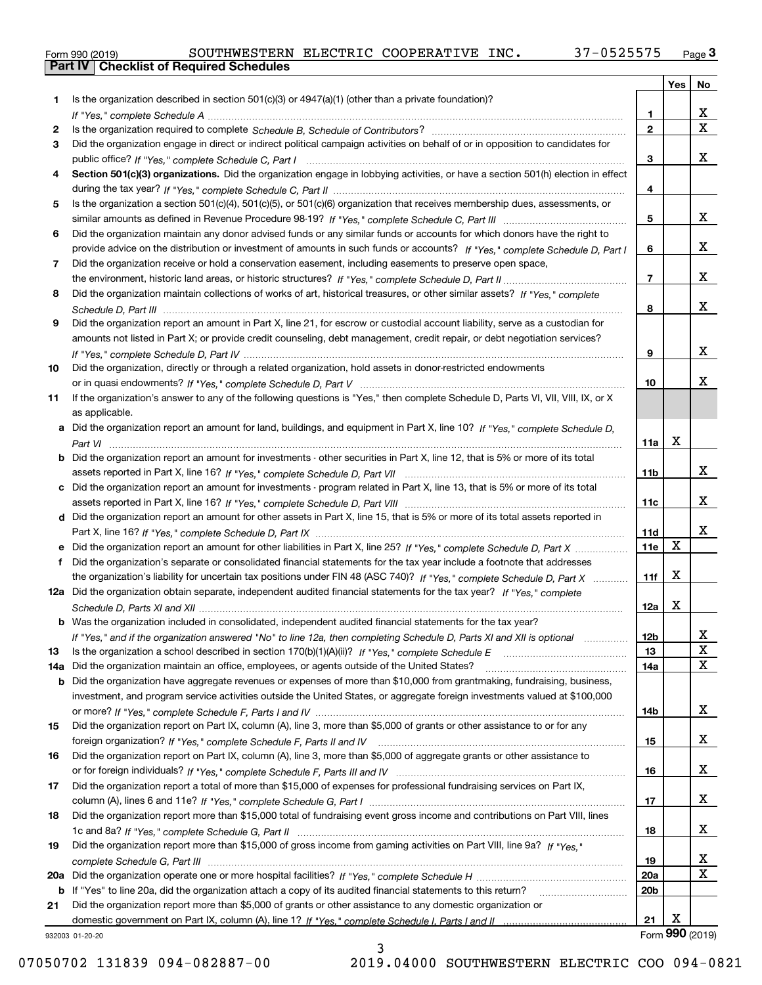|  | Form 990 (2019) |  |
|--|-----------------|--|

|     |                                                                                                                                       |                 | Yes | No                      |
|-----|---------------------------------------------------------------------------------------------------------------------------------------|-----------------|-----|-------------------------|
| 1.  | Is the organization described in section $501(c)(3)$ or $4947(a)(1)$ (other than a private foundation)?                               |                 |     |                         |
|     |                                                                                                                                       | 1               |     | х                       |
| 2   |                                                                                                                                       | $\overline{2}$  |     | $\overline{\mathbf{X}}$ |
| 3   | Did the organization engage in direct or indirect political campaign activities on behalf of or in opposition to candidates for       |                 |     |                         |
|     |                                                                                                                                       | 3               |     | X                       |
| 4   | Section 501(c)(3) organizations. Did the organization engage in lobbying activities, or have a section 501(h) election in effect      |                 |     |                         |
|     |                                                                                                                                       | 4               |     |                         |
| 5   | Is the organization a section 501(c)(4), 501(c)(5), or 501(c)(6) organization that receives membership dues, assessments, or          |                 |     |                         |
|     |                                                                                                                                       | 5               |     | x                       |
| 6   | Did the organization maintain any donor advised funds or any similar funds or accounts for which donors have the right to             |                 |     |                         |
|     | provide advice on the distribution or investment of amounts in such funds or accounts? If "Yes," complete Schedule D, Part I          | 6               |     | X                       |
| 7   | Did the organization receive or hold a conservation easement, including easements to preserve open space,                             |                 |     |                         |
|     |                                                                                                                                       | $\overline{7}$  |     | X                       |
| 8   | Did the organization maintain collections of works of art, historical treasures, or other similar assets? If "Yes," complete          |                 |     |                         |
|     |                                                                                                                                       | 8               |     | X                       |
| 9   | Did the organization report an amount in Part X, line 21, for escrow or custodial account liability, serve as a custodian for         |                 |     |                         |
|     | amounts not listed in Part X; or provide credit counseling, debt management, credit repair, or debt negotiation services?             |                 |     | X                       |
|     |                                                                                                                                       | 9               |     |                         |
| 10  | Did the organization, directly or through a related organization, hold assets in donor-restricted endowments                          |                 |     | х                       |
|     |                                                                                                                                       | 10              |     |                         |
| 11  | If the organization's answer to any of the following questions is "Yes," then complete Schedule D, Parts VI, VII, VIII, IX, or X      |                 |     |                         |
|     | as applicable.                                                                                                                        |                 |     |                         |
| a   | Did the organization report an amount for land, buildings, and equipment in Part X, line 10? If "Yes." complete Schedule D.           | 11a             | X   |                         |
|     | <b>b</b> Did the organization report an amount for investments - other securities in Part X, line 12, that is 5% or more of its total |                 |     |                         |
|     |                                                                                                                                       | 11 <sub>b</sub> |     | X                       |
| c   | Did the organization report an amount for investments - program related in Part X, line 13, that is 5% or more of its total           |                 |     |                         |
|     |                                                                                                                                       | 11c             |     | х                       |
|     | d Did the organization report an amount for other assets in Part X, line 15, that is 5% or more of its total assets reported in       |                 |     |                         |
|     |                                                                                                                                       | 11d             |     | X                       |
|     | Did the organization report an amount for other liabilities in Part X, line 25? If "Yes," complete Schedule D, Part X                 | 11e             | X   |                         |
| f   | Did the organization's separate or consolidated financial statements for the tax year include a footnote that addresses               |                 |     |                         |
|     | the organization's liability for uncertain tax positions under FIN 48 (ASC 740)? If "Yes," complete Schedule D, Part X                | 11f             | X   |                         |
|     | 12a Did the organization obtain separate, independent audited financial statements for the tax year? If "Yes," complete               |                 |     |                         |
|     |                                                                                                                                       | 12a             | X   |                         |
|     | <b>b</b> Was the organization included in consolidated, independent audited financial statements for the tax year?                    |                 |     |                         |
|     | If "Yes," and if the organization answered "No" to line 12a, then completing Schedule D, Parts XI and XII is optional                 | <u>12b</u>      |     | 4                       |
| 13  |                                                                                                                                       | 13              |     | X                       |
| 14a | Did the organization maintain an office, employees, or agents outside of the United States?                                           | 14a             |     | X                       |
| b   | Did the organization have aggregate revenues or expenses of more than \$10,000 from grantmaking, fundraising, business,               |                 |     |                         |
|     | investment, and program service activities outside the United States, or aggregate foreign investments valued at \$100,000            |                 |     |                         |
|     |                                                                                                                                       | 14b             |     | X                       |
| 15  | Did the organization report on Part IX, column (A), line 3, more than \$5,000 of grants or other assistance to or for any             |                 |     |                         |
|     |                                                                                                                                       | 15              |     | X                       |
| 16  | Did the organization report on Part IX, column (A), line 3, more than \$5,000 of aggregate grants or other assistance to              |                 |     |                         |
|     |                                                                                                                                       | 16              |     | X                       |
| 17  | Did the organization report a total of more than \$15,000 of expenses for professional fundraising services on Part IX,               |                 |     |                         |
|     |                                                                                                                                       | 17              |     | X                       |
| 18  | Did the organization report more than \$15,000 total of fundraising event gross income and contributions on Part VIII, lines          |                 |     |                         |
|     |                                                                                                                                       | 18              |     | X                       |
| 19  | Did the organization report more than \$15,000 of gross income from gaming activities on Part VIII, line 9a? If "Yes."                |                 |     |                         |
|     |                                                                                                                                       | 19              |     | x                       |
|     |                                                                                                                                       | 20a             |     | $\mathbf X$             |
|     | <b>b</b> If "Yes" to line 20a, did the organization attach a copy of its audited financial statements to this return?                 | 20 <sub>b</sub> |     |                         |
| 21  | Did the organization report more than \$5,000 of grants or other assistance to any domestic organization or                           |                 |     |                         |
|     |                                                                                                                                       | 21              | X   |                         |
|     | 932003 01-20-20                                                                                                                       |                 |     | Form 990 (2019)         |

932003 01-20-20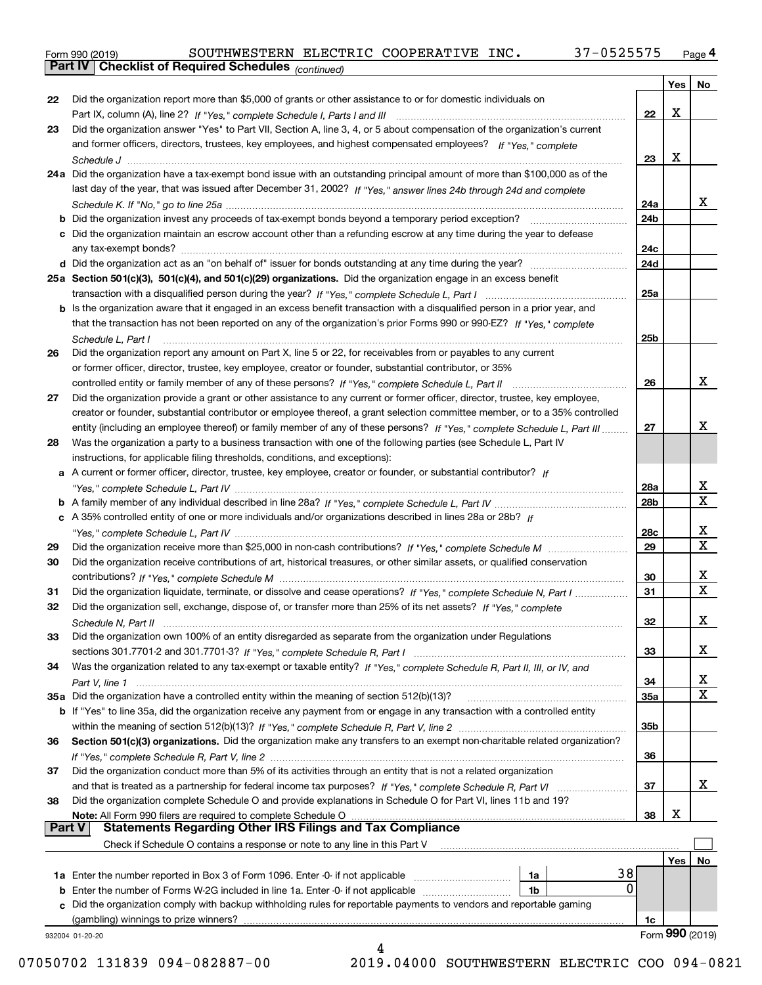Form 990 (2019) SOUTHWESTERN ELECTRIC COOPERATIVE INC**.** 37-0525575 <sub>Page</sub> 4<br>**Part IV | Checklist of Required Schedules** <sub>(continued)</sub>

*(continued)*

|               |                                                                                                                                       |                 | Yes | No               |
|---------------|---------------------------------------------------------------------------------------------------------------------------------------|-----------------|-----|------------------|
| 22            | Did the organization report more than \$5,000 of grants or other assistance to or for domestic individuals on                         |                 |     |                  |
|               |                                                                                                                                       | 22              | X   |                  |
| 23            | Did the organization answer "Yes" to Part VII, Section A, line 3, 4, or 5 about compensation of the organization's current            |                 |     |                  |
|               | and former officers, directors, trustees, key employees, and highest compensated employees? If "Yes," complete                        |                 |     |                  |
|               |                                                                                                                                       | 23              | X   |                  |
|               | 24a Did the organization have a tax-exempt bond issue with an outstanding principal amount of more than \$100,000 as of the           |                 |     |                  |
|               | last day of the year, that was issued after December 31, 2002? If "Yes," answer lines 24b through 24d and complete                    |                 |     |                  |
|               |                                                                                                                                       | 24a             |     | x                |
|               |                                                                                                                                       | 24 <sub>b</sub> |     |                  |
| c             | Did the organization maintain an escrow account other than a refunding escrow at any time during the year to defease                  |                 |     |                  |
|               |                                                                                                                                       | 24c             |     |                  |
|               |                                                                                                                                       | 24d             |     |                  |
|               | 25a Section 501(c)(3), 501(c)(4), and 501(c)(29) organizations. Did the organization engage in an excess benefit                      |                 |     |                  |
|               |                                                                                                                                       | 25a             |     |                  |
|               | b Is the organization aware that it engaged in an excess benefit transaction with a disqualified person in a prior year, and          |                 |     |                  |
|               | that the transaction has not been reported on any of the organization's prior Forms 990 or 990-EZ? If "Yes," complete                 |                 |     |                  |
|               |                                                                                                                                       |                 |     |                  |
|               | Schedule L, Part I<br>Did the organization report any amount on Part X, line 5 or 22, for receivables from or payables to any current | 25b             |     |                  |
| 26            |                                                                                                                                       |                 |     |                  |
|               | or former officer, director, trustee, key employee, creator or founder, substantial contributor, or 35%                               | 26              |     | x                |
|               | controlled entity or family member of any of these persons? If "Yes," complete Schedule L, Part II                                    |                 |     |                  |
| 27            | Did the organization provide a grant or other assistance to any current or former officer, director, trustee, key employee,           |                 |     |                  |
|               | creator or founder, substantial contributor or employee thereof, a grant selection committee member, or to a 35% controlled           |                 |     | x                |
|               | entity (including an employee thereof) or family member of any of these persons? If "Yes," complete Schedule L, Part III              | 27              |     |                  |
| 28            | Was the organization a party to a business transaction with one of the following parties (see Schedule L, Part IV                     |                 |     |                  |
|               | instructions, for applicable filing thresholds, conditions, and exceptions):                                                          |                 |     |                  |
| а             | A current or former officer, director, trustee, key employee, creator or founder, or substantial contributor? If                      |                 |     | X                |
|               |                                                                                                                                       | 28a             |     | $\mathbf x$      |
|               |                                                                                                                                       | 28 <sub>b</sub> |     |                  |
|               | c A 35% controlled entity of one or more individuals and/or organizations described in lines 28a or 28b? If                           |                 |     | х                |
|               |                                                                                                                                       | 28c             |     | $\mathbf X$      |
| 29            |                                                                                                                                       | 29              |     |                  |
| 30            | Did the organization receive contributions of art, historical treasures, or other similar assets, or qualified conservation           |                 |     |                  |
|               |                                                                                                                                       | 30              |     | x<br>$\mathbf x$ |
| 31            | Did the organization liquidate, terminate, or dissolve and cease operations? If "Yes," complete Schedule N, Part I                    | 31              |     |                  |
| 32            | Did the organization sell, exchange, dispose of, or transfer more than 25% of its net assets? If "Yes," complete                      |                 |     |                  |
|               |                                                                                                                                       | 32              |     | х                |
| 33            | Did the organization own 100% of an entity disregarded as separate from the organization under Regulations                            |                 |     |                  |
|               |                                                                                                                                       | 33              |     | х                |
| 34            | Was the organization related to any tax-exempt or taxable entity? If "Yes," complete Schedule R, Part II, III, or IV, and             |                 |     |                  |
|               |                                                                                                                                       | 34              |     | x                |
|               | 35a Did the organization have a controlled entity within the meaning of section 512(b)(13)?                                           | 35a             |     | $\mathbf X$      |
|               | b If "Yes" to line 35a, did the organization receive any payment from or engage in any transaction with a controlled entity           |                 |     |                  |
|               |                                                                                                                                       | 35b             |     |                  |
| 36            | Section 501(c)(3) organizations. Did the organization make any transfers to an exempt non-charitable related organization?            |                 |     |                  |
|               |                                                                                                                                       | 36              |     |                  |
| 37            | Did the organization conduct more than 5% of its activities through an entity that is not a related organization                      |                 |     |                  |
|               |                                                                                                                                       | 37              |     | х                |
| 38            | Did the organization complete Schedule O and provide explanations in Schedule O for Part VI, lines 11b and 19?                        |                 |     |                  |
|               | Note: All Form 990 filers are required to complete Schedule O                                                                         | 38              | х   |                  |
| <b>Part V</b> | <b>Statements Regarding Other IRS Filings and Tax Compliance</b>                                                                      |                 |     |                  |
|               | Check if Schedule O contains a response or note to any line in this Part V                                                            |                 |     |                  |
|               |                                                                                                                                       |                 | Yes | No               |
|               | 38<br>1a Enter the number reported in Box 3 of Form 1096. Enter -0- if not applicable<br>1a                                           |                 |     |                  |
| b             | 0<br>Enter the number of Forms W-2G included in line 1a. Enter -0- if not applicable<br>1b                                            |                 |     |                  |
| c             | Did the organization comply with backup withholding rules for reportable payments to vendors and reportable gaming                    |                 |     |                  |
|               | (gambling) winnings to prize winners?                                                                                                 | 1с              |     |                  |
|               | 932004 01-20-20<br>4                                                                                                                  |                 |     | Form 990 (2019)  |
|               |                                                                                                                                       |                 |     |                  |

07050702 131839 094-082887-00 2019.04000 SOUTHWESTERN ELECTRIC COO 094-0821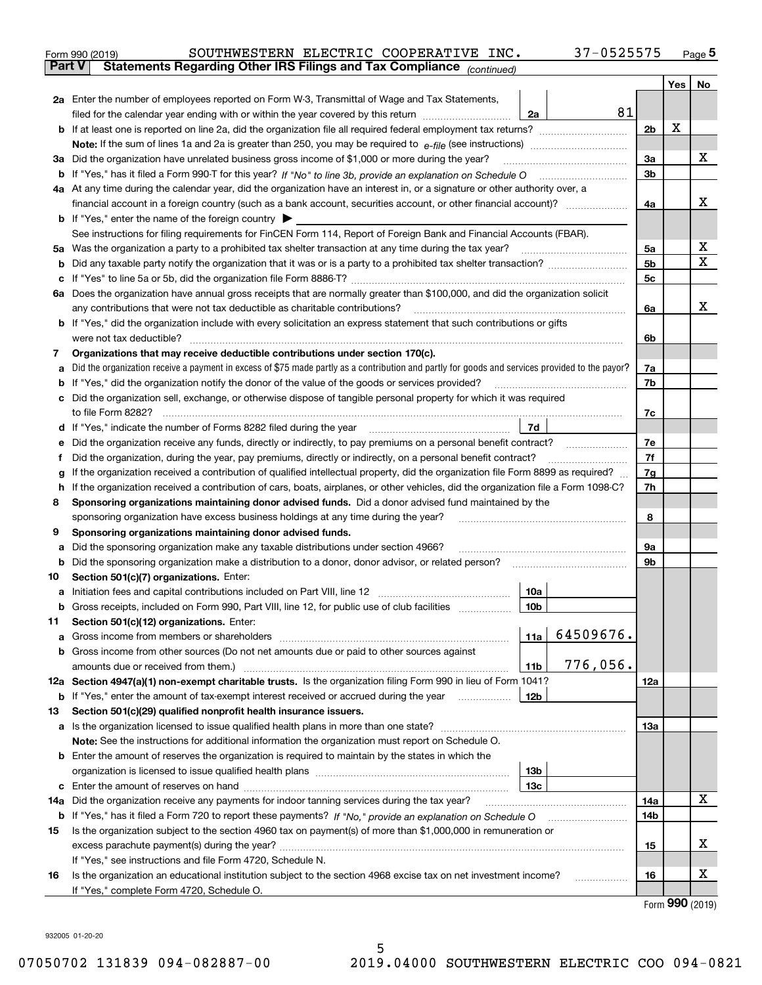|               | SOUTHWESTERN ELECTRIC COOPERATIVE INC.<br>37-0525575<br>Form 990 (2019)                                                                                                                                                                        |     |     | $_{\text{Page}}$ 5 |
|---------------|------------------------------------------------------------------------------------------------------------------------------------------------------------------------------------------------------------------------------------------------|-----|-----|--------------------|
| <b>Part V</b> | Statements Regarding Other IRS Filings and Tax Compliance (continued)                                                                                                                                                                          |     |     |                    |
|               |                                                                                                                                                                                                                                                |     | Yes | No                 |
|               | 2a Enter the number of employees reported on Form W-3, Transmittal of Wage and Tax Statements,                                                                                                                                                 |     |     |                    |
|               | 81<br>filed for the calendar year ending with or within the year covered by this return<br>2a                                                                                                                                                  |     |     |                    |
|               |                                                                                                                                                                                                                                                | 2b  | х   |                    |
|               |                                                                                                                                                                                                                                                |     |     |                    |
|               | 3a Did the organization have unrelated business gross income of \$1,000 or more during the year?                                                                                                                                               | 3a  |     | х                  |
|               |                                                                                                                                                                                                                                                | 3b  |     |                    |
|               | 4a At any time during the calendar year, did the organization have an interest in, or a signature or other authority over, a                                                                                                                   |     |     |                    |
|               | financial account in a foreign country (such as a bank account, securities account, or other financial account)?                                                                                                                               | 4a  |     | х                  |
|               | <b>b</b> If "Yes," enter the name of the foreign country $\blacktriangleright$                                                                                                                                                                 |     |     |                    |
|               | See instructions for filing requirements for FinCEN Form 114, Report of Foreign Bank and Financial Accounts (FBAR).                                                                                                                            |     |     |                    |
|               |                                                                                                                                                                                                                                                | 5a  |     | х                  |
| b             |                                                                                                                                                                                                                                                | 5b  |     | X                  |
| c             |                                                                                                                                                                                                                                                | 5c  |     |                    |
|               | 6a Does the organization have annual gross receipts that are normally greater than \$100,000, and did the organization solicit                                                                                                                 |     |     |                    |
|               |                                                                                                                                                                                                                                                | 6a  |     | х                  |
|               | <b>b</b> If "Yes," did the organization include with every solicitation an express statement that such contributions or gifts                                                                                                                  |     |     |                    |
|               | were not tax deductible?                                                                                                                                                                                                                       | 6b  |     |                    |
| 7             | Organizations that may receive deductible contributions under section 170(c).                                                                                                                                                                  |     |     |                    |
| а             | Did the organization receive a payment in excess of \$75 made partly as a contribution and partly for goods and services provided to the payor?                                                                                                | 7a  |     |                    |
| b             | If "Yes," did the organization notify the donor of the value of the goods or services provided?                                                                                                                                                | 7b  |     |                    |
|               | c Did the organization sell, exchange, or otherwise dispose of tangible personal property for which it was required                                                                                                                            |     |     |                    |
|               |                                                                                                                                                                                                                                                | 7c  |     |                    |
|               | 7d                                                                                                                                                                                                                                             |     |     |                    |
| е             | Did the organization receive any funds, directly or indirectly, to pay premiums on a personal benefit contract?                                                                                                                                | 7e  |     |                    |
| f             | Did the organization, during the year, pay premiums, directly or indirectly, on a personal benefit contract?                                                                                                                                   | 7f  |     |                    |
| g             | If the organization received a contribution of qualified intellectual property, did the organization file Form 8899 as required?                                                                                                               | 7g  |     |                    |
| h.            | If the organization received a contribution of cars, boats, airplanes, or other vehicles, did the organization file a Form 1098-C?                                                                                                             | 7h  |     |                    |
| 8             | Sponsoring organizations maintaining donor advised funds. Did a donor advised fund maintained by the                                                                                                                                           |     |     |                    |
|               | sponsoring organization have excess business holdings at any time during the year?                                                                                                                                                             | 8   |     |                    |
| 9             | Sponsoring organizations maintaining donor advised funds.                                                                                                                                                                                      |     |     |                    |
| а             | Did the sponsoring organization make any taxable distributions under section 4966?                                                                                                                                                             | 9а  |     |                    |
| b             | Did the sponsoring organization make a distribution to a donor, donor advisor, or related person?                                                                                                                                              | 9b  |     |                    |
| 10            | Section 501(c)(7) organizations. Enter:<br>10a<br>a Initiation fees and capital contributions included on Part VIII, line 12 [111] [11] [11] Initiation fees and capital contributions included on Part VIII, line 12                          |     |     |                    |
|               | 10 <sub>b</sub>  <br>Gross receipts, included on Form 990, Part VIII, line 12, for public use of club facilities                                                                                                                               |     |     |                    |
| 11            | Section 501(c)(12) organizations. Enter:                                                                                                                                                                                                       |     |     |                    |
| a             | 64509676.<br>11a                                                                                                                                                                                                                               |     |     |                    |
|               | b Gross income from other sources (Do not net amounts due or paid to other sources against                                                                                                                                                     |     |     |                    |
|               | 776,056.<br><b>11b</b>                                                                                                                                                                                                                         |     |     |                    |
|               | 12a Section 4947(a)(1) non-exempt charitable trusts. Is the organization filing Form 990 in lieu of Form 1041?                                                                                                                                 | 12a |     |                    |
|               | 12b<br><b>b</b> If "Yes," enter the amount of tax-exempt interest received or accrued during the year <i>manument</i> of the set of the set of the set of the set of the set of the set of the set of the set of the set of the set of the set |     |     |                    |
| 13            | Section 501(c)(29) qualified nonprofit health insurance issuers.                                                                                                                                                                               |     |     |                    |
|               | a Is the organization licensed to issue qualified health plans in more than one state?                                                                                                                                                         | 13a |     |                    |
|               | Note: See the instructions for additional information the organization must report on Schedule O.                                                                                                                                              |     |     |                    |
|               | <b>b</b> Enter the amount of reserves the organization is required to maintain by the states in which the                                                                                                                                      |     |     |                    |
|               | 13b                                                                                                                                                                                                                                            |     |     |                    |
|               | 13 <sub>c</sub>                                                                                                                                                                                                                                |     |     |                    |
| 14a           | Did the organization receive any payments for indoor tanning services during the tax year?                                                                                                                                                     | 14a |     | х                  |
|               | <b>b</b> If "Yes," has it filed a Form 720 to report these payments? If "No," provide an explanation on Schedule O                                                                                                                             | 14b |     |                    |
| 15            | Is the organization subject to the section 4960 tax on payment(s) of more than \$1,000,000 in remuneration or                                                                                                                                  |     |     |                    |
|               |                                                                                                                                                                                                                                                | 15  |     | x                  |
|               | If "Yes," see instructions and file Form 4720, Schedule N.                                                                                                                                                                                     |     |     |                    |
| 16            | Is the organization an educational institution subject to the section 4968 excise tax on net investment income?                                                                                                                                | 16  |     | х                  |
|               | If "Yes," complete Form 4720, Schedule O.                                                                                                                                                                                                      |     |     |                    |

Form (2019) **990**

932005 01-20-20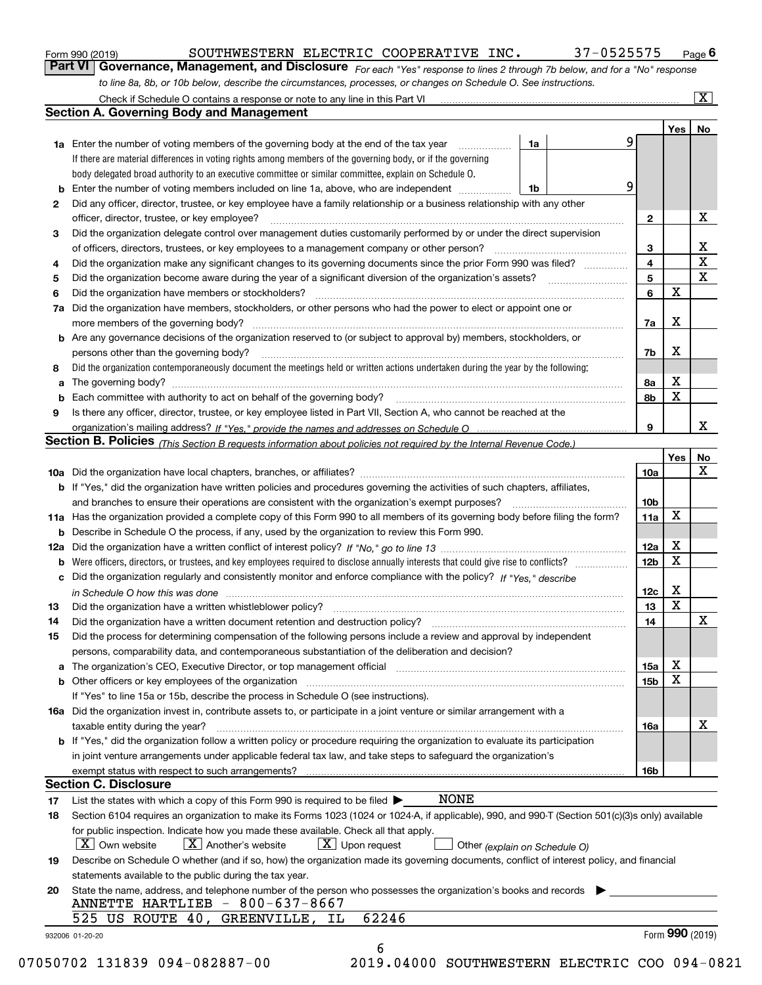| Form 990 (2019) |  |  |
|-----------------|--|--|
|                 |  |  |

| Form 990 (2019) | SOUTHWESTERN ELECTRIC COOPERATIVE INC.                                                                           |  | 37-0525575                                                                                                                    | $P_{\text{aqe}}$ 6 |
|-----------------|------------------------------------------------------------------------------------------------------------------|--|-------------------------------------------------------------------------------------------------------------------------------|--------------------|
|                 |                                                                                                                  |  | Part VI   Governance, Management, and Disclosure For each "Yes" response to lines 2 through 7b below, and for a "No" response |                    |
|                 | to line 8a, 8b, or 10b below, describe the circumstances, processes, or changes on Schedule O. See instructions. |  |                                                                                                                               |                    |

|    | <b>1a</b> Enter the number of voting members of the governing body at the end of the tax year <i>manumum</i>                                                                  | 1a | 9 |              | Yes             | No                      |
|----|-------------------------------------------------------------------------------------------------------------------------------------------------------------------------------|----|---|--------------|-----------------|-------------------------|
|    | If there are material differences in voting rights among members of the governing body, or if the governing                                                                   |    |   |              |                 |                         |
|    | body delegated broad authority to an executive committee or similar committee, explain on Schedule O.                                                                         |    |   |              |                 |                         |
| b  | Enter the number of voting members included on line 1a, above, who are independent                                                                                            | 1b | 9 |              |                 |                         |
| 2  | Did any officer, director, trustee, or key employee have a family relationship or a business relationship with any other                                                      |    |   |              |                 |                         |
|    | officer, director, trustee, or key employee?                                                                                                                                  |    |   | $\mathbf{2}$ |                 | X                       |
| 3  | Did the organization delegate control over management duties customarily performed by or under the direct supervision                                                         |    |   |              |                 |                         |
|    |                                                                                                                                                                               |    |   | 3            |                 | X                       |
| 4  | Did the organization make any significant changes to its governing documents since the prior Form 990 was filed?                                                              |    |   | 4            |                 | $\overline{\mathbf{x}}$ |
| 5  |                                                                                                                                                                               |    |   | 5            |                 | X                       |
| 6  | Did the organization have members or stockholders?                                                                                                                            |    |   | 6            | X               |                         |
| 7a | Did the organization have members, stockholders, or other persons who had the power to elect or appoint one or                                                                |    |   |              |                 |                         |
|    |                                                                                                                                                                               |    |   | 7a           | X               |                         |
|    | <b>b</b> Are any governance decisions of the organization reserved to (or subject to approval by) members, stockholders, or                                                   |    |   |              |                 |                         |
|    | persons other than the governing body?                                                                                                                                        |    |   | 7b           | X               |                         |
| 8  | Did the organization contemporaneously document the meetings held or written actions undertaken during the year by the following:                                             |    |   |              |                 |                         |
| а  |                                                                                                                                                                               |    |   | 8a           | х               |                         |
| b  |                                                                                                                                                                               |    |   | 8b           | X               |                         |
| 9  | Is there any officer, director, trustee, or key employee listed in Part VII, Section A, who cannot be reached at the                                                          |    |   |              |                 |                         |
|    |                                                                                                                                                                               |    |   | 9            |                 | х                       |
|    | Section B. Policies <sub>(This</sub> Section B requests information about policies not required by the Internal Revenue Code.)                                                |    |   |              |                 |                         |
|    |                                                                                                                                                                               |    |   |              | Yes             | No                      |
|    |                                                                                                                                                                               |    |   | 10a          |                 | X                       |
|    | <b>b</b> If "Yes," did the organization have written policies and procedures governing the activities of such chapters, affiliates,                                           |    |   |              |                 |                         |
|    |                                                                                                                                                                               |    |   | 10b          |                 |                         |
|    | 11a Has the organization provided a complete copy of this Form 990 to all members of its governing body before filing the form?                                               |    |   | 11a          | X               |                         |
|    | <b>b</b> Describe in Schedule O the process, if any, used by the organization to review this Form 990.                                                                        |    |   |              |                 |                         |
|    |                                                                                                                                                                               |    |   | 12a          | X               |                         |
|    |                                                                                                                                                                               |    |   | 12b          | X               |                         |
| b  |                                                                                                                                                                               |    |   |              |                 |                         |
| c  | Did the organization regularly and consistently monitor and enforce compliance with the policy? If "Yes," describe                                                            |    |   |              | х               |                         |
|    | in Schedule O how this was done manufactured and contact the state of the state of the state of the state of t                                                                |    |   | 12c<br>13    | X               |                         |
| 13 |                                                                                                                                                                               |    |   | 14           |                 | X                       |
| 14 | Did the organization have a written document retention and destruction policy? manufactured and the organization have a written document retention and destruction policy?    |    |   |              |                 |                         |
| 15 | Did the process for determining compensation of the following persons include a review and approval by independent                                                            |    |   |              |                 |                         |
|    | persons, comparability data, and contemporaneous substantiation of the deliberation and decision?                                                                             |    |   |              | X               |                         |
| a  | The organization's CEO, Executive Director, or top management official manufactured content content of the organization's CEO, Executive Director, or top management official |    |   | 15a          | X               |                         |
|    | <b>b</b> Other officers or key employees of the organization                                                                                                                  |    |   | 15b          |                 |                         |
|    | If "Yes" to line 15a or 15b, describe the process in Schedule O (see instructions).                                                                                           |    |   |              |                 |                         |
|    | 16a Did the organization invest in, contribute assets to, or participate in a joint venture or similar arrangement with a                                                     |    |   |              |                 | X                       |
|    | taxable entity during the year?                                                                                                                                               |    |   | 16a          |                 |                         |
|    | b If "Yes," did the organization follow a written policy or procedure requiring the organization to evaluate its participation                                                |    |   |              |                 |                         |
|    | in joint venture arrangements under applicable federal tax law, and take steps to safeguard the organization's                                                                |    |   |              |                 |                         |
|    | exempt status with respect to such arrangements?<br><b>Section C. Disclosure</b>                                                                                              |    |   | 16b          |                 |                         |
|    |                                                                                                                                                                               |    |   |              |                 |                         |
| 17 | <b>NONE</b><br>List the states with which a copy of this Form 990 is required to be filed $\blacktriangleright$                                                               |    |   |              |                 |                         |
| 18 | Section 6104 requires an organization to make its Forms 1023 (1024 or 1024-A, if applicable), 990, and 990-T (Section 501(c)(3)s only) available                              |    |   |              |                 |                         |
|    | for public inspection. Indicate how you made these available. Check all that apply.                                                                                           |    |   |              |                 |                         |
|    | $\boxed{\textbf{X}}$ Another's website<br>$X$ Upon request<br>  X   Own website<br>Other (explain on Schedule O)                                                              |    |   |              |                 |                         |
| 19 | Describe on Schedule O whether (and if so, how) the organization made its governing documents, conflict of interest policy, and financial                                     |    |   |              |                 |                         |
|    | statements available to the public during the tax year.                                                                                                                       |    |   |              |                 |                         |
| 20 | State the name, address, and telephone number of the person who possesses the organization's books and records<br>ANNETTE HARTLIEB - 800-637-8667                             |    |   |              |                 |                         |
|    | 62246<br>525 US ROUTE 40, GREENVILLE, IL                                                                                                                                      |    |   |              |                 |                         |
|    | 932006 01-20-20                                                                                                                                                               |    |   |              | Form 990 (2019) |                         |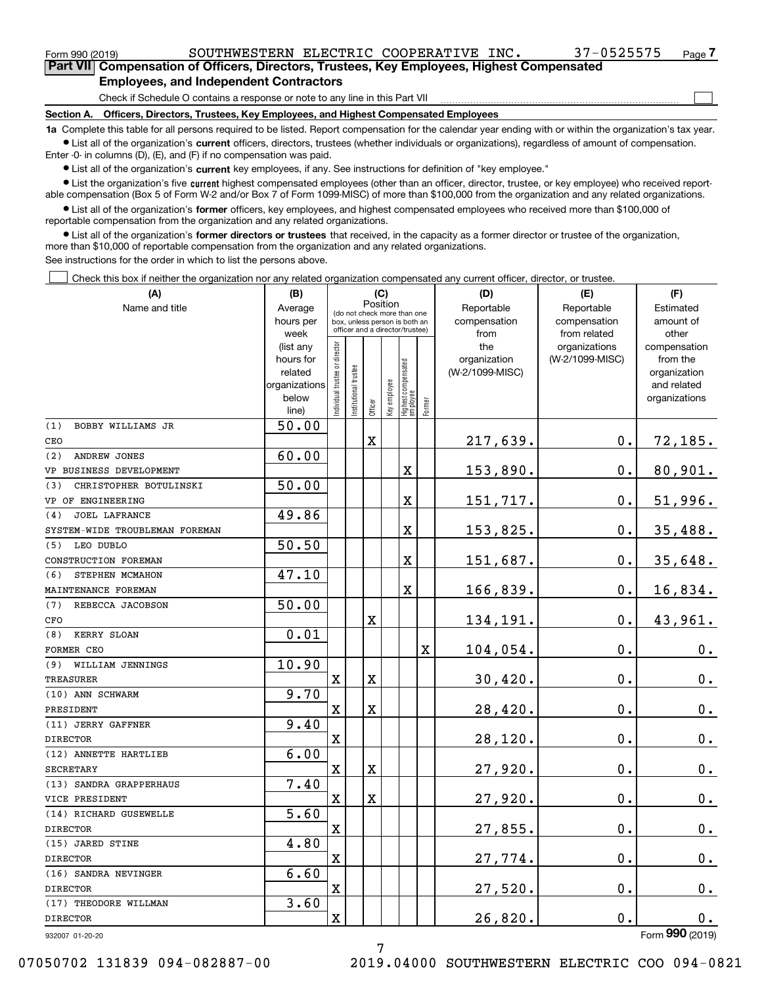| Form 990 (2019)                                                                                    | SOUTHWESTERN ELECTRIC COOPERATIVE INC.                                       |  |  |  | 37-0525575 | Page - |  |  |  |
|----------------------------------------------------------------------------------------------------|------------------------------------------------------------------------------|--|--|--|------------|--------|--|--|--|
| <b>Part VIII Compensation of Officers, Directors, Trustees, Key Employees, Highest Compensated</b> |                                                                              |  |  |  |            |        |  |  |  |
| <b>Employees, and Independent Contractors</b>                                                      |                                                                              |  |  |  |            |        |  |  |  |
|                                                                                                    | Check if Schedule O contains a response or note to any line in this Part VII |  |  |  |            |        |  |  |  |

**Section A. Officers, Directors, Trustees, Key Employees, and Highest Compensated Employees**

**1a**  Complete this table for all persons required to be listed. Report compensation for the calendar year ending with or within the organization's tax year. **•** List all of the organization's current officers, directors, trustees (whether individuals or organizations), regardless of amount of compensation.

Enter -0- in columns (D), (E), and (F) if no compensation was paid.

 $\bullet$  List all of the organization's  $\,$ current key employees, if any. See instructions for definition of "key employee."

**•** List the organization's five current highest compensated employees (other than an officer, director, trustee, or key employee) who received reportable compensation (Box 5 of Form W-2 and/or Box 7 of Form 1099-MISC) of more than \$100,000 from the organization and any related organizations.

**•** List all of the organization's former officers, key employees, and highest compensated employees who received more than \$100,000 of reportable compensation from the organization and any related organizations.

**former directors or trustees**  ¥ List all of the organization's that received, in the capacity as a former director or trustee of the organization, more than \$10,000 of reportable compensation from the organization and any related organizations.

See instructions for the order in which to list the persons above.

Check this box if neither the organization nor any related organization compensated any current officer, director, or trustee.  $\mathcal{L}^{\text{max}}$ 

| (A)                            | (B)                      |                                |                                                              | (C)         |              |                                   |             | (D)                        | (E)                        | (F)                         |
|--------------------------------|--------------------------|--------------------------------|--------------------------------------------------------------|-------------|--------------|-----------------------------------|-------------|----------------------------|----------------------------|-----------------------------|
| Name and title                 | Average<br>hours per     |                                | (do not check more than one<br>box, unless person is both an |             | Position     |                                   |             | Reportable<br>compensation | Reportable<br>compensation | Estimated<br>amount of      |
|                                | week                     |                                | officer and a director/trustee)                              |             |              |                                   |             | from                       | from related               | other                       |
|                                | (list any                |                                |                                                              |             |              |                                   |             | the                        | organizations              | compensation                |
|                                | hours for                |                                |                                                              |             |              |                                   |             | organization               | (W-2/1099-MISC)            | from the                    |
|                                | related<br>organizations |                                |                                                              |             |              |                                   |             | (W-2/1099-MISC)            |                            | organization<br>and related |
|                                | below                    |                                |                                                              |             |              |                                   |             |                            |                            | organizations               |
|                                | line)                    | Individual trustee or director | Institutional trustee                                        | Officer     | Key employee | Highest compensated<br>  employee | Former      |                            |                            |                             |
| BOBBY WILLIAMS JR<br>(1)       | $\overline{50.00}$       |                                |                                                              |             |              |                                   |             |                            |                            |                             |
| CEO                            |                          |                                |                                                              | $\mathbf X$ |              |                                   |             | 217,639.                   | $0$ .                      | 72, 185.                    |
| (2)<br>ANDREW JONES            | 60.00                    |                                |                                                              |             |              |                                   |             |                            |                            |                             |
| VP BUSINESS DEVELOPMENT        |                          |                                |                                                              |             |              | $\rm X$                           |             | 153,890.                   | $\mathbf 0$ .              | 80,901.                     |
| (3)<br>CHRISTOPHER BOTULINSKI  | 50.00                    |                                |                                                              |             |              |                                   |             |                            |                            |                             |
| VP OF ENGINEERING              |                          |                                |                                                              |             |              | $\rm X$                           |             | 151,717.                   | $0$ .                      | 51,996.                     |
| <b>JOEL LAFRANCE</b><br>(4)    | 49.86                    |                                |                                                              |             |              |                                   |             |                            |                            |                             |
| SYSTEM-WIDE TROUBLEMAN FOREMAN |                          |                                |                                                              |             |              | $\mathbf X$                       |             | 153,825.                   | 0.                         | 35,488.                     |
| LEO DUBLO<br>(5)               | 50.50                    |                                |                                                              |             |              |                                   |             |                            |                            |                             |
| CONSTRUCTION FOREMAN           |                          |                                |                                                              |             |              | $\mathbf X$                       |             | 151,687.                   | 0.                         | 35,648.                     |
| STEPHEN MCMAHON<br>(6)         | 47.10                    |                                |                                                              |             |              |                                   |             |                            |                            |                             |
| MAINTENANCE FOREMAN            |                          |                                |                                                              |             |              | $\overline{\mathbf{X}}$           |             | 166,839.                   | 0.                         | 16,834.                     |
| (7)<br>REBECCA JACOBSON        | 50.00                    |                                |                                                              |             |              |                                   |             |                            |                            |                             |
| CFO                            |                          |                                |                                                              | X           |              |                                   |             | 134,191.                   | 0.                         | 43,961.                     |
| KERRY SLOAN<br>(8)             | 0.01                     |                                |                                                              |             |              |                                   |             |                            |                            |                             |
| FORMER CEO                     |                          |                                |                                                              |             |              |                                   | $\mathbf X$ | 104,054.                   | 0.                         | 0.                          |
| (9) WILLIAM JENNINGS           | 10.90                    |                                |                                                              |             |              |                                   |             |                            |                            |                             |
| <b>TREASURER</b>               |                          | $\mathbf x$                    |                                                              | $\mathbf X$ |              |                                   |             | 30,420.                    | 0.                         | 0.                          |
| (10) ANN SCHWARM               | 9.70                     |                                |                                                              |             |              |                                   |             |                            |                            |                             |
| PRESIDENT                      |                          | X                              |                                                              | X           |              |                                   |             | 28,420.                    | 0.                         | 0.                          |
| (11) JERRY GAFFNER             | 9.40                     |                                |                                                              |             |              |                                   |             |                            |                            |                             |
| <b>DIRECTOR</b>                |                          | X                              |                                                              |             |              |                                   |             | 28,120.                    | 0.                         | $\mathbf 0$ .               |
| (12) ANNETTE HARTLIEB          | 6.00                     |                                |                                                              |             |              |                                   |             |                            |                            |                             |
| <b>SECRETARY</b>               |                          | X                              |                                                              | X           |              |                                   |             | 27,920.                    | 0.                         | $0_{.}$                     |
| (13) SANDRA GRAPPERHAUS        | 7.40                     |                                |                                                              |             |              |                                   |             |                            |                            |                             |
| VICE PRESIDENT                 |                          | X                              |                                                              | X           |              |                                   |             | 27,920.                    | 0.                         | $0_{.}$                     |
| (14) RICHARD GUSEWELLE         | 5.60                     |                                |                                                              |             |              |                                   |             |                            |                            |                             |
| <b>DIRECTOR</b>                |                          | X                              |                                                              |             |              |                                   |             | 27,855.                    | 0.                         | 0.                          |
| (15) JARED STINE               | 4.80                     |                                |                                                              |             |              |                                   |             |                            |                            |                             |
| <b>DIRECTOR</b>                |                          | X                              |                                                              |             |              |                                   |             | 27,774.                    | 0.                         | 0.                          |
| (16) SANDRA NEVINGER           | 6.60                     |                                |                                                              |             |              |                                   |             |                            |                            |                             |
| <b>DIRECTOR</b>                |                          | X                              |                                                              |             |              |                                   |             | 27,520.                    | 0.                         | $\mathbf 0$ .               |
| (17) THEODORE WILLMAN          | 3.60                     |                                |                                                              |             |              |                                   |             |                            |                            |                             |
| <b>DIRECTOR</b>                |                          | X                              |                                                              |             |              |                                   |             | 26,820.                    | 0.                         | 0.                          |
| 932007 01-20-20                |                          |                                |                                                              |             |              |                                   |             |                            |                            | Form 990 (2019)             |

932007 01-20-20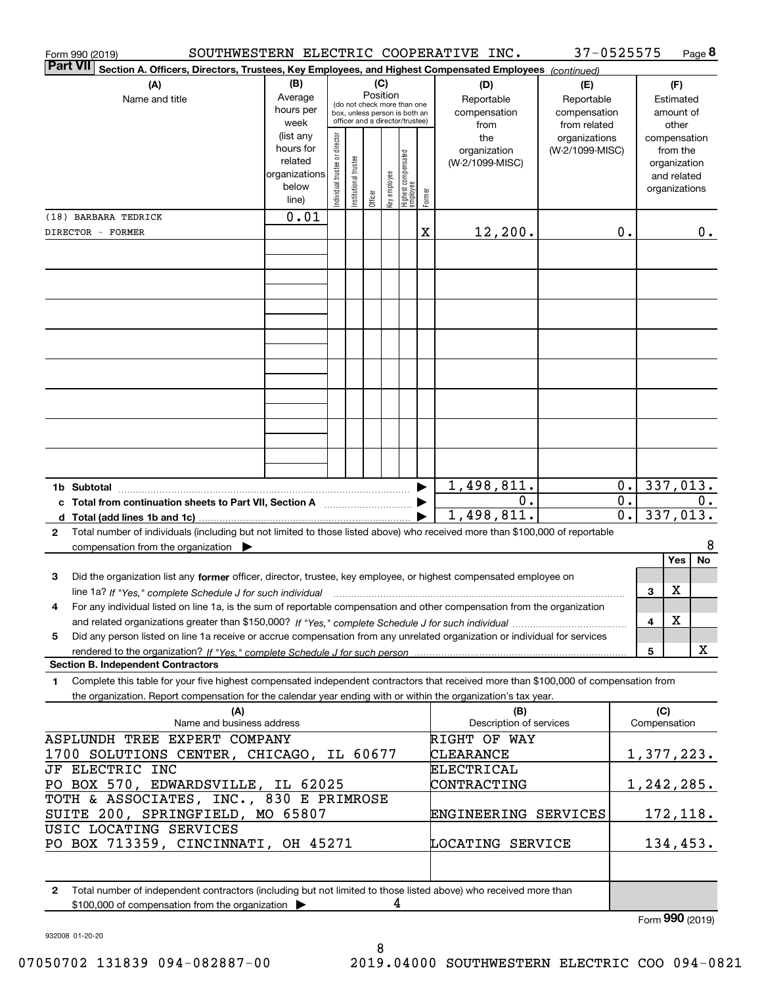| Form 990 (2019)                                                                                                                                                                                                                                 |                          |                               |                                                                  |          |              |                                  |        | SOUTHWESTERN ELECTRIC COOPERATIVE INC. | 37-0525575                   |                  |                               |                             | Page 8 |
|-------------------------------------------------------------------------------------------------------------------------------------------------------------------------------------------------------------------------------------------------|--------------------------|-------------------------------|------------------------------------------------------------------|----------|--------------|----------------------------------|--------|----------------------------------------|------------------------------|------------------|-------------------------------|-----------------------------|--------|
| <b>Part VII</b><br>Section A. Officers, Directors, Trustees, Key Employees, and Highest Compensated Employees (continued)                                                                                                                       |                          |                               |                                                                  |          |              |                                  |        |                                        |                              |                  |                               |                             |        |
| (A)                                                                                                                                                                                                                                             | (B)                      |                               |                                                                  | (C)      |              |                                  |        | (D)                                    | (E)                          |                  |                               | (F)                         |        |
| Name and title                                                                                                                                                                                                                                  | Average<br>hours per     |                               | (do not check more than one                                      | Position |              |                                  |        | Reportable                             | Reportable                   |                  |                               | Estimated                   |        |
|                                                                                                                                                                                                                                                 | week                     |                               | box, unless person is both an<br>officer and a director/trustee) |          |              |                                  |        | compensation<br>from                   | compensation<br>from related |                  |                               | amount of<br>other          |        |
|                                                                                                                                                                                                                                                 | (list any                |                               |                                                                  |          |              |                                  |        | the                                    | organizations                |                  |                               | compensation                |        |
|                                                                                                                                                                                                                                                 | hours for                |                               |                                                                  |          |              |                                  |        | organization                           | (W-2/1099-MISC)              |                  |                               | from the                    |        |
|                                                                                                                                                                                                                                                 | related<br>organizations |                               |                                                                  |          |              |                                  |        | (W-2/1099-MISC)                        |                              |                  |                               | organization<br>and related |        |
|                                                                                                                                                                                                                                                 | below                    | ndividual trustee or director | Institutional trustee                                            |          | Key employee |                                  |        |                                        |                              |                  |                               | organizations               |        |
|                                                                                                                                                                                                                                                 | line)                    |                               |                                                                  | Officer  |              | Highest compensated<br> employee | Former |                                        |                              |                  |                               |                             |        |
| (18) BARBARA TEDRICK                                                                                                                                                                                                                            | 0.01                     |                               |                                                                  |          |              |                                  |        |                                        |                              |                  |                               |                             |        |
| DIRECTOR - FORMER                                                                                                                                                                                                                               |                          |                               |                                                                  |          |              |                                  | x      | 12, 200.                               |                              | 0.               |                               |                             | 0.     |
|                                                                                                                                                                                                                                                 |                          |                               |                                                                  |          |              |                                  |        |                                        |                              |                  |                               |                             |        |
|                                                                                                                                                                                                                                                 |                          |                               |                                                                  |          |              |                                  |        |                                        |                              |                  |                               |                             |        |
|                                                                                                                                                                                                                                                 |                          |                               |                                                                  |          |              |                                  |        |                                        |                              |                  |                               |                             |        |
|                                                                                                                                                                                                                                                 |                          |                               |                                                                  |          |              |                                  |        |                                        |                              |                  |                               |                             |        |
|                                                                                                                                                                                                                                                 |                          |                               |                                                                  |          |              |                                  |        |                                        |                              |                  |                               |                             |        |
|                                                                                                                                                                                                                                                 |                          |                               |                                                                  |          |              |                                  |        |                                        |                              |                  |                               |                             |        |
|                                                                                                                                                                                                                                                 |                          |                               |                                                                  |          |              |                                  |        |                                        |                              |                  |                               |                             |        |
|                                                                                                                                                                                                                                                 |                          |                               |                                                                  |          |              |                                  |        |                                        |                              |                  |                               |                             |        |
|                                                                                                                                                                                                                                                 |                          |                               |                                                                  |          |              |                                  |        |                                        |                              |                  |                               |                             |        |
|                                                                                                                                                                                                                                                 |                          |                               |                                                                  |          |              |                                  |        |                                        |                              |                  |                               |                             |        |
|                                                                                                                                                                                                                                                 |                          |                               |                                                                  |          |              |                                  |        |                                        |                              |                  |                               |                             |        |
|                                                                                                                                                                                                                                                 |                          |                               |                                                                  |          |              |                                  |        |                                        |                              |                  |                               |                             |        |
|                                                                                                                                                                                                                                                 |                          |                               |                                                                  |          |              |                                  |        |                                        |                              |                  |                               |                             |        |
|                                                                                                                                                                                                                                                 |                          |                               |                                                                  |          |              |                                  |        |                                        |                              |                  |                               |                             |        |
| 1b Subtotal                                                                                                                                                                                                                                     |                          |                               |                                                                  |          |              |                                  |        | 1,498,811.                             |                              | 0.               |                               | 337,013.                    |        |
| c Total from continuation sheets to Part VII, Section A <b>Constant Contact Part</b>                                                                                                                                                            |                          |                               |                                                                  |          |              |                                  |        | 0.                                     |                              | $\overline{0}$ . |                               |                             | 0.     |
| d Total (add lines 1b and 1c).                                                                                                                                                                                                                  |                          |                               |                                                                  |          |              |                                  |        | 1,498,811.                             |                              | $\overline{0}$ . |                               | 337,013.                    |        |
| Total number of individuals (including but not limited to those listed above) who received more than \$100,000 of reportable<br>$\mathbf{2}$                                                                                                    |                          |                               |                                                                  |          |              |                                  |        |                                        |                              |                  |                               |                             |        |
| compensation from the organization $\blacktriangleright$                                                                                                                                                                                        |                          |                               |                                                                  |          |              |                                  |        |                                        |                              |                  |                               |                             | 8      |
|                                                                                                                                                                                                                                                 |                          |                               |                                                                  |          |              |                                  |        |                                        |                              |                  |                               | Yes                         | No     |
| Did the organization list any former officer, director, trustee, key employee, or highest compensated employee on<br>3                                                                                                                          |                          |                               |                                                                  |          |              |                                  |        |                                        |                              |                  |                               | X                           |        |
| line 1a? If "Yes," complete Schedule J for such individual material content content to the complete Schedule J<br>4<br>For any individual listed on line 1a, is the sum of reportable compensation and other compensation from the organization |                          |                               |                                                                  |          |              |                                  |        |                                        |                              |                  | 3                             |                             |        |
|                                                                                                                                                                                                                                                 |                          |                               |                                                                  |          |              |                                  |        |                                        |                              |                  | 4                             | X                           |        |
| Did any person listed on line 1a receive or accrue compensation from any unrelated organization or individual for services<br>5                                                                                                                 |                          |                               |                                                                  |          |              |                                  |        |                                        |                              |                  |                               |                             |        |
|                                                                                                                                                                                                                                                 |                          |                               |                                                                  |          |              |                                  |        |                                        |                              |                  | 5                             |                             | X      |
| <b>Section B. Independent Contractors</b>                                                                                                                                                                                                       |                          |                               |                                                                  |          |              |                                  |        |                                        |                              |                  |                               |                             |        |
| Complete this table for your five highest compensated independent contractors that received more than \$100,000 of compensation from<br>1                                                                                                       |                          |                               |                                                                  |          |              |                                  |        |                                        |                              |                  |                               |                             |        |
| the organization. Report compensation for the calendar year ending with or within the organization's tax year.                                                                                                                                  |                          |                               |                                                                  |          |              |                                  |        |                                        |                              |                  |                               |                             |        |
| (A)<br>Name and business address                                                                                                                                                                                                                |                          |                               |                                                                  |          |              |                                  |        | (B)<br>Description of services         |                              |                  | (C)<br>Compensation           |                             |        |
| ASPLUNDH TREE EXPERT COMPANY                                                                                                                                                                                                                    |                          |                               |                                                                  |          |              |                                  |        | RIGHT OF WAY                           |                              |                  |                               |                             |        |
| 1700 SOLUTIONS CENTER, CHICAGO, IL 60677                                                                                                                                                                                                        |                          |                               |                                                                  |          |              |                                  |        | <b>CLEARANCE</b>                       |                              |                  | 1,377,223.                    |                             |        |
| JF ELECTRIC INC                                                                                                                                                                                                                                 |                          |                               |                                                                  |          |              |                                  |        | ELECTRICAL                             |                              |                  |                               |                             |        |
| PO BOX 570, EDWARDSVILLE, IL 62025                                                                                                                                                                                                              |                          |                               |                                                                  |          |              |                                  |        | CONTRACTING                            |                              |                  | 1,242,285.                    |                             |        |
| TOTH & ASSOCIATES, INC., 830 E PRIMROSE                                                                                                                                                                                                         |                          |                               |                                                                  |          |              |                                  |        |                                        |                              |                  |                               |                             |        |
| SUITE 200, SPRINGFIELD, MO 65807                                                                                                                                                                                                                |                          |                               |                                                                  |          |              |                                  |        | ENGINEERING SERVICES                   |                              |                  |                               | 172,118.                    |        |
| USIC LOCATING SERVICES                                                                                                                                                                                                                          |                          |                               |                                                                  |          |              |                                  |        |                                        |                              |                  |                               |                             |        |
| PO BOX 713359, CINCINNATI, OH 45271                                                                                                                                                                                                             |                          |                               |                                                                  |          |              |                                  |        | LOCATING SERVICE                       |                              |                  |                               | 134, 453.                   |        |
|                                                                                                                                                                                                                                                 |                          |                               |                                                                  |          |              |                                  |        |                                        |                              |                  |                               |                             |        |
|                                                                                                                                                                                                                                                 |                          |                               |                                                                  |          |              |                                  |        |                                        |                              |                  |                               |                             |        |
| Total number of independent contractors (including but not limited to those listed above) who received more than<br>$\mathbf{2}$                                                                                                                |                          |                               |                                                                  |          | 4            |                                  |        |                                        |                              |                  |                               |                             |        |
| \$100,000 of compensation from the organization >                                                                                                                                                                                               |                          |                               |                                                                  |          |              |                                  |        |                                        |                              |                  | $F_{\text{arm}}$ 990 $(2010)$ |                             |        |

932008 01-20-20

Form (2019) **990**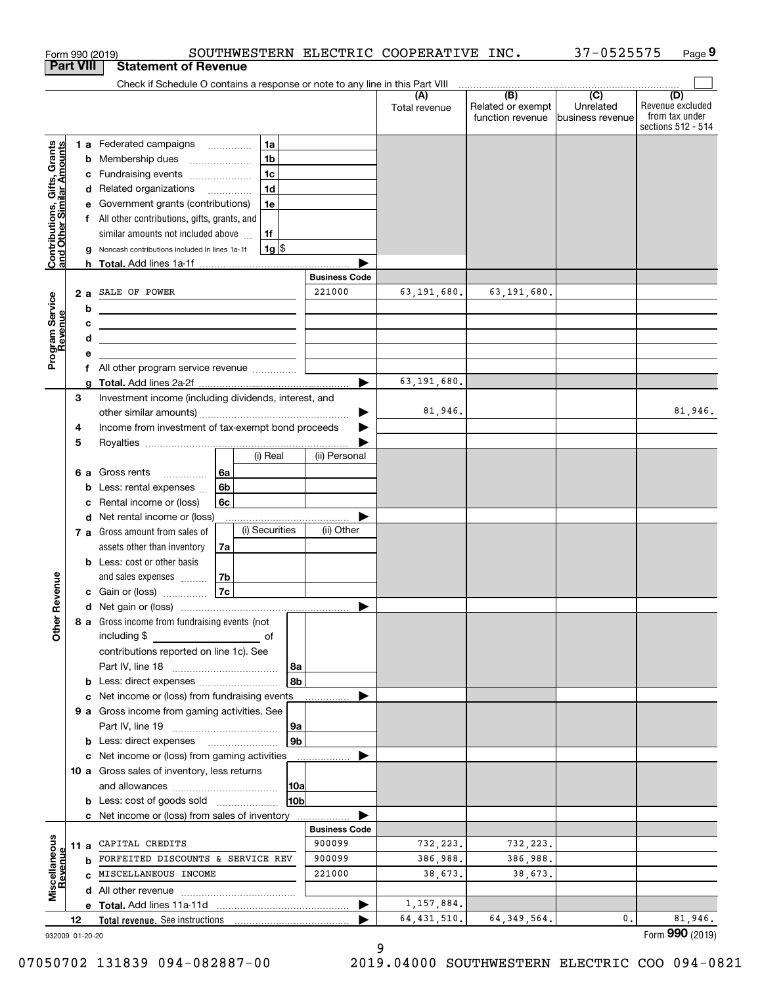| <b>Part VIII</b>                                          |                       |     | <b>Statement of Revenue</b>                                                   |                      |                      |                                                                                                          |                               |                                                                 |
|-----------------------------------------------------------|-----------------------|-----|-------------------------------------------------------------------------------|----------------------|----------------------|----------------------------------------------------------------------------------------------------------|-------------------------------|-----------------------------------------------------------------|
|                                                           |                       |     |                                                                               |                      |                      |                                                                                                          |                               |                                                                 |
|                                                           |                       |     | Check if Schedule O contains a response or note to any line in this Part VIII |                      |                      | $\begin{array}{c c c c c c} \hline \text{ } & \text{(B)} & \text{ } & \text{(C)} & \text{ } \end{array}$ |                               |                                                                 |
|                                                           |                       |     |                                                                               |                      | (A)<br>Total revenue | Related or exempt<br>function revenue                                                                    | Unrelated<br>business revenue | (D)<br>Revenue excluded<br>from tax under<br>sections 512 - 514 |
|                                                           |                       |     | 1 a Federated campaigns<br>1a                                                 |                      |                      |                                                                                                          |                               |                                                                 |
|                                                           |                       | b   | 1 <sub>b</sub><br>Membership dues                                             |                      |                      |                                                                                                          |                               |                                                                 |
|                                                           |                       |     | 1 <sub>c</sub><br>c Fundraising events                                        |                      |                      |                                                                                                          |                               |                                                                 |
|                                                           |                       |     | 1 <sub>d</sub><br>d Related organizations                                     |                      |                      |                                                                                                          |                               |                                                                 |
|                                                           |                       | е   | Government grants (contributions)<br>1e                                       |                      |                      |                                                                                                          |                               |                                                                 |
|                                                           |                       |     | f All other contributions, gifts, grants, and                                 |                      |                      |                                                                                                          |                               |                                                                 |
|                                                           |                       |     | similar amounts not included above<br>1f                                      |                      |                      |                                                                                                          |                               |                                                                 |
| Contributions, Gifts, Grants<br>and Other Similar Amounts |                       | g   | $1g$ \$<br>Noncash contributions included in lines 1a-1f                      |                      |                      |                                                                                                          |                               |                                                                 |
|                                                           |                       | h.  |                                                                               | <b>Business Code</b> |                      |                                                                                                          |                               |                                                                 |
|                                                           |                       | 2 a | SALE OF POWER                                                                 | 221000               | 63, 191, 680.        | 63,191,680.                                                                                              |                               |                                                                 |
| Program Service<br>Revenue                                |                       | b   | <u> 1989 - Johann Barn, amerikansk politiker (</u>                            |                      |                      |                                                                                                          |                               |                                                                 |
|                                                           |                       | с   | <u> 2000 - Jan Samuel Barbara, martin da shekara 1992 - An an A</u>           |                      |                      |                                                                                                          |                               |                                                                 |
|                                                           |                       | d   | <u> 1989 - Johann Stein, mars an deus Amerikaansk kommunister (</u>           |                      |                      |                                                                                                          |                               |                                                                 |
|                                                           |                       | е   |                                                                               |                      |                      |                                                                                                          |                               |                                                                 |
|                                                           |                       |     | f All other program service revenue                                           |                      |                      |                                                                                                          |                               |                                                                 |
|                                                           |                       | a   |                                                                               |                      | 63, 191, 680.        |                                                                                                          |                               |                                                                 |
|                                                           | 3                     |     | Investment income (including dividends, interest, and                         |                      |                      |                                                                                                          |                               |                                                                 |
|                                                           |                       |     |                                                                               |                      | 81,946.              |                                                                                                          |                               | 81,946.                                                         |
|                                                           | 4                     |     | Income from investment of tax-exempt bond proceeds                            |                      |                      |                                                                                                          |                               |                                                                 |
|                                                           | 5                     |     | (i) Real                                                                      | (ii) Personal        |                      |                                                                                                          |                               |                                                                 |
|                                                           |                       |     | 6а<br>6 a Gross rents                                                         |                      |                      |                                                                                                          |                               |                                                                 |
|                                                           |                       | b   | 6b<br>Less: rental expenses                                                   |                      |                      |                                                                                                          |                               |                                                                 |
|                                                           |                       | с   | Rental income or (loss)<br>6c                                                 |                      |                      |                                                                                                          |                               |                                                                 |
|                                                           |                       |     | d Net rental income or (loss)                                                 |                      |                      |                                                                                                          |                               |                                                                 |
|                                                           |                       |     | (i) Securities<br>7 a Gross amount from sales of                              | (ii) Other           |                      |                                                                                                          |                               |                                                                 |
|                                                           |                       |     | assets other than inventory<br>7a                                             |                      |                      |                                                                                                          |                               |                                                                 |
|                                                           |                       |     | <b>b</b> Less: cost or other basis                                            |                      |                      |                                                                                                          |                               |                                                                 |
|                                                           |                       |     | 7b<br>and sales expenses                                                      |                      |                      |                                                                                                          |                               |                                                                 |
| evenue                                                    |                       |     | 7c<br>c Gain or (loss)                                                        |                      |                      |                                                                                                          |                               |                                                                 |
| Œ                                                         |                       |     | d Net gain or (loss)                                                          |                      |                      |                                                                                                          |                               |                                                                 |
| <b>Other</b>                                              |                       |     | 8 a Gross income from fundraising events (not<br>including \$                 |                      |                      |                                                                                                          |                               |                                                                 |
|                                                           |                       |     | contributions reported on line 1c). See                                       |                      |                      |                                                                                                          |                               |                                                                 |
|                                                           |                       |     | 8a                                                                            |                      |                      |                                                                                                          |                               |                                                                 |
|                                                           |                       |     | 8b<br><b>b</b> Less: direct expenses <i>manually contained</i>                |                      |                      |                                                                                                          |                               |                                                                 |
|                                                           |                       |     | c Net income or (loss) from fundraising events                                |                      |                      |                                                                                                          |                               |                                                                 |
|                                                           |                       |     | 9 a Gross income from gaming activities. See                                  |                      |                      |                                                                                                          |                               |                                                                 |
|                                                           |                       |     | 9a                                                                            |                      |                      |                                                                                                          |                               |                                                                 |
|                                                           |                       |     | 9b<br>c Net income or (loss) from gaming activities                           |                      |                      |                                                                                                          |                               |                                                                 |
|                                                           |                       |     | 10 a Gross sales of inventory, less returns                                   |                      |                      |                                                                                                          |                               |                                                                 |
|                                                           |                       |     | 10a                                                                           |                      |                      |                                                                                                          |                               |                                                                 |
|                                                           |                       |     | 10b<br><b>b</b> Less: cost of goods sold                                      |                      |                      |                                                                                                          |                               |                                                                 |
|                                                           |                       |     | c Net income or (loss) from sales of inventory                                |                      |                      |                                                                                                          |                               |                                                                 |
|                                                           |                       |     |                                                                               | <b>Business Code</b> |                      |                                                                                                          |                               |                                                                 |
| Miscellaneous                                             |                       |     | 11 a CAPITAL CREDITS                                                          | 900099               | 732,223.             | 732,223.                                                                                                 |                               |                                                                 |
| evenue                                                    |                       |     | <b>b</b> FORFEITED DISCOUNTS & SERVICE REV                                    | 900099               | 386,988.             | 386,988.                                                                                                 |                               |                                                                 |
|                                                           |                       |     | C MISCELLANEOUS INCOME                                                        | 221000               | 38,673.              | 38,673.                                                                                                  |                               |                                                                 |
|                                                           |                       |     |                                                                               |                      |                      |                                                                                                          |                               |                                                                 |
|                                                           |                       |     |                                                                               |                      | 1,157,884.           |                                                                                                          |                               |                                                                 |
|                                                           | 12<br>932009 01-20-20 |     | Total revenue. See instructions                                               |                      | 64, 431, 510.        | 64, 349, 564.                                                                                            | 0.                            | 81,946.<br>Form 990 (2019)                                      |

932009 01-20-20

07050702 131839 094-082887-00 2019.04000 SOUTHWESTERN ELECTRIC COO 094-0821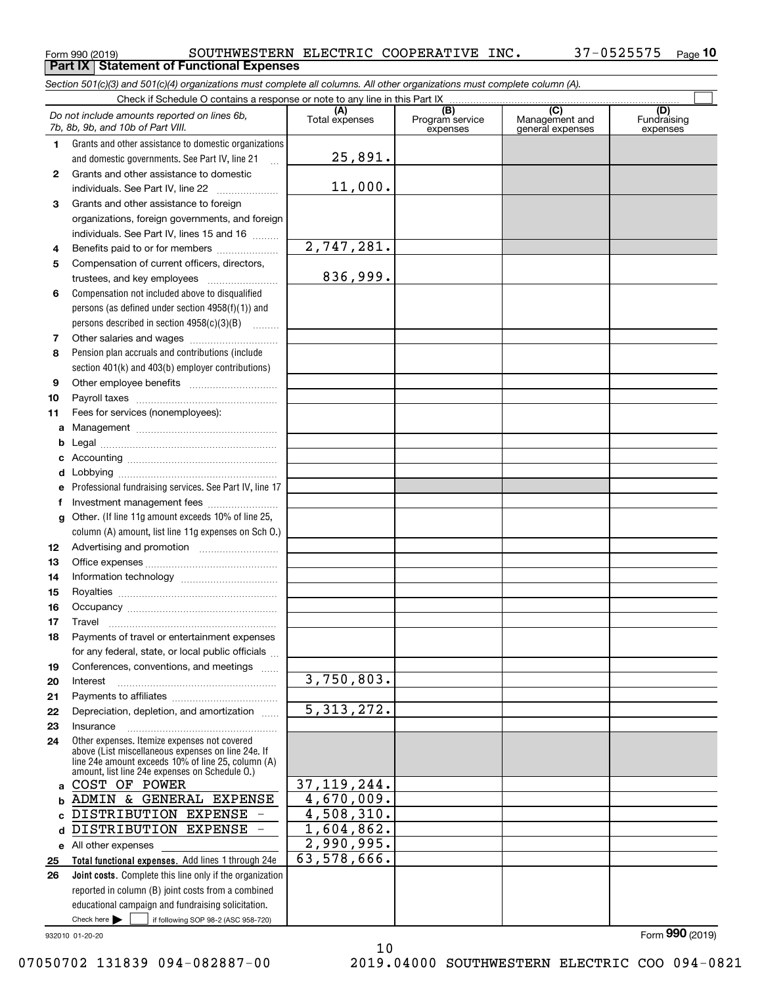**Part IX Statement of Functional Expenses**

*Section 501(c)(3) and 501(c)(4) organizations must complete all columns. All other organizations must complete column (A).*

Form 990 (2019) SOUTHWESTERN ELECTRIC COOPERATIVE INC 37-0525575 <sub>Page</sub> **10**

Check here  $\bullet$  if following SOP 98-2 (ASC 958-720) **Total functional expenses.**  Add lines 1 through 24e **Joint costs.** Complete this line only if the organization **(A)**<br>Total expenses **(B) (C) (D) 1234567891011abcdefg12131415161718192021222324abc**DISTRIBUTION EXPENSE **d**DISTRIBUTION EXPENSE **e** All other expenses **2526**Grants and other assistance to domestic organizations and domestic governments. See Part IV, line 21 Compensation not included above to disqualified persons (as defined under section 4958(f)(1)) and persons described in section 4958(c)(3)(B)  $\quad \ldots \ldots \ldots$ Pension plan accruals and contributions (include section 401(k) and 403(b) employer contributions) Professional fundraising services. See Part IV, line 17 Other. (If line 11g amount exceeds 10% of line 25, column (A) amount, list line 11g expenses on Sch O.) Other expenses. Itemize expenses not covered above (List miscellaneous expenses on line 24e. If line 24e amount exceeds 10% of line 25, column (A) amount, list line 24e expenses on Schedule O.) reported in column (B) joint costs from a combined educational campaign and fundraising solicitation. Check if Schedule O contains a response or note to any line in this Part IX (C) (C) (C) (C) (C) (C) Program service expensesManagement and general expenses Fundraising expensesGrants and other assistance to domestic individuals. See Part IV, line 22 ~~~~~~~ Grants and other assistance to foreign organizations, foreign governments, and foreign individuals. See Part IV, lines 15 and 16  $\ldots$ Benefits paid to or for members .................... Compensation of current officers, directors, trustees, and key employees  $\ldots$   $\ldots$   $\ldots$   $\ldots$   $\ldots$ Other salaries and wages ~~~~~~~~~~ Other employee benefits ~~~~~~~~~~ Payroll taxes ~~~~~~~~~~~~~~~~ Fees for services (nonemployees): Management ~~~~~~~~~~~~~~~~ Legal ~~~~~~~~~~~~~~~~~~~~Accounting ~~~~~~~~~~~~~~~~~ Lobbying ~~~~~~~~~~~~~~~~~~ lnvestment management fees ....................... Advertising and promotion \_\_\_\_\_\_\_\_\_\_\_\_\_\_\_\_\_\_\_ Office expenses ~~~~~~~~~~~~~~~ Information technology ~~~~~~~~~~~ Royalties ~~~~~~~~~~~~~~~~~~ Occupancy ~~~~~~~~~~~~~~~~~ Travel ……………………………………………… Payments of travel or entertainment expenses for any federal, state, or local public officials ... Conferences, conventions, and meetings Interest ……………………………………………… Payments to affiliates ~~~~~~~~~~~~ Depreciation, depletion, and amortization  $\,\,\ldots\,\,$ Insurance~~~~~~~~~~~~~~~~~Check here  $\blacktriangleright$ *Do not include amounts reported on lines 6b, 7b, 8b, 9b, and 10b of Part VIII.*  $\mathcal{L}^{\text{max}}$ 25,891. 11,000. 2,747,281. 836,999. 3,750,803. 5,313,272. 37,119,244. 4,670,009. 4,508,310. 1,604,862. 2,990,995. 63,578,666. COST OF POWER ADMIN & GENERAL EXPENSE

932010 01-20-20

07050702 131839 094-082887-00 2019.04000 SOUTHWESTERN ELECTRIC COO 094-0821

Form (2019) **990**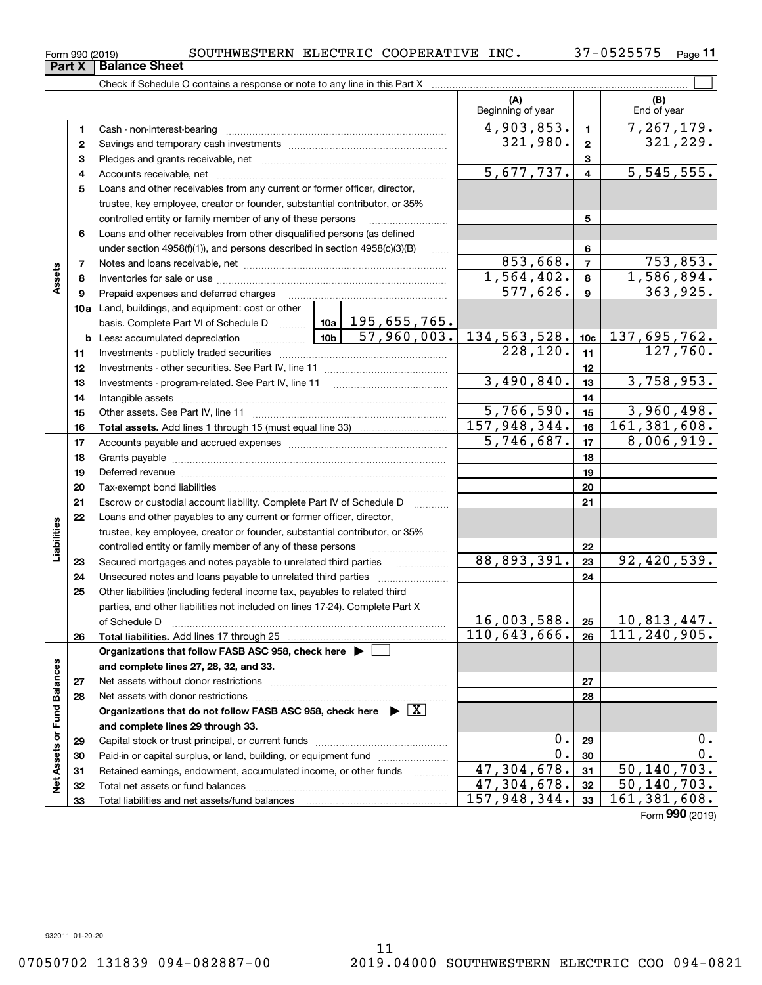Pledges and grants receivable, net Accounts receivable, net ~~~~~~~~~~~~~~~~~~~~~~~~~~ Loans and other receivables from any current or former officer, director, trustee, key employee, creator or founder, substantial contributor, or 35% Loans and other receivables from other disqualified persons (as defined Notes and loans receivable, net Inventories for sale or use ~~~~~~~~~~~~~~~~~~~~~~~~~~

Prepaid expenses and deferred charges ~~~~~~~~~~~~~~~~~~

Investments - publicly traded securities ~~~~~~~~~~~~~~~~~~~ Investments - other securities. See Part IV, line 11 ~~~~~~~~~~~~~~ Investments - program-related. See Part IV, line 11 ~~~~~~~~~~~~~Intangible assets ~~~~~~~~~~~~~~~~~~~~~~~~~~~~~~ Other assets. See Part IV, line 11 ~~~~~~~~~~~~~~~~~~~~~~

**Total assets.**  Add lines 1 through 15 (must equal line 33)

Accounts payable and accrued expenses ~~~~~~~~~~~~~~~~~~ Grants payable ~~~~~~~~~~~~~~~~~~~~~~~~~~~~~~~ Deferred revenue ~~~~~~~~~~~~~~~~~~~~~~~~~~~~~~Tax-exempt bond liabilities …………………………………………………………… Escrow or custodial account liability. Complete Part IV of Schedule D

**Total liabilities.**  Add lines 17 through 25

Net assets with donor restrictions ~~~~~~~~~~~~~~~~~~~~~~

Capital stock or trust principal, or current funds ~~~~~~~~~~~~~~~ Paid-in or capital surplus, or land, building, or equipment fund www.commun.com

Total net assets or fund balances ~~~~~~~~~~~~~~~~~~~~~~

Organizations that do not follow FASB ASC 958, check here  $\quadblacktriangleright\; \boxed{\mathrm{X}}$ 

Retained earnings, endowment, accumulated income, or other funds

**Organizations that follow FASB ASC 958, check here** |

Loans and other payables to any current or former officer, director, trustee, key employee, creator or founder, substantial contributor, or 35% controlled entity or family member of any of these persons ~~~~~~~~~Secured mortgages and notes payable to unrelated third parties Unsecured notes and loans payable to unrelated third parties ............ Other liabilities (including federal income tax, payables to related third parties, and other liabilities not included on lines 17-24). Complete Part X of Schedule D ~~~~~~~~~~~~~~~~~~~~~~~~~~~~~~~

**and complete lines 27, 28, 32, and 33.**

Net assets without donor restrictions

Total liabilities and net assets/fund balances

**and complete lines 29 through 33.**

**10a**Land, buildings, and equipment: cost or other

**b** Less: accumulated depreciation  $\ldots$  **10b** basis. Complete Part VI of Schedule D ......... Letting

|    | Check if Schedule O contains a response or note to any line in this Part X    |                          |   |                    |
|----|-------------------------------------------------------------------------------|--------------------------|---|--------------------|
|    |                                                                               | (A)<br>Beginning of year |   | (B)<br>End of year |
| 1. | Cash - non-interest-bearing                                                   | 4,903,853.               |   | 7,267,1            |
| 2. |                                                                               | 321,980.                 | 2 | 321, 2             |
| 3  |                                                                               |                          | 3 |                    |
| 4  | Accounts receivable, net                                                      | 5,677,737.               | 4 | 5, 545, 5          |
| 5  | Loans and other receivables from any current or former officer, director,     |                          |   |                    |
|    | trustee, key employee, creator or founder, substantial contributor, or 35%    |                          |   |                    |
|    | controlled entity or family member of any of these persons                    |                          | 5 |                    |
| 6. | Loans and other receivables from other disqualified persons (as defined       |                          |   |                    |
|    | under section $4958(f)(1)$ , and persons described in section $4958(c)(3)(B)$ |                          | 6 |                    |
|    | Notes and loans receivable, net                                               | 853,668.                 |   | 753.8              |

195,655,765.

**Part X** Balance Sheet

**11**

 $\mathcal{L}^{\text{max}}$ 

,179.

229.

555.

853.

**89**

 $1,564,402.$  8 1,586,894. 577,626. 363,925.

57,960,003. 134,563,528. 137,695,762.

 $3,490,840.$   $|13|$   $3,758,953.$ 

 $5,766,590.$   $15$  3,960,498.  $157,948,344.$  16 161,381,608.

 $5,746,687.$   $17$  | 8,006,919.

 $228, 120.$  11 127,760.

**222324**

88,893,391. 92,420,539.

**2526**

 $16,003,588.$   $25$  | 10,813,447. 110,643,666. 26 111,240,905.

> **2728**

**313233**

 $47,304,678$ .  $31$  50,140,703. 47,304,678. 50,140,703. 157,948,344. 161,381,608.

**29**0. 0. **30**0. 0.

Form (2019) **990**

| Form 990 (2019) |                      | SOUTHWESTERN ELECTRIC COOPERATIVE |  | INC. | 7-0525575 |
|-----------------|----------------------|-----------------------------------|--|------|-----------|
| <b>Part X</b>   | <b>Balance Sheet</b> |                                   |  |      |           |

**89**

**Assets**

**232425**

**Liabilities**

iabilities

**26**

**2728**

**Net Assets or Fund Balances**

ğ

Assets or Fund Balances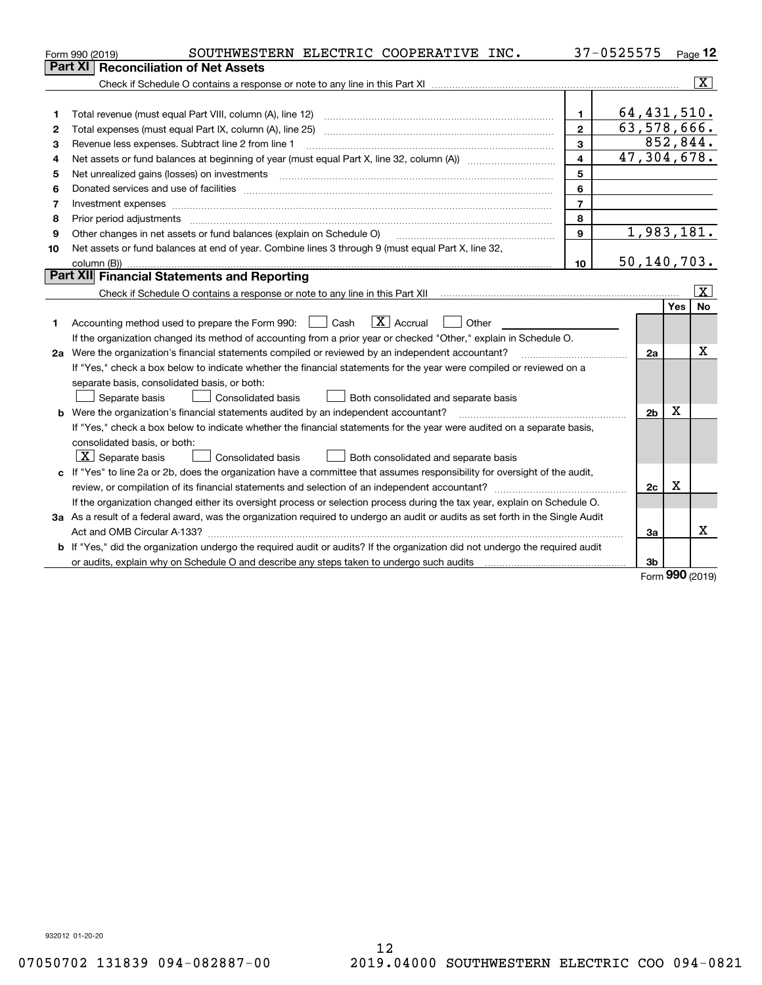|    | SOUTHWESTERN ELECTRIC COOPERATIVE INC.<br>Form 990 (2019)                                                                       |                         | 37-0525575     |           | Page 12                 |
|----|---------------------------------------------------------------------------------------------------------------------------------|-------------------------|----------------|-----------|-------------------------|
|    | <b>Reconciliation of Net Assets</b><br><b>Part XI</b>                                                                           |                         |                |           |                         |
|    |                                                                                                                                 |                         |                |           | $\overline{\mathbf{x}}$ |
|    |                                                                                                                                 |                         |                |           |                         |
| 1  | Total revenue (must equal Part VIII, column (A), line 12)                                                                       | $\mathbf{1}$            | 64, 431, 510.  |           |                         |
| 2  | Total expenses (must equal Part IX, column (A), line 25)                                                                        | $\overline{2}$          | 63, 578, 666.  |           |                         |
| 3  | Revenue less expenses. Subtract line 2 from line 1                                                                              | 3                       |                | 852, 844. |                         |
| 4  |                                                                                                                                 | $\overline{\mathbf{4}}$ | 47,304,678.    |           |                         |
| 5  | Net unrealized gains (losses) on investments with an annumerous contract and a set of the set of the set of the                 | 5                       |                |           |                         |
| 6  |                                                                                                                                 | 6                       |                |           |                         |
| 7  | Investment expenses www.communication.com/www.communication.com/www.communication.com/www.com                                   | $\overline{7}$          |                |           |                         |
| 8  | Prior period adjustments                                                                                                        | 8                       |                |           |                         |
| 9  | Other changes in net assets or fund balances (explain on Schedule O)                                                            | 9                       | 1,983,181.     |           |                         |
| 10 | Net assets or fund balances at end of year. Combine lines 3 through 9 (must equal Part X, line 32,                              |                         |                |           |                         |
|    | column (B))                                                                                                                     | 10                      | 50, 140, 703.  |           |                         |
|    | Part XII Financial Statements and Reporting                                                                                     |                         |                |           |                         |
|    |                                                                                                                                 |                         |                |           | $\overline{\mathbf{X}}$ |
|    |                                                                                                                                 |                         |                | Yes       | No                      |
| 1  | $\boxed{\mathbf{X}}$ Accrual<br>Accounting method used to prepare the Form 990: <u>June</u> Cash<br>Other                       |                         |                |           |                         |
|    | If the organization changed its method of accounting from a prior year or checked "Other," explain in Schedule O.               |                         |                |           |                         |
|    | 2a Were the organization's financial statements compiled or reviewed by an independent accountant?                              |                         | 2a             |           | Χ                       |
|    | If "Yes," check a box below to indicate whether the financial statements for the year were compiled or reviewed on a            |                         |                |           |                         |
|    | separate basis, consolidated basis, or both:                                                                                    |                         |                |           |                         |
|    | Separate basis<br>Both consolidated and separate basis<br><b>Consolidated basis</b>                                             |                         |                |           |                         |
|    | <b>b</b> Were the organization's financial statements audited by an independent accountant?                                     |                         | 2 <sub>b</sub> | Χ         |                         |
|    | If "Yes," check a box below to indicate whether the financial statements for the year were audited on a separate basis,         |                         |                |           |                         |
|    | consolidated basis, or both:                                                                                                    |                         |                |           |                         |
|    | $ \mathbf{X} $ Separate basis<br><b>Consolidated basis</b><br>Both consolidated and separate basis                              |                         |                |           |                         |
|    | c If "Yes" to line 2a or 2b, does the organization have a committee that assumes responsibility for oversight of the audit,     |                         |                |           |                         |
|    |                                                                                                                                 |                         | 2c             | х         |                         |
|    | If the organization changed either its oversight process or selection process during the tax year, explain on Schedule O.       |                         |                |           |                         |
|    | 3a As a result of a federal award, was the organization required to undergo an audit or audits as set forth in the Single Audit |                         |                |           |                         |
|    |                                                                                                                                 |                         | 3a             |           | x                       |
|    | b If "Yes," did the organization undergo the required audit or audits? If the organization did not undergo the required audit   |                         |                |           |                         |
|    |                                                                                                                                 |                         | 3b             |           |                         |

Form (2019) **990**

932012 01-20-20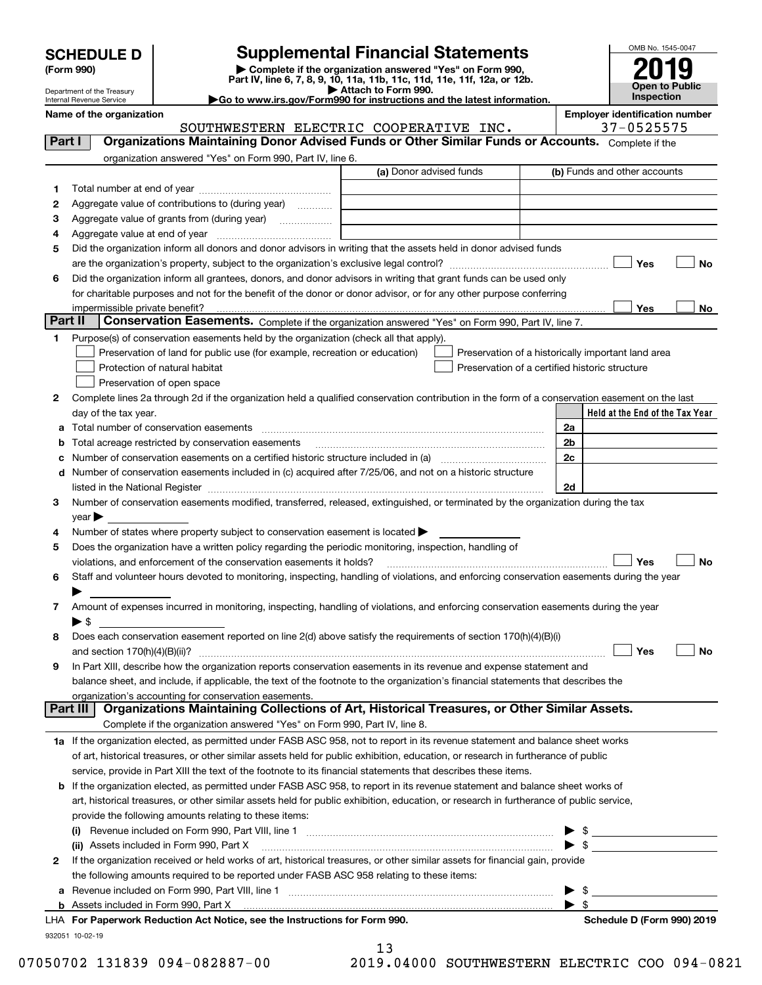|  | <b>SCHEDULE D</b> |  |  |  |
|--|-------------------|--|--|--|
|--|-------------------|--|--|--|

## **Supplemental Financial Statements**

(Form 990)<br>
Pepartment of the Treasury<br>
Department of the Treasury<br>
Department of the Treasury<br>
Department of the Treasury<br> **Co to www.irs.gov/Form990 for instructions and the latest information.**<br> **Co to www.irs.gov/Form9** 

|--|



**Name of the organization Employer identification number**

**No**

**No**

**No**

**No**

**Held at the End of the Tax Year**

| Department of the Treasury<br>Internal Revenue Service |                                                                                                   | Attach to Form 990.<br>Go to www.irs.gov/Form990 for instructions and the latest information.                                                                                                                                 |                | Open to Publi<br><b>Inspection</b> |
|--------------------------------------------------------|---------------------------------------------------------------------------------------------------|-------------------------------------------------------------------------------------------------------------------------------------------------------------------------------------------------------------------------------|----------------|------------------------------------|
| Name of the organization                               |                                                                                                   |                                                                                                                                                                                                                               |                | <b>Employer identification num</b> |
|                                                        |                                                                                                   | SOUTHWESTERN ELECTRIC COOPERATIVE INC.                                                                                                                                                                                        |                | 37-0525575                         |
| Part I                                                 |                                                                                                   | Organizations Maintaining Donor Advised Funds or Other Similar Funds or Accounts. Complete if the                                                                                                                             |                |                                    |
|                                                        | organization answered "Yes" on Form 990, Part IV, line 6.                                         |                                                                                                                                                                                                                               |                |                                    |
|                                                        |                                                                                                   | (a) Donor advised funds                                                                                                                                                                                                       |                | (b) Funds and other accounts       |
| 1                                                      |                                                                                                   |                                                                                                                                                                                                                               |                |                                    |
| 2                                                      | Aggregate value of contributions to (during year)                                                 |                                                                                                                                                                                                                               |                |                                    |
| З                                                      | Aggregate value of grants from (during year)                                                      |                                                                                                                                                                                                                               |                |                                    |
| 4                                                      |                                                                                                   |                                                                                                                                                                                                                               |                |                                    |
| 5                                                      |                                                                                                   | Did the organization inform all donors and donor advisors in writing that the assets held in donor advised funds                                                                                                              |                |                                    |
|                                                        |                                                                                                   |                                                                                                                                                                                                                               |                | Yes                                |
| 6                                                      |                                                                                                   | Did the organization inform all grantees, donors, and donor advisors in writing that grant funds can be used only                                                                                                             |                |                                    |
|                                                        |                                                                                                   | for charitable purposes and not for the benefit of the donor or donor advisor, or for any other purpose conferring                                                                                                            |                |                                    |
|                                                        |                                                                                                   |                                                                                                                                                                                                                               |                | Yes                                |
| Part II                                                |                                                                                                   | Conservation Easements. Complete if the organization answered "Yes" on Form 990, Part IV, line 7.                                                                                                                             |                |                                    |
| 2                                                      | Preservation of open space                                                                        | Complete lines 2a through 2d if the organization held a qualified conservation contribution in the form of a conservation easement on the last                                                                                |                |                                    |
| day of the tax year.                                   |                                                                                                   |                                                                                                                                                                                                                               |                | Held at the End of the Tax         |
| a                                                      |                                                                                                   |                                                                                                                                                                                                                               | 2a             |                                    |
| b                                                      | Total acreage restricted by conservation easements                                                |                                                                                                                                                                                                                               | 2 <sub>b</sub> |                                    |
| c                                                      |                                                                                                   |                                                                                                                                                                                                                               | 2 <sub>c</sub> |                                    |
| d                                                      |                                                                                                   | Number of conservation easements included in (c) acquired after 7/25/06, and not on a historic structure                                                                                                                      |                |                                    |
|                                                        |                                                                                                   | listed in the National Register [11, 1200] [12] The National Register [11, 1200] [12] The National Register [11, 1200] [12] The National Register [11, 1200] [12] The National Register [11, 1200] [12] The National Register | 2d             |                                    |
| 3                                                      |                                                                                                   | Number of conservation easements modified, transferred, released, extinguished, or terminated by the organization during the tax                                                                                              |                |                                    |
| $\gamma$ ear                                           |                                                                                                   |                                                                                                                                                                                                                               |                |                                    |
| 4                                                      | Number of states where property subject to conservation easement is located $\blacktriangleright$ |                                                                                                                                                                                                                               |                |                                    |
| 5                                                      |                                                                                                   | Does the organization have a written policy regarding the periodic monitoring, inspection, handling of                                                                                                                        |                |                                    |
|                                                        | violations, and enforcement of the conservation easements it holds?                               |                                                                                                                                                                                                                               |                | Yes                                |
| 6                                                      |                                                                                                   | Staff and volunteer hours devoted to monitoring, inspecting, handling of violations, and enforcing conservation easements during the year                                                                                     |                |                                    |
| 7                                                      |                                                                                                   | Amount of expenses incurred in monitoring, inspecting, handling of violations, and enforcing conservation easements during the year                                                                                           |                |                                    |
| $\blacktriangleright$ \$                               |                                                                                                   |                                                                                                                                                                                                                               |                |                                    |
| 8                                                      |                                                                                                   | Does each conservation easement reported on line 2(d) above satisfy the requirements of section 170(h)(4)(B)(i)                                                                                                               |                |                                    |
|                                                        | and section 170(h)(4)(B)(ii)?                                                                     |                                                                                                                                                                                                                               |                | Yes                                |

| and section $170(h)(4)(B)(ii)?$                                                                                                   | ' Yes |  |
|-----------------------------------------------------------------------------------------------------------------------------------|-------|--|
| 9 In Part XIII, describe how the organization reports conservation easements in its revenue and expense statement and             |       |  |
| balance sheet, and include, if applicable, the text of the footnote to the organization's financial statements that describes the |       |  |
| organization's accounting for conservation easements.                                                                             |       |  |
| <b>Dart III. Organizations Mainteining Collections of Art. Historical Treasures, or Other Similar Assets</b>                      |       |  |

|  | <b>Part III   Organizations Maintaining Collections of Art, Historical Treasures, or Other Similar Assets.</b>                  |
|--|---------------------------------------------------------------------------------------------------------------------------------|
|  | Complete if the organization answered "Yes" on Form 990. Part IV, line 8.                                                       |
|  | 1a If the organization elected, as permitted under FASB ASC 958, not to report in its revenue statement and balance sheet works |

| THE TERM ORIGINAL CHOICH COOLS AND THE COULD AND ACCOUNTED TO TODAY THE RELEASED ON THE CHOICH CHOICH CHOICH CHOICH CHOICH WORKS  |
|-----------------------------------------------------------------------------------------------------------------------------------|
| of art, historical treasures, or other similar assets held for public exhibition, education, or research in furtherance of public |
| service, provide in Part XIII the text of the footnote to its financial statements that describes these items.                    |

| <b>b</b> If the organization elected, as permitted under FASB ASC 958, to report in its revenue statement and balance sheet works of    |
|-----------------------------------------------------------------------------------------------------------------------------------------|
| art, historical treasures, or other similar assets held for public exhibition, education, or research in furtherance of public service, |
| provide the following amounts relating to these items:                                                                                  |
|                                                                                                                                         |

|   | LHA For Paperwork Reduction Act Notice, see the Instructions for Form 990.                                                                                          | Schedule D (Form 990) 2019 |
|---|---------------------------------------------------------------------------------------------------------------------------------------------------------------------|----------------------------|
|   |                                                                                                                                                                     |                            |
|   | a Revenue included on Form 990, Part VIII, line 1<br>and a complete the contract of the complete the contract of the complete the contract of the contract of the c |                            |
|   | the following amounts required to be reported under FASB ASC 958 relating to these items:                                                                           |                            |
| 2 | If the organization received or held works of art, historical treasures, or other similar assets for financial gain, provide                                        |                            |
|   | (ii) Assets included in Form 990, Part X [11] Marting the Martin Martin Martin Martin Martin Martin Martin Mar                                                      |                            |
|   | (i) Revenue included on Form 990, Part VIII, line 1                                                                                                                 |                            |

13

932051 10-02-19

07050702 131839 094-082887-00 2019.04000 SOUTHWESTERN ELECTRIC COO 094-0821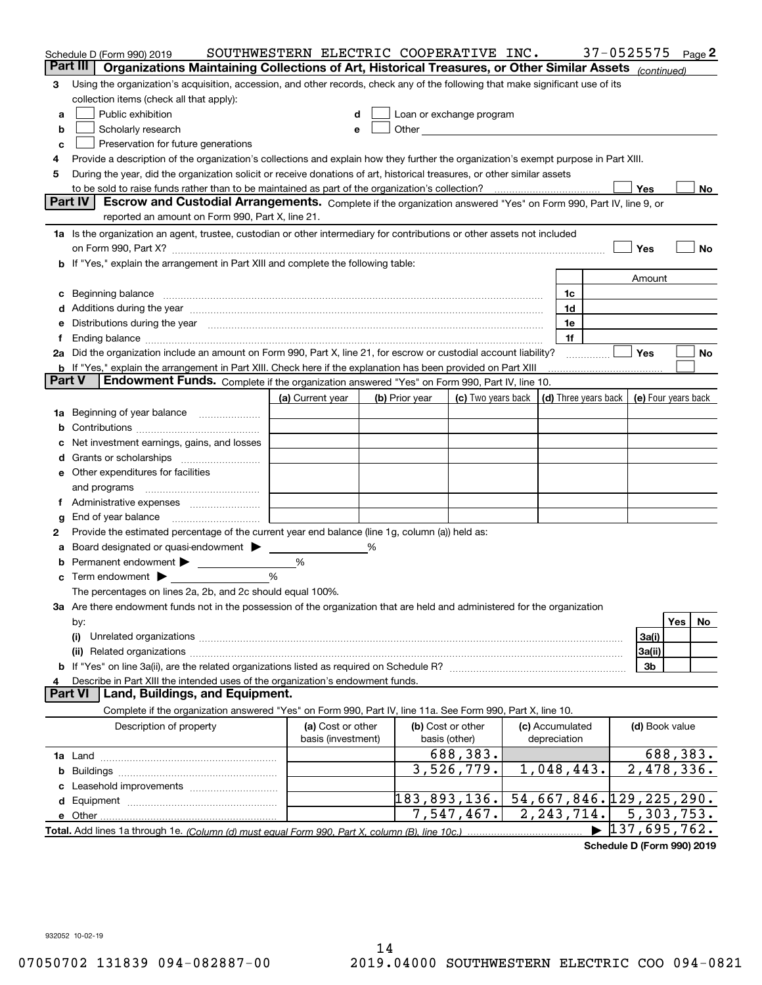| Part III<br>Organizations Maintaining Collections of Art, Historical Treasures, or Other Similar Assets (continued)<br>Using the organization's acquisition, accession, and other records, check any of the following that make significant use of its<br>3<br>collection items (check all that apply):<br>Public exhibition<br>Loan or exchange program<br>a<br>Other and the contract of the contract of the contract of the contract of the contract of the contract of the contract of the contract of the contract of the contract of the contract of the contract of the contract of the<br>Scholarly research<br>b<br>е<br>Preservation for future generations<br>c<br>Provide a description of the organization's collections and explain how they further the organization's exempt purpose in Part XIII.<br>4<br>During the year, did the organization solicit or receive donations of art, historical treasures, or other similar assets<br>5<br>Yes<br>No<br><b>Part IV</b><br>Escrow and Custodial Arrangements. Complete if the organization answered "Yes" on Form 990, Part IV, line 9, or<br>reported an amount on Form 990, Part X, line 21.<br>1a Is the organization an agent, trustee, custodian or other intermediary for contributions or other assets not included<br>Yes<br>No<br>on Form 990, Part X? [11] matter and the contract of the contract of the contract of the contract of the contract of the contract of the contract of the contract of the contract of the contract of the contract of the contr<br>b If "Yes," explain the arrangement in Part XIII and complete the following table:<br>Amount<br>1c<br>Additions during the year manufactured and an anti-manufactured and the year manufactured and all the year manufactured and all the year manufactured and all the year manufactured and all the year manufactured and all the<br>1d<br>Distributions during the year manufactured and continuum and contact the year manufactured and contact the year<br>1e<br>1f<br>Yes<br>2a Did the organization include an amount on Form 990, Part X, line 21, for escrow or custodial account liability?<br>No<br><b>b</b> If "Yes," explain the arrangement in Part XIII. Check here if the explanation has been provided on Part XIII<br>Part V<br>Endowment Funds. Complete if the organization answered "Yes" on Form 990, Part IV, line 10.<br>(c) Two years back<br>(d) Three years back<br>(a) Current year<br>(b) Prior year<br>(e) Four years back<br>Beginning of year balance<br>1a<br>Net investment earnings, gains, and losses<br>Other expenditures for facilities<br>е<br>and programs<br>End of year balance<br>g<br>Provide the estimated percentage of the current year end balance (line 1g, column (a)) held as:<br>2<br>Board designated or quasi-endowment<br>%<br>Permanent endowment ><br>%<br>%<br>Term endowment $\blacktriangleright$<br>с<br>The percentages on lines 2a, 2b, and 2c should equal 100%.<br>3a Are there endowment funds not in the possession of the organization that are held and administered for the organization<br>Yes<br>No<br>by:<br>3a(i)<br>(i)<br>3a(ii)<br>3b<br>Describe in Part XIII the intended uses of the organization's endowment funds.<br>Land, Buildings, and Equipment.<br>Part VI<br>Complete if the organization answered "Yes" on Form 990, Part IV, line 11a. See Form 990, Part X, line 10.<br>Description of property<br>(a) Cost or other<br>(b) Cost or other<br>(c) Accumulated<br>(d) Book value<br>basis (investment)<br>basis (other)<br>depreciation<br>688,383.<br>688,383.<br>$\overline{2,478,336}$ .<br>3,526,779.<br>1,048,443.<br>b<br>Leasehold improvements<br>183,893,136.<br>54,667,846. 129,225,290.<br>d<br>$\overline{5}$ , 303, 753.<br>2, 243, 714.<br>7,547,467.<br>e Other<br>137,695,762. | Schedule D (Form 990) 2019 | SOUTHWESTERN ELECTRIC COOPERATIVE INC. |  |  |  | 37-0525575 | Page 2 |
|----------------------------------------------------------------------------------------------------------------------------------------------------------------------------------------------------------------------------------------------------------------------------------------------------------------------------------------------------------------------------------------------------------------------------------------------------------------------------------------------------------------------------------------------------------------------------------------------------------------------------------------------------------------------------------------------------------------------------------------------------------------------------------------------------------------------------------------------------------------------------------------------------------------------------------------------------------------------------------------------------------------------------------------------------------------------------------------------------------------------------------------------------------------------------------------------------------------------------------------------------------------------------------------------------------------------------------------------------------------------------------------------------------------------------------------------------------------------------------------------------------------------------------------------------------------------------------------------------------------------------------------------------------------------------------------------------------------------------------------------------------------------------------------------------------------------------------------------------------------------------------------------------------------------------------------------------------------------------------------------------------------------------------------------------------------------------------------------------------------------------------------------------------------------------------------------------------------------------------------------------------------------------------------------------------------------------------------------------------------------------------------------------------------------------------------------------------------------------------------------------------------------------------------------------------------------------------------------------------------------------------------------------------------------------------------------------------------------------------------------------------------------------------------------------------------------------------------------------------------------------------------------------------------------------------------------------------------------------------------------------------------------------------------------------------------------------------------------------------------------------------------------------------------------------------------------------------------------------------------------------------------------------------------------------------------------------------------------------------------------------------------------------------------------------------------------------------------------------------------------------------------------------------------------------------------------------------------------------------------------------------------------------------------------------------------------------------------------------------------------------------------------------------------------------------------------------------------|----------------------------|----------------------------------------|--|--|--|------------|--------|
|                                                                                                                                                                                                                                                                                                                                                                                                                                                                                                                                                                                                                                                                                                                                                                                                                                                                                                                                                                                                                                                                                                                                                                                                                                                                                                                                                                                                                                                                                                                                                                                                                                                                                                                                                                                                                                                                                                                                                                                                                                                                                                                                                                                                                                                                                                                                                                                                                                                                                                                                                                                                                                                                                                                                                                                                                                                                                                                                                                                                                                                                                                                                                                                                                                                                                                                                                                                                                                                                                                                                                                                                                                                                                                                                                                                                                                        |                            |                                        |  |  |  |            |        |
|                                                                                                                                                                                                                                                                                                                                                                                                                                                                                                                                                                                                                                                                                                                                                                                                                                                                                                                                                                                                                                                                                                                                                                                                                                                                                                                                                                                                                                                                                                                                                                                                                                                                                                                                                                                                                                                                                                                                                                                                                                                                                                                                                                                                                                                                                                                                                                                                                                                                                                                                                                                                                                                                                                                                                                                                                                                                                                                                                                                                                                                                                                                                                                                                                                                                                                                                                                                                                                                                                                                                                                                                                                                                                                                                                                                                                                        |                            |                                        |  |  |  |            |        |
|                                                                                                                                                                                                                                                                                                                                                                                                                                                                                                                                                                                                                                                                                                                                                                                                                                                                                                                                                                                                                                                                                                                                                                                                                                                                                                                                                                                                                                                                                                                                                                                                                                                                                                                                                                                                                                                                                                                                                                                                                                                                                                                                                                                                                                                                                                                                                                                                                                                                                                                                                                                                                                                                                                                                                                                                                                                                                                                                                                                                                                                                                                                                                                                                                                                                                                                                                                                                                                                                                                                                                                                                                                                                                                                                                                                                                                        |                            |                                        |  |  |  |            |        |
|                                                                                                                                                                                                                                                                                                                                                                                                                                                                                                                                                                                                                                                                                                                                                                                                                                                                                                                                                                                                                                                                                                                                                                                                                                                                                                                                                                                                                                                                                                                                                                                                                                                                                                                                                                                                                                                                                                                                                                                                                                                                                                                                                                                                                                                                                                                                                                                                                                                                                                                                                                                                                                                                                                                                                                                                                                                                                                                                                                                                                                                                                                                                                                                                                                                                                                                                                                                                                                                                                                                                                                                                                                                                                                                                                                                                                                        |                            |                                        |  |  |  |            |        |
|                                                                                                                                                                                                                                                                                                                                                                                                                                                                                                                                                                                                                                                                                                                                                                                                                                                                                                                                                                                                                                                                                                                                                                                                                                                                                                                                                                                                                                                                                                                                                                                                                                                                                                                                                                                                                                                                                                                                                                                                                                                                                                                                                                                                                                                                                                                                                                                                                                                                                                                                                                                                                                                                                                                                                                                                                                                                                                                                                                                                                                                                                                                                                                                                                                                                                                                                                                                                                                                                                                                                                                                                                                                                                                                                                                                                                                        |                            |                                        |  |  |  |            |        |
|                                                                                                                                                                                                                                                                                                                                                                                                                                                                                                                                                                                                                                                                                                                                                                                                                                                                                                                                                                                                                                                                                                                                                                                                                                                                                                                                                                                                                                                                                                                                                                                                                                                                                                                                                                                                                                                                                                                                                                                                                                                                                                                                                                                                                                                                                                                                                                                                                                                                                                                                                                                                                                                                                                                                                                                                                                                                                                                                                                                                                                                                                                                                                                                                                                                                                                                                                                                                                                                                                                                                                                                                                                                                                                                                                                                                                                        |                            |                                        |  |  |  |            |        |
|                                                                                                                                                                                                                                                                                                                                                                                                                                                                                                                                                                                                                                                                                                                                                                                                                                                                                                                                                                                                                                                                                                                                                                                                                                                                                                                                                                                                                                                                                                                                                                                                                                                                                                                                                                                                                                                                                                                                                                                                                                                                                                                                                                                                                                                                                                                                                                                                                                                                                                                                                                                                                                                                                                                                                                                                                                                                                                                                                                                                                                                                                                                                                                                                                                                                                                                                                                                                                                                                                                                                                                                                                                                                                                                                                                                                                                        |                            |                                        |  |  |  |            |        |
|                                                                                                                                                                                                                                                                                                                                                                                                                                                                                                                                                                                                                                                                                                                                                                                                                                                                                                                                                                                                                                                                                                                                                                                                                                                                                                                                                                                                                                                                                                                                                                                                                                                                                                                                                                                                                                                                                                                                                                                                                                                                                                                                                                                                                                                                                                                                                                                                                                                                                                                                                                                                                                                                                                                                                                                                                                                                                                                                                                                                                                                                                                                                                                                                                                                                                                                                                                                                                                                                                                                                                                                                                                                                                                                                                                                                                                        |                            |                                        |  |  |  |            |        |
|                                                                                                                                                                                                                                                                                                                                                                                                                                                                                                                                                                                                                                                                                                                                                                                                                                                                                                                                                                                                                                                                                                                                                                                                                                                                                                                                                                                                                                                                                                                                                                                                                                                                                                                                                                                                                                                                                                                                                                                                                                                                                                                                                                                                                                                                                                                                                                                                                                                                                                                                                                                                                                                                                                                                                                                                                                                                                                                                                                                                                                                                                                                                                                                                                                                                                                                                                                                                                                                                                                                                                                                                                                                                                                                                                                                                                                        |                            |                                        |  |  |  |            |        |
|                                                                                                                                                                                                                                                                                                                                                                                                                                                                                                                                                                                                                                                                                                                                                                                                                                                                                                                                                                                                                                                                                                                                                                                                                                                                                                                                                                                                                                                                                                                                                                                                                                                                                                                                                                                                                                                                                                                                                                                                                                                                                                                                                                                                                                                                                                                                                                                                                                                                                                                                                                                                                                                                                                                                                                                                                                                                                                                                                                                                                                                                                                                                                                                                                                                                                                                                                                                                                                                                                                                                                                                                                                                                                                                                                                                                                                        |                            |                                        |  |  |  |            |        |
|                                                                                                                                                                                                                                                                                                                                                                                                                                                                                                                                                                                                                                                                                                                                                                                                                                                                                                                                                                                                                                                                                                                                                                                                                                                                                                                                                                                                                                                                                                                                                                                                                                                                                                                                                                                                                                                                                                                                                                                                                                                                                                                                                                                                                                                                                                                                                                                                                                                                                                                                                                                                                                                                                                                                                                                                                                                                                                                                                                                                                                                                                                                                                                                                                                                                                                                                                                                                                                                                                                                                                                                                                                                                                                                                                                                                                                        |                            |                                        |  |  |  |            |        |
|                                                                                                                                                                                                                                                                                                                                                                                                                                                                                                                                                                                                                                                                                                                                                                                                                                                                                                                                                                                                                                                                                                                                                                                                                                                                                                                                                                                                                                                                                                                                                                                                                                                                                                                                                                                                                                                                                                                                                                                                                                                                                                                                                                                                                                                                                                                                                                                                                                                                                                                                                                                                                                                                                                                                                                                                                                                                                                                                                                                                                                                                                                                                                                                                                                                                                                                                                                                                                                                                                                                                                                                                                                                                                                                                                                                                                                        |                            |                                        |  |  |  |            |        |
|                                                                                                                                                                                                                                                                                                                                                                                                                                                                                                                                                                                                                                                                                                                                                                                                                                                                                                                                                                                                                                                                                                                                                                                                                                                                                                                                                                                                                                                                                                                                                                                                                                                                                                                                                                                                                                                                                                                                                                                                                                                                                                                                                                                                                                                                                                                                                                                                                                                                                                                                                                                                                                                                                                                                                                                                                                                                                                                                                                                                                                                                                                                                                                                                                                                                                                                                                                                                                                                                                                                                                                                                                                                                                                                                                                                                                                        |                            |                                        |  |  |  |            |        |
|                                                                                                                                                                                                                                                                                                                                                                                                                                                                                                                                                                                                                                                                                                                                                                                                                                                                                                                                                                                                                                                                                                                                                                                                                                                                                                                                                                                                                                                                                                                                                                                                                                                                                                                                                                                                                                                                                                                                                                                                                                                                                                                                                                                                                                                                                                                                                                                                                                                                                                                                                                                                                                                                                                                                                                                                                                                                                                                                                                                                                                                                                                                                                                                                                                                                                                                                                                                                                                                                                                                                                                                                                                                                                                                                                                                                                                        |                            |                                        |  |  |  |            |        |
|                                                                                                                                                                                                                                                                                                                                                                                                                                                                                                                                                                                                                                                                                                                                                                                                                                                                                                                                                                                                                                                                                                                                                                                                                                                                                                                                                                                                                                                                                                                                                                                                                                                                                                                                                                                                                                                                                                                                                                                                                                                                                                                                                                                                                                                                                                                                                                                                                                                                                                                                                                                                                                                                                                                                                                                                                                                                                                                                                                                                                                                                                                                                                                                                                                                                                                                                                                                                                                                                                                                                                                                                                                                                                                                                                                                                                                        |                            |                                        |  |  |  |            |        |
|                                                                                                                                                                                                                                                                                                                                                                                                                                                                                                                                                                                                                                                                                                                                                                                                                                                                                                                                                                                                                                                                                                                                                                                                                                                                                                                                                                                                                                                                                                                                                                                                                                                                                                                                                                                                                                                                                                                                                                                                                                                                                                                                                                                                                                                                                                                                                                                                                                                                                                                                                                                                                                                                                                                                                                                                                                                                                                                                                                                                                                                                                                                                                                                                                                                                                                                                                                                                                                                                                                                                                                                                                                                                                                                                                                                                                                        |                            |                                        |  |  |  |            |        |
|                                                                                                                                                                                                                                                                                                                                                                                                                                                                                                                                                                                                                                                                                                                                                                                                                                                                                                                                                                                                                                                                                                                                                                                                                                                                                                                                                                                                                                                                                                                                                                                                                                                                                                                                                                                                                                                                                                                                                                                                                                                                                                                                                                                                                                                                                                                                                                                                                                                                                                                                                                                                                                                                                                                                                                                                                                                                                                                                                                                                                                                                                                                                                                                                                                                                                                                                                                                                                                                                                                                                                                                                                                                                                                                                                                                                                                        |                            |                                        |  |  |  |            |        |
|                                                                                                                                                                                                                                                                                                                                                                                                                                                                                                                                                                                                                                                                                                                                                                                                                                                                                                                                                                                                                                                                                                                                                                                                                                                                                                                                                                                                                                                                                                                                                                                                                                                                                                                                                                                                                                                                                                                                                                                                                                                                                                                                                                                                                                                                                                                                                                                                                                                                                                                                                                                                                                                                                                                                                                                                                                                                                                                                                                                                                                                                                                                                                                                                                                                                                                                                                                                                                                                                                                                                                                                                                                                                                                                                                                                                                                        |                            |                                        |  |  |  |            |        |
|                                                                                                                                                                                                                                                                                                                                                                                                                                                                                                                                                                                                                                                                                                                                                                                                                                                                                                                                                                                                                                                                                                                                                                                                                                                                                                                                                                                                                                                                                                                                                                                                                                                                                                                                                                                                                                                                                                                                                                                                                                                                                                                                                                                                                                                                                                                                                                                                                                                                                                                                                                                                                                                                                                                                                                                                                                                                                                                                                                                                                                                                                                                                                                                                                                                                                                                                                                                                                                                                                                                                                                                                                                                                                                                                                                                                                                        |                            |                                        |  |  |  |            |        |
|                                                                                                                                                                                                                                                                                                                                                                                                                                                                                                                                                                                                                                                                                                                                                                                                                                                                                                                                                                                                                                                                                                                                                                                                                                                                                                                                                                                                                                                                                                                                                                                                                                                                                                                                                                                                                                                                                                                                                                                                                                                                                                                                                                                                                                                                                                                                                                                                                                                                                                                                                                                                                                                                                                                                                                                                                                                                                                                                                                                                                                                                                                                                                                                                                                                                                                                                                                                                                                                                                                                                                                                                                                                                                                                                                                                                                                        |                            |                                        |  |  |  |            |        |
|                                                                                                                                                                                                                                                                                                                                                                                                                                                                                                                                                                                                                                                                                                                                                                                                                                                                                                                                                                                                                                                                                                                                                                                                                                                                                                                                                                                                                                                                                                                                                                                                                                                                                                                                                                                                                                                                                                                                                                                                                                                                                                                                                                                                                                                                                                                                                                                                                                                                                                                                                                                                                                                                                                                                                                                                                                                                                                                                                                                                                                                                                                                                                                                                                                                                                                                                                                                                                                                                                                                                                                                                                                                                                                                                                                                                                                        |                            |                                        |  |  |  |            |        |
|                                                                                                                                                                                                                                                                                                                                                                                                                                                                                                                                                                                                                                                                                                                                                                                                                                                                                                                                                                                                                                                                                                                                                                                                                                                                                                                                                                                                                                                                                                                                                                                                                                                                                                                                                                                                                                                                                                                                                                                                                                                                                                                                                                                                                                                                                                                                                                                                                                                                                                                                                                                                                                                                                                                                                                                                                                                                                                                                                                                                                                                                                                                                                                                                                                                                                                                                                                                                                                                                                                                                                                                                                                                                                                                                                                                                                                        |                            |                                        |  |  |  |            |        |
|                                                                                                                                                                                                                                                                                                                                                                                                                                                                                                                                                                                                                                                                                                                                                                                                                                                                                                                                                                                                                                                                                                                                                                                                                                                                                                                                                                                                                                                                                                                                                                                                                                                                                                                                                                                                                                                                                                                                                                                                                                                                                                                                                                                                                                                                                                                                                                                                                                                                                                                                                                                                                                                                                                                                                                                                                                                                                                                                                                                                                                                                                                                                                                                                                                                                                                                                                                                                                                                                                                                                                                                                                                                                                                                                                                                                                                        |                            |                                        |  |  |  |            |        |
|                                                                                                                                                                                                                                                                                                                                                                                                                                                                                                                                                                                                                                                                                                                                                                                                                                                                                                                                                                                                                                                                                                                                                                                                                                                                                                                                                                                                                                                                                                                                                                                                                                                                                                                                                                                                                                                                                                                                                                                                                                                                                                                                                                                                                                                                                                                                                                                                                                                                                                                                                                                                                                                                                                                                                                                                                                                                                                                                                                                                                                                                                                                                                                                                                                                                                                                                                                                                                                                                                                                                                                                                                                                                                                                                                                                                                                        |                            |                                        |  |  |  |            |        |
|                                                                                                                                                                                                                                                                                                                                                                                                                                                                                                                                                                                                                                                                                                                                                                                                                                                                                                                                                                                                                                                                                                                                                                                                                                                                                                                                                                                                                                                                                                                                                                                                                                                                                                                                                                                                                                                                                                                                                                                                                                                                                                                                                                                                                                                                                                                                                                                                                                                                                                                                                                                                                                                                                                                                                                                                                                                                                                                                                                                                                                                                                                                                                                                                                                                                                                                                                                                                                                                                                                                                                                                                                                                                                                                                                                                                                                        |                            |                                        |  |  |  |            |        |
|                                                                                                                                                                                                                                                                                                                                                                                                                                                                                                                                                                                                                                                                                                                                                                                                                                                                                                                                                                                                                                                                                                                                                                                                                                                                                                                                                                                                                                                                                                                                                                                                                                                                                                                                                                                                                                                                                                                                                                                                                                                                                                                                                                                                                                                                                                                                                                                                                                                                                                                                                                                                                                                                                                                                                                                                                                                                                                                                                                                                                                                                                                                                                                                                                                                                                                                                                                                                                                                                                                                                                                                                                                                                                                                                                                                                                                        |                            |                                        |  |  |  |            |        |
|                                                                                                                                                                                                                                                                                                                                                                                                                                                                                                                                                                                                                                                                                                                                                                                                                                                                                                                                                                                                                                                                                                                                                                                                                                                                                                                                                                                                                                                                                                                                                                                                                                                                                                                                                                                                                                                                                                                                                                                                                                                                                                                                                                                                                                                                                                                                                                                                                                                                                                                                                                                                                                                                                                                                                                                                                                                                                                                                                                                                                                                                                                                                                                                                                                                                                                                                                                                                                                                                                                                                                                                                                                                                                                                                                                                                                                        |                            |                                        |  |  |  |            |        |
|                                                                                                                                                                                                                                                                                                                                                                                                                                                                                                                                                                                                                                                                                                                                                                                                                                                                                                                                                                                                                                                                                                                                                                                                                                                                                                                                                                                                                                                                                                                                                                                                                                                                                                                                                                                                                                                                                                                                                                                                                                                                                                                                                                                                                                                                                                                                                                                                                                                                                                                                                                                                                                                                                                                                                                                                                                                                                                                                                                                                                                                                                                                                                                                                                                                                                                                                                                                                                                                                                                                                                                                                                                                                                                                                                                                                                                        |                            |                                        |  |  |  |            |        |
|                                                                                                                                                                                                                                                                                                                                                                                                                                                                                                                                                                                                                                                                                                                                                                                                                                                                                                                                                                                                                                                                                                                                                                                                                                                                                                                                                                                                                                                                                                                                                                                                                                                                                                                                                                                                                                                                                                                                                                                                                                                                                                                                                                                                                                                                                                                                                                                                                                                                                                                                                                                                                                                                                                                                                                                                                                                                                                                                                                                                                                                                                                                                                                                                                                                                                                                                                                                                                                                                                                                                                                                                                                                                                                                                                                                                                                        |                            |                                        |  |  |  |            |        |
|                                                                                                                                                                                                                                                                                                                                                                                                                                                                                                                                                                                                                                                                                                                                                                                                                                                                                                                                                                                                                                                                                                                                                                                                                                                                                                                                                                                                                                                                                                                                                                                                                                                                                                                                                                                                                                                                                                                                                                                                                                                                                                                                                                                                                                                                                                                                                                                                                                                                                                                                                                                                                                                                                                                                                                                                                                                                                                                                                                                                                                                                                                                                                                                                                                                                                                                                                                                                                                                                                                                                                                                                                                                                                                                                                                                                                                        |                            |                                        |  |  |  |            |        |
|                                                                                                                                                                                                                                                                                                                                                                                                                                                                                                                                                                                                                                                                                                                                                                                                                                                                                                                                                                                                                                                                                                                                                                                                                                                                                                                                                                                                                                                                                                                                                                                                                                                                                                                                                                                                                                                                                                                                                                                                                                                                                                                                                                                                                                                                                                                                                                                                                                                                                                                                                                                                                                                                                                                                                                                                                                                                                                                                                                                                                                                                                                                                                                                                                                                                                                                                                                                                                                                                                                                                                                                                                                                                                                                                                                                                                                        |                            |                                        |  |  |  |            |        |
|                                                                                                                                                                                                                                                                                                                                                                                                                                                                                                                                                                                                                                                                                                                                                                                                                                                                                                                                                                                                                                                                                                                                                                                                                                                                                                                                                                                                                                                                                                                                                                                                                                                                                                                                                                                                                                                                                                                                                                                                                                                                                                                                                                                                                                                                                                                                                                                                                                                                                                                                                                                                                                                                                                                                                                                                                                                                                                                                                                                                                                                                                                                                                                                                                                                                                                                                                                                                                                                                                                                                                                                                                                                                                                                                                                                                                                        |                            |                                        |  |  |  |            |        |
|                                                                                                                                                                                                                                                                                                                                                                                                                                                                                                                                                                                                                                                                                                                                                                                                                                                                                                                                                                                                                                                                                                                                                                                                                                                                                                                                                                                                                                                                                                                                                                                                                                                                                                                                                                                                                                                                                                                                                                                                                                                                                                                                                                                                                                                                                                                                                                                                                                                                                                                                                                                                                                                                                                                                                                                                                                                                                                                                                                                                                                                                                                                                                                                                                                                                                                                                                                                                                                                                                                                                                                                                                                                                                                                                                                                                                                        |                            |                                        |  |  |  |            |        |
|                                                                                                                                                                                                                                                                                                                                                                                                                                                                                                                                                                                                                                                                                                                                                                                                                                                                                                                                                                                                                                                                                                                                                                                                                                                                                                                                                                                                                                                                                                                                                                                                                                                                                                                                                                                                                                                                                                                                                                                                                                                                                                                                                                                                                                                                                                                                                                                                                                                                                                                                                                                                                                                                                                                                                                                                                                                                                                                                                                                                                                                                                                                                                                                                                                                                                                                                                                                                                                                                                                                                                                                                                                                                                                                                                                                                                                        |                            |                                        |  |  |  |            |        |
|                                                                                                                                                                                                                                                                                                                                                                                                                                                                                                                                                                                                                                                                                                                                                                                                                                                                                                                                                                                                                                                                                                                                                                                                                                                                                                                                                                                                                                                                                                                                                                                                                                                                                                                                                                                                                                                                                                                                                                                                                                                                                                                                                                                                                                                                                                                                                                                                                                                                                                                                                                                                                                                                                                                                                                                                                                                                                                                                                                                                                                                                                                                                                                                                                                                                                                                                                                                                                                                                                                                                                                                                                                                                                                                                                                                                                                        |                            |                                        |  |  |  |            |        |
|                                                                                                                                                                                                                                                                                                                                                                                                                                                                                                                                                                                                                                                                                                                                                                                                                                                                                                                                                                                                                                                                                                                                                                                                                                                                                                                                                                                                                                                                                                                                                                                                                                                                                                                                                                                                                                                                                                                                                                                                                                                                                                                                                                                                                                                                                                                                                                                                                                                                                                                                                                                                                                                                                                                                                                                                                                                                                                                                                                                                                                                                                                                                                                                                                                                                                                                                                                                                                                                                                                                                                                                                                                                                                                                                                                                                                                        |                            |                                        |  |  |  |            |        |
|                                                                                                                                                                                                                                                                                                                                                                                                                                                                                                                                                                                                                                                                                                                                                                                                                                                                                                                                                                                                                                                                                                                                                                                                                                                                                                                                                                                                                                                                                                                                                                                                                                                                                                                                                                                                                                                                                                                                                                                                                                                                                                                                                                                                                                                                                                                                                                                                                                                                                                                                                                                                                                                                                                                                                                                                                                                                                                                                                                                                                                                                                                                                                                                                                                                                                                                                                                                                                                                                                                                                                                                                                                                                                                                                                                                                                                        |                            |                                        |  |  |  |            |        |
|                                                                                                                                                                                                                                                                                                                                                                                                                                                                                                                                                                                                                                                                                                                                                                                                                                                                                                                                                                                                                                                                                                                                                                                                                                                                                                                                                                                                                                                                                                                                                                                                                                                                                                                                                                                                                                                                                                                                                                                                                                                                                                                                                                                                                                                                                                                                                                                                                                                                                                                                                                                                                                                                                                                                                                                                                                                                                                                                                                                                                                                                                                                                                                                                                                                                                                                                                                                                                                                                                                                                                                                                                                                                                                                                                                                                                                        |                            |                                        |  |  |  |            |        |
|                                                                                                                                                                                                                                                                                                                                                                                                                                                                                                                                                                                                                                                                                                                                                                                                                                                                                                                                                                                                                                                                                                                                                                                                                                                                                                                                                                                                                                                                                                                                                                                                                                                                                                                                                                                                                                                                                                                                                                                                                                                                                                                                                                                                                                                                                                                                                                                                                                                                                                                                                                                                                                                                                                                                                                                                                                                                                                                                                                                                                                                                                                                                                                                                                                                                                                                                                                                                                                                                                                                                                                                                                                                                                                                                                                                                                                        |                            |                                        |  |  |  |            |        |
|                                                                                                                                                                                                                                                                                                                                                                                                                                                                                                                                                                                                                                                                                                                                                                                                                                                                                                                                                                                                                                                                                                                                                                                                                                                                                                                                                                                                                                                                                                                                                                                                                                                                                                                                                                                                                                                                                                                                                                                                                                                                                                                                                                                                                                                                                                                                                                                                                                                                                                                                                                                                                                                                                                                                                                                                                                                                                                                                                                                                                                                                                                                                                                                                                                                                                                                                                                                                                                                                                                                                                                                                                                                                                                                                                                                                                                        |                            |                                        |  |  |  |            |        |
|                                                                                                                                                                                                                                                                                                                                                                                                                                                                                                                                                                                                                                                                                                                                                                                                                                                                                                                                                                                                                                                                                                                                                                                                                                                                                                                                                                                                                                                                                                                                                                                                                                                                                                                                                                                                                                                                                                                                                                                                                                                                                                                                                                                                                                                                                                                                                                                                                                                                                                                                                                                                                                                                                                                                                                                                                                                                                                                                                                                                                                                                                                                                                                                                                                                                                                                                                                                                                                                                                                                                                                                                                                                                                                                                                                                                                                        |                            |                                        |  |  |  |            |        |
|                                                                                                                                                                                                                                                                                                                                                                                                                                                                                                                                                                                                                                                                                                                                                                                                                                                                                                                                                                                                                                                                                                                                                                                                                                                                                                                                                                                                                                                                                                                                                                                                                                                                                                                                                                                                                                                                                                                                                                                                                                                                                                                                                                                                                                                                                                                                                                                                                                                                                                                                                                                                                                                                                                                                                                                                                                                                                                                                                                                                                                                                                                                                                                                                                                                                                                                                                                                                                                                                                                                                                                                                                                                                                                                                                                                                                                        |                            |                                        |  |  |  |            |        |
|                                                                                                                                                                                                                                                                                                                                                                                                                                                                                                                                                                                                                                                                                                                                                                                                                                                                                                                                                                                                                                                                                                                                                                                                                                                                                                                                                                                                                                                                                                                                                                                                                                                                                                                                                                                                                                                                                                                                                                                                                                                                                                                                                                                                                                                                                                                                                                                                                                                                                                                                                                                                                                                                                                                                                                                                                                                                                                                                                                                                                                                                                                                                                                                                                                                                                                                                                                                                                                                                                                                                                                                                                                                                                                                                                                                                                                        |                            |                                        |  |  |  |            |        |
|                                                                                                                                                                                                                                                                                                                                                                                                                                                                                                                                                                                                                                                                                                                                                                                                                                                                                                                                                                                                                                                                                                                                                                                                                                                                                                                                                                                                                                                                                                                                                                                                                                                                                                                                                                                                                                                                                                                                                                                                                                                                                                                                                                                                                                                                                                                                                                                                                                                                                                                                                                                                                                                                                                                                                                                                                                                                                                                                                                                                                                                                                                                                                                                                                                                                                                                                                                                                                                                                                                                                                                                                                                                                                                                                                                                                                                        |                            |                                        |  |  |  |            |        |
|                                                                                                                                                                                                                                                                                                                                                                                                                                                                                                                                                                                                                                                                                                                                                                                                                                                                                                                                                                                                                                                                                                                                                                                                                                                                                                                                                                                                                                                                                                                                                                                                                                                                                                                                                                                                                                                                                                                                                                                                                                                                                                                                                                                                                                                                                                                                                                                                                                                                                                                                                                                                                                                                                                                                                                                                                                                                                                                                                                                                                                                                                                                                                                                                                                                                                                                                                                                                                                                                                                                                                                                                                                                                                                                                                                                                                                        |                            |                                        |  |  |  |            |        |
|                                                                                                                                                                                                                                                                                                                                                                                                                                                                                                                                                                                                                                                                                                                                                                                                                                                                                                                                                                                                                                                                                                                                                                                                                                                                                                                                                                                                                                                                                                                                                                                                                                                                                                                                                                                                                                                                                                                                                                                                                                                                                                                                                                                                                                                                                                                                                                                                                                                                                                                                                                                                                                                                                                                                                                                                                                                                                                                                                                                                                                                                                                                                                                                                                                                                                                                                                                                                                                                                                                                                                                                                                                                                                                                                                                                                                                        |                            |                                        |  |  |  |            |        |
|                                                                                                                                                                                                                                                                                                                                                                                                                                                                                                                                                                                                                                                                                                                                                                                                                                                                                                                                                                                                                                                                                                                                                                                                                                                                                                                                                                                                                                                                                                                                                                                                                                                                                                                                                                                                                                                                                                                                                                                                                                                                                                                                                                                                                                                                                                                                                                                                                                                                                                                                                                                                                                                                                                                                                                                                                                                                                                                                                                                                                                                                                                                                                                                                                                                                                                                                                                                                                                                                                                                                                                                                                                                                                                                                                                                                                                        |                            |                                        |  |  |  |            |        |
|                                                                                                                                                                                                                                                                                                                                                                                                                                                                                                                                                                                                                                                                                                                                                                                                                                                                                                                                                                                                                                                                                                                                                                                                                                                                                                                                                                                                                                                                                                                                                                                                                                                                                                                                                                                                                                                                                                                                                                                                                                                                                                                                                                                                                                                                                                                                                                                                                                                                                                                                                                                                                                                                                                                                                                                                                                                                                                                                                                                                                                                                                                                                                                                                                                                                                                                                                                                                                                                                                                                                                                                                                                                                                                                                                                                                                                        |                            |                                        |  |  |  |            |        |
|                                                                                                                                                                                                                                                                                                                                                                                                                                                                                                                                                                                                                                                                                                                                                                                                                                                                                                                                                                                                                                                                                                                                                                                                                                                                                                                                                                                                                                                                                                                                                                                                                                                                                                                                                                                                                                                                                                                                                                                                                                                                                                                                                                                                                                                                                                                                                                                                                                                                                                                                                                                                                                                                                                                                                                                                                                                                                                                                                                                                                                                                                                                                                                                                                                                                                                                                                                                                                                                                                                                                                                                                                                                                                                                                                                                                                                        |                            |                                        |  |  |  |            |        |
|                                                                                                                                                                                                                                                                                                                                                                                                                                                                                                                                                                                                                                                                                                                                                                                                                                                                                                                                                                                                                                                                                                                                                                                                                                                                                                                                                                                                                                                                                                                                                                                                                                                                                                                                                                                                                                                                                                                                                                                                                                                                                                                                                                                                                                                                                                                                                                                                                                                                                                                                                                                                                                                                                                                                                                                                                                                                                                                                                                                                                                                                                                                                                                                                                                                                                                                                                                                                                                                                                                                                                                                                                                                                                                                                                                                                                                        |                            |                                        |  |  |  |            |        |

**Schedule D (Form 990) 2019**

932052 10-02-19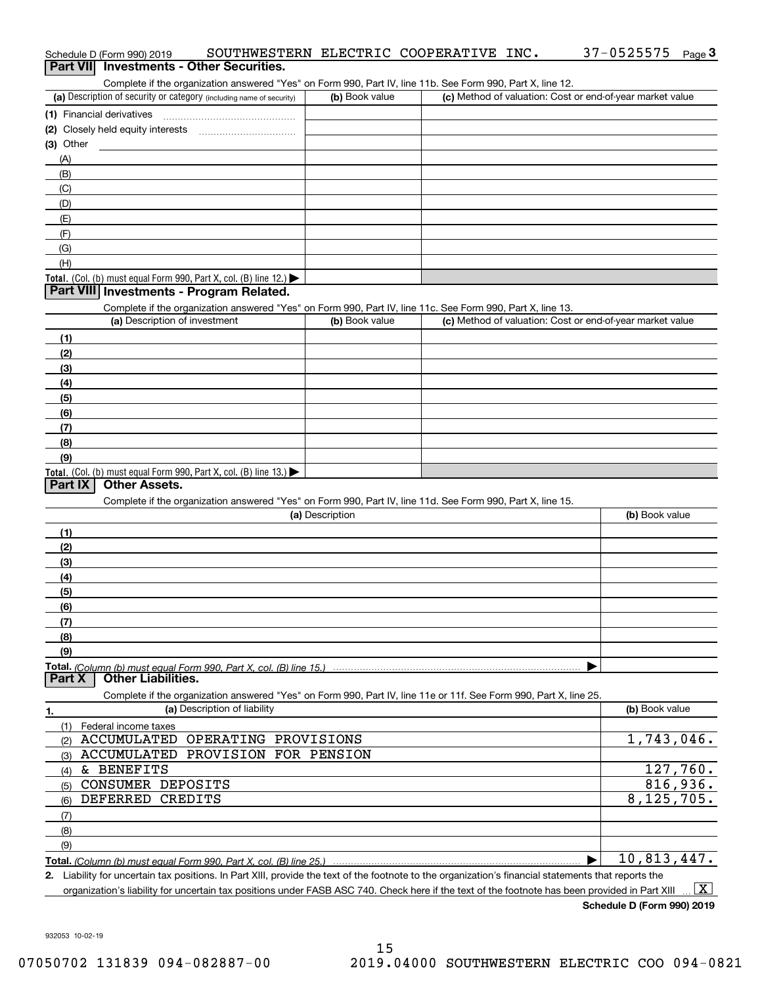| (a) Description of security or category (including name of security)                                              | (b) Book value  | (c) Method of valuation: Cost or end-of-year market value |                |
|-------------------------------------------------------------------------------------------------------------------|-----------------|-----------------------------------------------------------|----------------|
| (1) Financial derivatives                                                                                         |                 |                                                           |                |
|                                                                                                                   |                 |                                                           |                |
| $(3)$ Other                                                                                                       |                 |                                                           |                |
| (A)                                                                                                               |                 |                                                           |                |
| (B)                                                                                                               |                 |                                                           |                |
| (C)                                                                                                               |                 |                                                           |                |
| (D)                                                                                                               |                 |                                                           |                |
| (E)                                                                                                               |                 |                                                           |                |
| (F)                                                                                                               |                 |                                                           |                |
| (G)                                                                                                               |                 |                                                           |                |
| (H)                                                                                                               |                 |                                                           |                |
| <b>Total.</b> (Col. (b) must equal Form 990, Part X, col. (B) line 12.)                                           |                 |                                                           |                |
| Part VIII Investments - Program Related.                                                                          |                 |                                                           |                |
| Complete if the organization answered "Yes" on Form 990, Part IV, line 11c. See Form 990, Part X, line 13.        |                 |                                                           |                |
| (a) Description of investment                                                                                     | (b) Book value  | (c) Method of valuation: Cost or end-of-year market value |                |
| (1)                                                                                                               |                 |                                                           |                |
| (2)                                                                                                               |                 |                                                           |                |
| (3)                                                                                                               |                 |                                                           |                |
| (4)                                                                                                               |                 |                                                           |                |
| (5)                                                                                                               |                 |                                                           |                |
| (6)                                                                                                               |                 |                                                           |                |
| (7)                                                                                                               |                 |                                                           |                |
| (8)                                                                                                               |                 |                                                           |                |
| (9)                                                                                                               |                 |                                                           |                |
| <b>Total.</b> (Col. (b) must equal Form 990, Part X, col. (B) line $13.$                                          |                 |                                                           |                |
| <b>Other Assets.</b><br>Part IX                                                                                   |                 |                                                           |                |
| Complete if the organization answered "Yes" on Form 990, Part IV, line 11d. See Form 990, Part X, line 15.        |                 |                                                           |                |
|                                                                                                                   | (a) Description |                                                           | (b) Book value |
| (1)                                                                                                               |                 |                                                           |                |
| (2)                                                                                                               |                 |                                                           |                |
| (3)                                                                                                               |                 |                                                           |                |
| (4)                                                                                                               |                 |                                                           |                |
| (5)                                                                                                               |                 |                                                           |                |
| (6)                                                                                                               |                 |                                                           |                |
| (7)                                                                                                               |                 |                                                           |                |
|                                                                                                                   |                 |                                                           |                |
| (8)                                                                                                               |                 |                                                           |                |
| (9)                                                                                                               |                 |                                                           |                |
| <b>Part X</b><br><b>Other Liabilities.</b>                                                                        |                 |                                                           |                |
| Complete if the organization answered "Yes" on Form 990, Part IV, line 11e or 11f. See Form 990, Part X, line 25. |                 |                                                           |                |
| (a) Description of liability                                                                                      |                 |                                                           | (b) Book value |
| <u>1.</u>                                                                                                         |                 |                                                           |                |
| (1) Federal income taxes<br>ACCUMULATED OPERATING PROVISIONS                                                      |                 |                                                           | 1,743,046.     |
| (2)<br>ACCUMULATED PROVISION FOR PENSION                                                                          |                 |                                                           |                |
| (3)                                                                                                               |                 |                                                           | 127,760.       |
| & BENEFITS<br>(4)                                                                                                 |                 |                                                           |                |
| CONSUMER DEPOSITS<br>(5)                                                                                          |                 |                                                           | 816,936.       |
| DEFERRED CREDITS<br>(6)                                                                                           |                 |                                                           | 8,125,705.     |
| (7)                                                                                                               |                 |                                                           |                |
| (8)                                                                                                               |                 |                                                           |                |
| (9)                                                                                                               |                 |                                                           |                |
| <b>Total.</b> (Column (b) must equal Form 990. Part X. col. (B) line 25.) ……………………………………………………                    |                 |                                                           | 10,813,447.    |

**2.** Liability for uncertain tax positions. In Part XIII, provide the text of the footnote to the organization's financial statements that reports the organization's liability for uncertain tax positions under FASB ASC 740. Check here if the text of the footnote has been provided in Part XIII  $\boxed{\text{X}}$ 

15

932053 10-02-19

# Schedule D (Form 990) 2019 SOUTHWESTERN ELECTRIC COOPERATIVE INC **.** 37-0525575 <sub>Page</sub> 3<br>| **Part VII** | Investments - Other Securities.

Complete if the organization answered "Yes" on Form 990, Part IV, line 11b. See Form 990, Part X, line 12.

| (a) Description of security or category (including name of security) | (b) Book value | (c) Method of valuation: Cost or end-of-year market value |
|----------------------------------------------------------------------|----------------|-----------------------------------------------------------|
| (1) Financial derivatives                                            |                |                                                           |
| (2) Closely held equity interests<br>                                |                |                                                           |
| (3) Other                                                            |                |                                                           |
| (A)                                                                  |                |                                                           |
| (B)                                                                  |                |                                                           |
| (C)                                                                  |                |                                                           |
| (D)                                                                  |                |                                                           |
| (E)                                                                  |                |                                                           |
| (F)                                                                  |                |                                                           |
| (G)                                                                  |                |                                                           |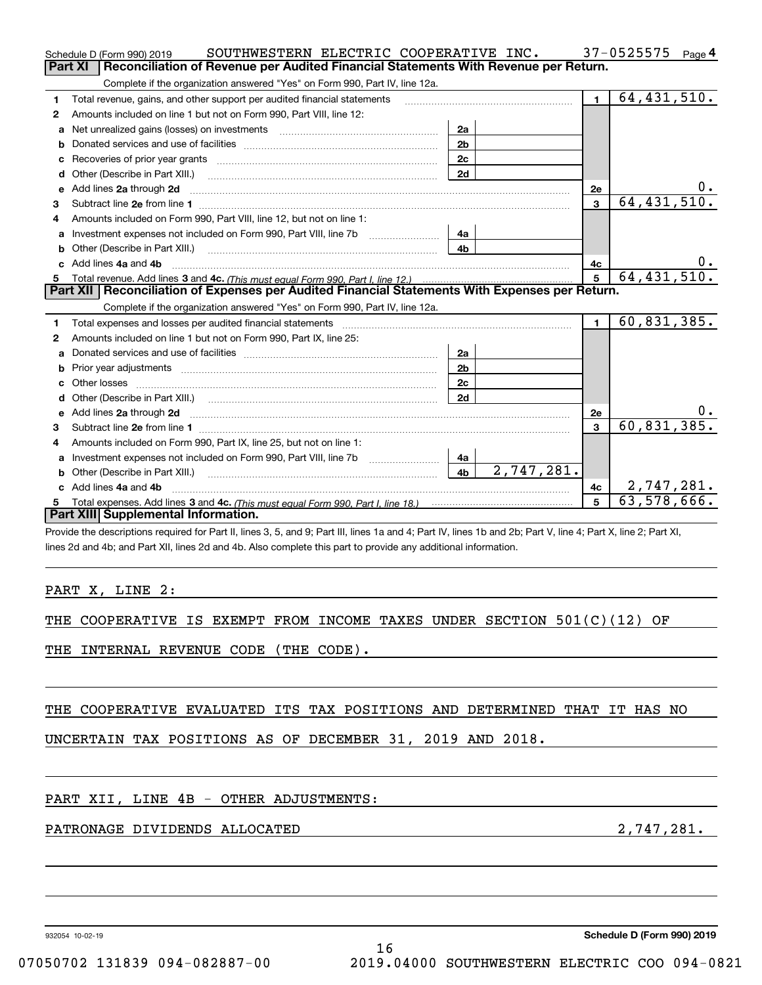|     | SOUTHWESTERN ELECTRIC COOPERATIVE INC.<br>Schedule D (Form 990) 2019                                                                                           |                              |                | $37 - 0525575$ Page 4     |
|-----|----------------------------------------------------------------------------------------------------------------------------------------------------------------|------------------------------|----------------|---------------------------|
|     | Reconciliation of Revenue per Audited Financial Statements With Revenue per Return.<br><b>Part XI</b>                                                          |                              |                |                           |
|     | Complete if the organization answered "Yes" on Form 990, Part IV, line 12a.                                                                                    |                              |                |                           |
| 1   | Total revenue, gains, and other support per audited financial statements                                                                                       |                              | $\blacksquare$ | 64, 431, 510.             |
| 2   | Amounts included on line 1 but not on Form 990, Part VIII, line 12:                                                                                            |                              |                |                           |
|     |                                                                                                                                                                | 2a                           |                |                           |
| b   |                                                                                                                                                                | 2 <sub>b</sub>               |                |                           |
| c   |                                                                                                                                                                | 2c                           |                |                           |
| d   |                                                                                                                                                                | 2d                           |                |                           |
| e   | Add lines 2a through 2d                                                                                                                                        |                              | 2e             |                           |
| 3   |                                                                                                                                                                |                              | 3              | 64, 431, 510              |
| 4   | Amounts included on Form 990, Part VIII, line 12, but not on line 1:                                                                                           |                              |                |                           |
| a   | Investment expenses not included on Form 990, Part VIII, line 7b                                                                                               | 4a                           |                |                           |
|     | <b>b</b> Other (Describe in Part XIII.)                                                                                                                        | 4b                           |                |                           |
|     | c Add lines 4a and 4b                                                                                                                                          |                              | 4c             |                           |
| 5   | Total revenue. Add lines 3 and 4c. (This must equal Form 990, Part I, line 12.)                                                                                |                              | 5              | 64, 431, 510.             |
|     | Part XII   Reconciliation of Expenses per Audited Financial Statements With Expenses per Return.                                                               |                              |                |                           |
|     | Complete if the organization answered "Yes" on Form 990, Part IV, line 12a.                                                                                    |                              |                |                           |
| 1   |                                                                                                                                                                |                              | $\blacksquare$ | $\overline{60,831,385}$ . |
| 2   | Amounts included on line 1 but not on Form 990, Part IX, line 25:                                                                                              |                              |                |                           |
| a   |                                                                                                                                                                | 2a                           |                |                           |
| b   |                                                                                                                                                                | 2 <sub>b</sub>               |                |                           |
|     |                                                                                                                                                                | 2c                           |                |                           |
| d   |                                                                                                                                                                | 2d                           |                |                           |
|     |                                                                                                                                                                |                              | 2e             |                           |
| 3   |                                                                                                                                                                |                              | 3              | 60, 831, 385              |
| 4   | Amounts included on Form 990, Part IX, line 25, but not on line 1:                                                                                             |                              |                |                           |
|     | a lnvestment expenses not included on Form 990, Part VIII, line 7b                                                                                             | 4a                           |                |                           |
|     |                                                                                                                                                                | 2,747,281.<br>4 <sub>b</sub> |                |                           |
|     | c Add lines 4a and 4b                                                                                                                                          |                              | 4с             | 2,747,281.                |
|     |                                                                                                                                                                |                              | 5              | 63,578,666.               |
|     | <b>Part XIII Supplemental Information.</b>                                                                                                                     |                              |                |                           |
|     | Provide the descriptions required for Part II, lines 3, 5, and 9; Part III, lines 1a and 4; Part IV, lines 1b and 2b; Part V, line 4; Part X, line 2; Part XI, |                              |                |                           |
|     | lines 2d and 4b; and Part XII, lines 2d and 4b. Also complete this part to provide any additional information.                                                 |                              |                |                           |
|     |                                                                                                                                                                |                              |                |                           |
|     |                                                                                                                                                                |                              |                |                           |
|     | PART X, LINE 2:                                                                                                                                                |                              |                |                           |
|     |                                                                                                                                                                |                              |                |                           |
| THE | COOPERATIVE IS EXEMPT FROM INCOME TAXES UNDER SECTION $501(C)(12)$ OF                                                                                          |                              |                |                           |
|     |                                                                                                                                                                |                              |                |                           |
| THE | INTERNAL REVENUE CODE (THE CODE).                                                                                                                              |                              |                |                           |
|     |                                                                                                                                                                |                              |                |                           |
|     |                                                                                                                                                                |                              |                |                           |

THE COOPERATIVE EVALUATED ITS TAX POSITIONS AND DETERMINED THAT IT HAS NO

UNCERTAIN TAX POSITIONS AS OF DECEMBER 31, 2019 AND 2018.

#### PART XII, LINE 4B - OTHER ADJUSTMENTS:

### PATRONAGE DIVIDENDS ALLOCATED 2,747,281.

932054 10-02-19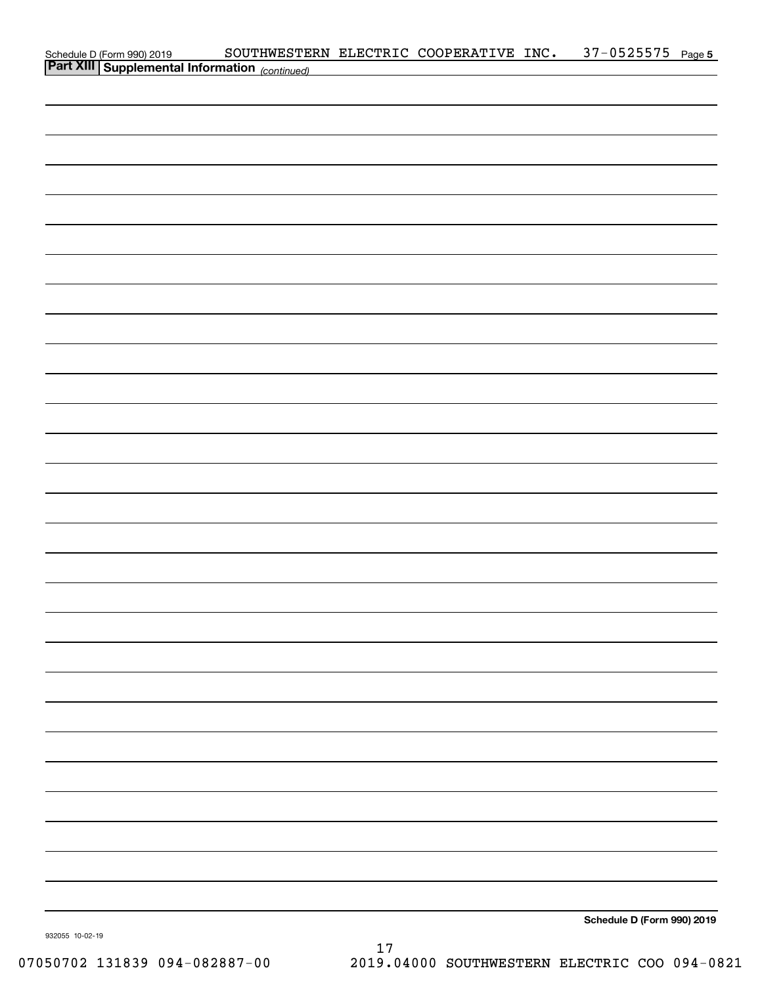| Schedule D (Form 990) 2019 SOUTHWESTEE<br><b>Part XIII   Supplemental Information</b> (continued) | SOUTHWESTERN ELECTRIC COOPERATIVE INC. 37-0525575 Page 5 |  |                            |  |
|---------------------------------------------------------------------------------------------------|----------------------------------------------------------|--|----------------------------|--|
|                                                                                                   |                                                          |  |                            |  |
|                                                                                                   |                                                          |  |                            |  |
|                                                                                                   |                                                          |  |                            |  |
|                                                                                                   |                                                          |  |                            |  |
|                                                                                                   |                                                          |  |                            |  |
|                                                                                                   |                                                          |  |                            |  |
|                                                                                                   |                                                          |  |                            |  |
|                                                                                                   |                                                          |  |                            |  |
|                                                                                                   |                                                          |  |                            |  |
|                                                                                                   |                                                          |  |                            |  |
|                                                                                                   |                                                          |  |                            |  |
|                                                                                                   |                                                          |  |                            |  |
|                                                                                                   |                                                          |  |                            |  |
|                                                                                                   |                                                          |  |                            |  |
|                                                                                                   |                                                          |  |                            |  |
|                                                                                                   |                                                          |  |                            |  |
|                                                                                                   |                                                          |  |                            |  |
|                                                                                                   |                                                          |  |                            |  |
|                                                                                                   |                                                          |  |                            |  |
|                                                                                                   |                                                          |  |                            |  |
|                                                                                                   |                                                          |  |                            |  |
|                                                                                                   |                                                          |  |                            |  |
|                                                                                                   |                                                          |  |                            |  |
|                                                                                                   |                                                          |  |                            |  |
|                                                                                                   |                                                          |  |                            |  |
|                                                                                                   |                                                          |  |                            |  |
|                                                                                                   |                                                          |  |                            |  |
|                                                                                                   |                                                          |  |                            |  |
|                                                                                                   |                                                          |  |                            |  |
|                                                                                                   |                                                          |  |                            |  |
|                                                                                                   |                                                          |  |                            |  |
|                                                                                                   |                                                          |  |                            |  |
|                                                                                                   |                                                          |  |                            |  |
|                                                                                                   |                                                          |  |                            |  |
|                                                                                                   |                                                          |  |                            |  |
|                                                                                                   |                                                          |  |                            |  |
|                                                                                                   |                                                          |  |                            |  |
|                                                                                                   |                                                          |  |                            |  |
|                                                                                                   |                                                          |  |                            |  |
|                                                                                                   |                                                          |  |                            |  |
|                                                                                                   |                                                          |  |                            |  |
|                                                                                                   |                                                          |  |                            |  |
|                                                                                                   |                                                          |  | Schedule D (Form 990) 2019 |  |
| 932055 10-02-19                                                                                   |                                                          |  |                            |  |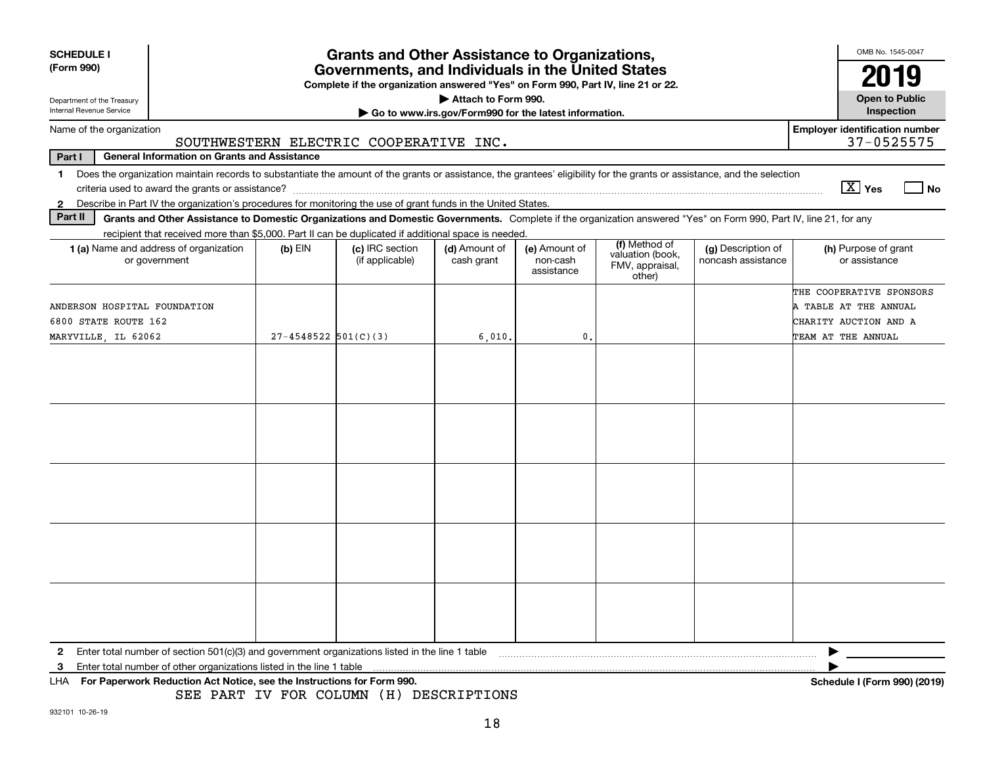| <b>SCHEDULE I</b>                                      |                                                                                                                                                                          |                          | <b>Grants and Other Assistance to Organizations,</b>                                                                                  |                                                                              |                                         |                                                                |                                          | OMB No. 1545-0047                                                          |
|--------------------------------------------------------|--------------------------------------------------------------------------------------------------------------------------------------------------------------------------|--------------------------|---------------------------------------------------------------------------------------------------------------------------------------|------------------------------------------------------------------------------|-----------------------------------------|----------------------------------------------------------------|------------------------------------------|----------------------------------------------------------------------------|
| (Form 990)                                             |                                                                                                                                                                          |                          | Governments, and Individuals in the United States<br>Complete if the organization answered "Yes" on Form 990, Part IV, line 21 or 22. |                                                                              |                                         |                                                                |                                          | 2019                                                                       |
| Department of the Treasury<br>Internal Revenue Service |                                                                                                                                                                          |                          |                                                                                                                                       | Attach to Form 990.<br>Go to www.irs.gov/Form990 for the latest information. |                                         |                                                                |                                          | <b>Open to Public</b><br>Inspection                                        |
| Name of the organization                               |                                                                                                                                                                          |                          |                                                                                                                                       |                                                                              |                                         |                                                                |                                          | <b>Employer identification number</b>                                      |
|                                                        | <b>General Information on Grants and Assistance</b>                                                                                                                      |                          | SOUTHWESTERN ELECTRIC COOPERATIVE INC.                                                                                                |                                                                              |                                         |                                                                |                                          | 37-0525575                                                                 |
| Part I<br>$\mathbf 1$                                  | Does the organization maintain records to substantiate the amount of the grants or assistance, the grantees' eligibility for the grants or assistance, and the selection |                          |                                                                                                                                       |                                                                              |                                         |                                                                |                                          |                                                                            |
|                                                        |                                                                                                                                                                          |                          |                                                                                                                                       |                                                                              |                                         |                                                                |                                          | $\boxed{\text{X}}$ Yes<br><b>No</b>                                        |
| $\mathbf{2}$                                           | Describe in Part IV the organization's procedures for monitoring the use of grant funds in the United States.                                                            |                          |                                                                                                                                       |                                                                              |                                         |                                                                |                                          |                                                                            |
| Part II                                                | Grants and Other Assistance to Domestic Organizations and Domestic Governments. Complete if the organization answered "Yes" on Form 990, Part IV, line 21, for any       |                          |                                                                                                                                       |                                                                              |                                         |                                                                |                                          |                                                                            |
|                                                        | recipient that received more than \$5,000. Part II can be duplicated if additional space is needed.                                                                      |                          |                                                                                                                                       |                                                                              |                                         |                                                                |                                          |                                                                            |
|                                                        | 1 (a) Name and address of organization<br>or government                                                                                                                  | $(b)$ EIN                | (c) IRC section<br>(if applicable)                                                                                                    | (d) Amount of<br>cash grant                                                  | (e) Amount of<br>non-cash<br>assistance | (f) Method of<br>valuation (book,<br>FMV, appraisal,<br>other) | (g) Description of<br>noncash assistance | (h) Purpose of grant<br>or assistance                                      |
| ANDERSON HOSPITAL FOUNDATION<br>6800 STATE ROUTE 162   |                                                                                                                                                                          |                          |                                                                                                                                       |                                                                              |                                         |                                                                |                                          | THE COOPERATIVE SPONSORS<br>A TABLE AT THE ANNUAL<br>CHARITY AUCTION AND A |
| MARYVILLE, IL 62062                                    |                                                                                                                                                                          | $27 - 4548522$ 501(C)(3) |                                                                                                                                       | 6,010.                                                                       | 0.                                      |                                                                |                                          | TEAM AT THE ANNUAL                                                         |
|                                                        |                                                                                                                                                                          |                          |                                                                                                                                       |                                                                              |                                         |                                                                |                                          |                                                                            |
|                                                        |                                                                                                                                                                          |                          |                                                                                                                                       |                                                                              |                                         |                                                                |                                          |                                                                            |
|                                                        |                                                                                                                                                                          |                          |                                                                                                                                       |                                                                              |                                         |                                                                |                                          |                                                                            |
|                                                        |                                                                                                                                                                          |                          |                                                                                                                                       |                                                                              |                                         |                                                                |                                          |                                                                            |
|                                                        |                                                                                                                                                                          |                          |                                                                                                                                       |                                                                              |                                         |                                                                |                                          |                                                                            |
| $\mathbf{2}$                                           | Enter total number of section 501(c)(3) and government organizations listed in the line 1 table                                                                          |                          |                                                                                                                                       |                                                                              |                                         |                                                                |                                          |                                                                            |
| З                                                      | Enter total number of other organizations listed in the line 1 table                                                                                                     |                          |                                                                                                                                       |                                                                              |                                         |                                                                |                                          |                                                                            |
|                                                        | For Paperwork Reduction Act Notice, see the Instructions for Form 990.                                                                                                   |                          | SEE PART IV FOR COLUMN (H) DESCRIPTIONS                                                                                               |                                                                              |                                         |                                                                |                                          | Schedule I (Form 990) (2019)                                               |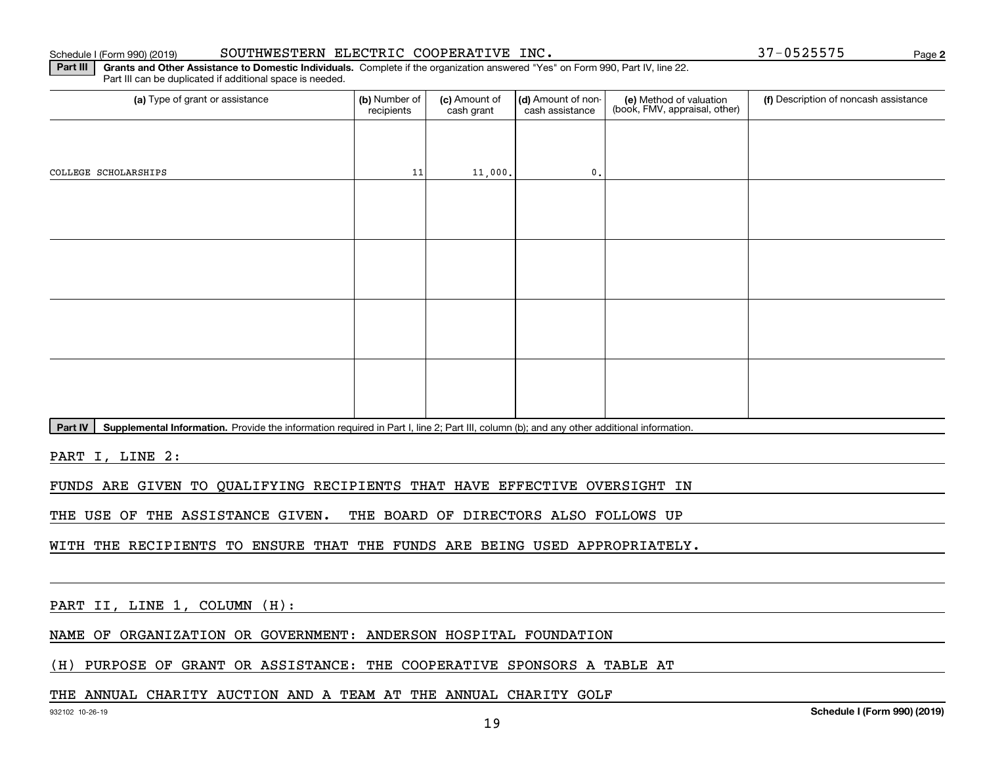#### Schedule I (Form 990) (2019) **SOUTHWESTERN** ELECTRIC COOPERATIVE INC. 37-0525575 Page

**2**

**Part III** | Grants and Other Assistance to Domestic Individuals. Complete if the organization answered "Yes" on Form 990, Part IV, line 22. Part III can be duplicated if additional space is needed.

| (a) Type of grant or assistance | (b) Number of<br>recipients | (c) Amount of<br>cash grant | (d) Amount of non-<br>cash assistance | (e) Method of valuation<br>(book, FMV, appraisal, other) | (f) Description of noncash assistance |
|---------------------------------|-----------------------------|-----------------------------|---------------------------------------|----------------------------------------------------------|---------------------------------------|
|                                 |                             |                             |                                       |                                                          |                                       |
| COLLEGE SCHOLARSHIPS            | 11                          | 11,000.                     | $\mathfrak o$ .                       |                                                          |                                       |
|                                 |                             |                             |                                       |                                                          |                                       |
|                                 |                             |                             |                                       |                                                          |                                       |
|                                 |                             |                             |                                       |                                                          |                                       |
|                                 |                             |                             |                                       |                                                          |                                       |
|                                 |                             |                             |                                       |                                                          |                                       |
|                                 |                             |                             |                                       |                                                          |                                       |
|                                 |                             |                             |                                       |                                                          |                                       |
|                                 |                             |                             |                                       |                                                          |                                       |
|                                 |                             |                             |                                       |                                                          |                                       |

Part IV | Supplemental Information. Provide the information required in Part I, line 2; Part III, column (b); and any other additional information.

PART I, LINE 2:

FUNDS ARE GIVEN TO QUALIFYING RECIPIENTS THAT HAVE EFFECTIVE OVERSIGHT IN

THE USE OF THE ASSISTANCE GIVEN. THE BOARD OF DIRECTORS ALSO FOLLOWS UP

WITH THE RECIPIENTS TO ENSURE THAT THE FUNDS ARE BEING USED APPROPRIATELY.

PART II, LINE 1, COLUMN (H):

NAME OF ORGANIZATION OR GOVERNMENT: ANDERSON HOSPITAL FOUNDATION

(H) PURPOSE OF GRANT OR ASSISTANCE: THE COOPERATIVE SPONSORS A TABLE AT

#### THE ANNUAL CHARITY AUCTION AND A TEAM AT THE ANNUAL CHARITY GOLF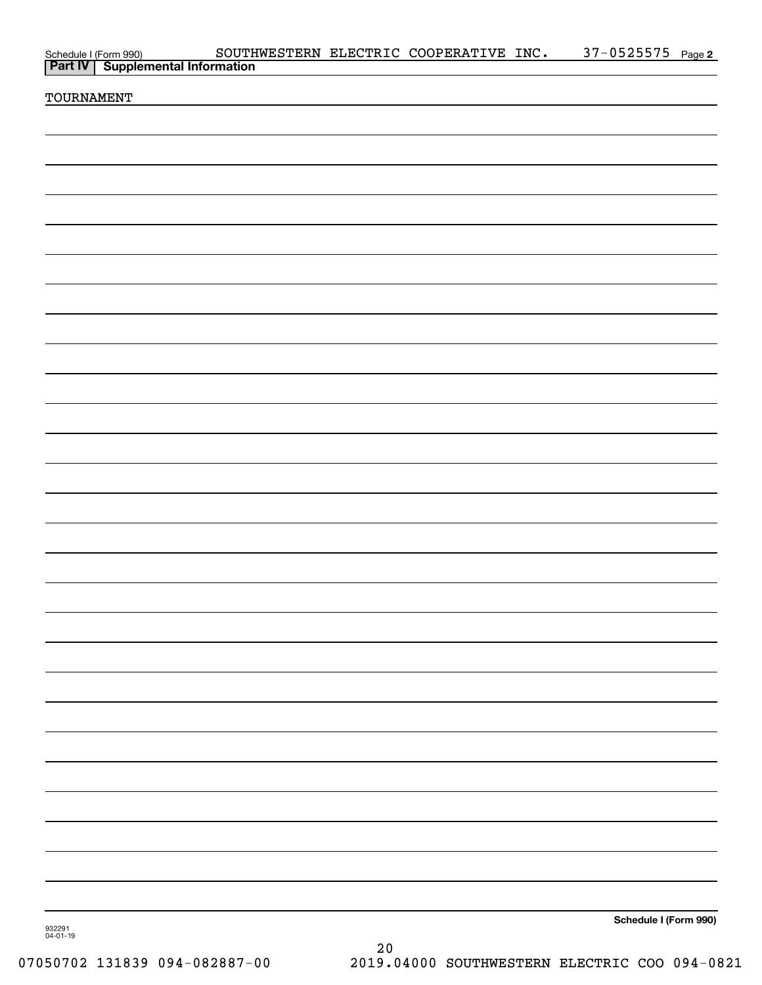|                    | Schedule I (Form 990) SOUTHWESTERN ELECTRIC COOPERATIVE INC.<br>Part IV   Supplemental Information |  | 37-0525575 Page 2     |  |
|--------------------|----------------------------------------------------------------------------------------------------|--|-----------------------|--|
| TOURNAMENT         |                                                                                                    |  |                       |  |
|                    |                                                                                                    |  |                       |  |
|                    |                                                                                                    |  |                       |  |
|                    |                                                                                                    |  |                       |  |
|                    |                                                                                                    |  |                       |  |
|                    |                                                                                                    |  |                       |  |
|                    |                                                                                                    |  |                       |  |
|                    |                                                                                                    |  |                       |  |
|                    |                                                                                                    |  |                       |  |
|                    |                                                                                                    |  |                       |  |
|                    |                                                                                                    |  |                       |  |
|                    |                                                                                                    |  |                       |  |
|                    |                                                                                                    |  |                       |  |
|                    |                                                                                                    |  |                       |  |
|                    |                                                                                                    |  |                       |  |
|                    |                                                                                                    |  |                       |  |
|                    |                                                                                                    |  |                       |  |
|                    |                                                                                                    |  |                       |  |
|                    |                                                                                                    |  |                       |  |
|                    |                                                                                                    |  |                       |  |
|                    |                                                                                                    |  |                       |  |
|                    |                                                                                                    |  |                       |  |
|                    |                                                                                                    |  |                       |  |
|                    |                                                                                                    |  |                       |  |
|                    |                                                                                                    |  |                       |  |
|                    |                                                                                                    |  |                       |  |
| 932291<br>04-01-19 |                                                                                                    |  | Schedule I (Form 990) |  |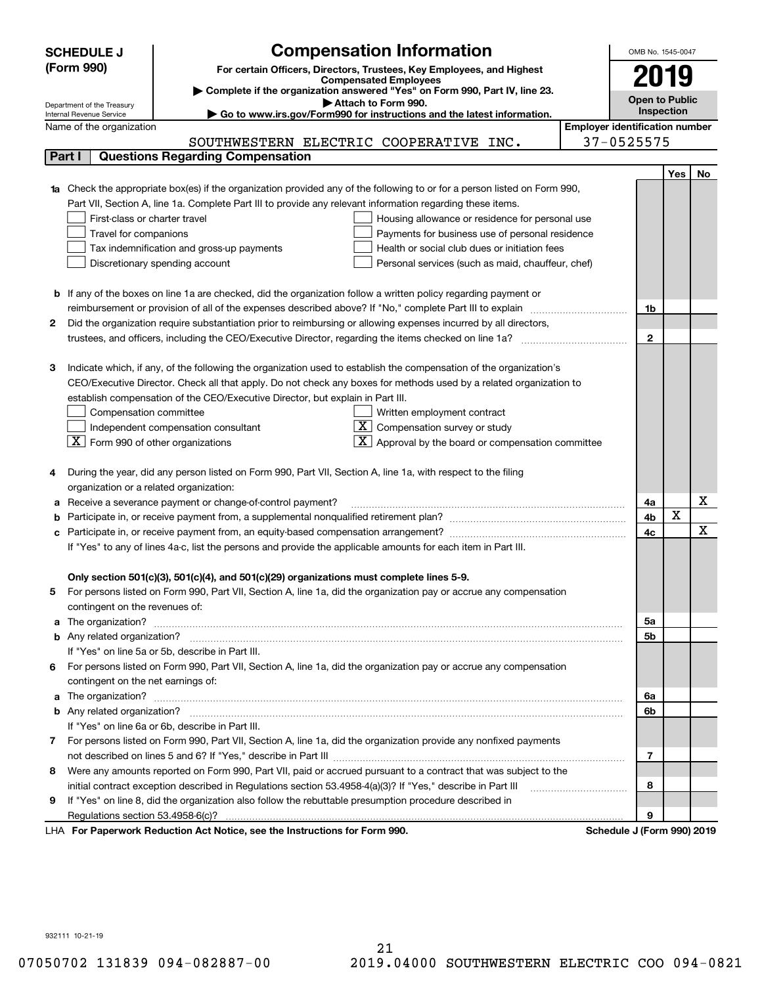|        | <b>SCHEDULE J</b>                                                                                                                                       | <b>Compensation Information</b>                                                                                             |                                       | OMB No. 1545-0047          |            |     |  |  |
|--------|---------------------------------------------------------------------------------------------------------------------------------------------------------|-----------------------------------------------------------------------------------------------------------------------------|---------------------------------------|----------------------------|------------|-----|--|--|
|        | (Form 990)                                                                                                                                              |                                                                                                                             |                                       |                            |            |     |  |  |
|        |                                                                                                                                                         | For certain Officers, Directors, Trustees, Key Employees, and Highest<br><b>Compensated Employees</b>                       |                                       |                            |            |     |  |  |
|        |                                                                                                                                                         | Complete if the organization answered "Yes" on Form 990, Part IV, line 23.                                                  |                                       | Open to Public             |            |     |  |  |
|        | Attach to Form 990.<br>Department of the Treasury<br>Go to www.irs.gov/Form990 for instructions and the latest information.<br>Internal Revenue Service |                                                                                                                             |                                       |                            |            |     |  |  |
|        | Name of the organization                                                                                                                                |                                                                                                                             | <b>Employer identification number</b> |                            | Inspection |     |  |  |
|        |                                                                                                                                                         | SOUTHWESTERN ELECTRIC COOPERATIVE INC.                                                                                      |                                       | 37-0525575                 |            |     |  |  |
| Part I |                                                                                                                                                         | <b>Questions Regarding Compensation</b>                                                                                     |                                       |                            |            |     |  |  |
|        |                                                                                                                                                         |                                                                                                                             |                                       |                            | Yes        | No. |  |  |
|        |                                                                                                                                                         | 1a Check the appropriate box(es) if the organization provided any of the following to or for a person listed on Form 990,   |                                       |                            |            |     |  |  |
|        |                                                                                                                                                         | Part VII, Section A, line 1a. Complete Part III to provide any relevant information regarding these items.                  |                                       |                            |            |     |  |  |
|        | First-class or charter travel                                                                                                                           | Housing allowance or residence for personal use                                                                             |                                       |                            |            |     |  |  |
|        | Travel for companions                                                                                                                                   | Payments for business use of personal residence                                                                             |                                       |                            |            |     |  |  |
|        |                                                                                                                                                         | Health or social club dues or initiation fees<br>Tax indemnification and gross-up payments                                  |                                       |                            |            |     |  |  |
|        |                                                                                                                                                         | Discretionary spending account<br>Personal services (such as maid, chauffeur, chef)                                         |                                       |                            |            |     |  |  |
|        |                                                                                                                                                         |                                                                                                                             |                                       |                            |            |     |  |  |
|        |                                                                                                                                                         | <b>b</b> If any of the boxes on line 1a are checked, did the organization follow a written policy regarding payment or      |                                       |                            |            |     |  |  |
|        |                                                                                                                                                         |                                                                                                                             |                                       | 1b                         |            |     |  |  |
| 2      |                                                                                                                                                         | Did the organization require substantiation prior to reimbursing or allowing expenses incurred by all directors,            |                                       |                            |            |     |  |  |
|        |                                                                                                                                                         |                                                                                                                             |                                       | $\mathbf{2}$               |            |     |  |  |
|        |                                                                                                                                                         |                                                                                                                             |                                       |                            |            |     |  |  |
| З      |                                                                                                                                                         | Indicate which, if any, of the following the organization used to establish the compensation of the organization's          |                                       |                            |            |     |  |  |
|        |                                                                                                                                                         | CEO/Executive Director. Check all that apply. Do not check any boxes for methods used by a related organization to          |                                       |                            |            |     |  |  |
|        |                                                                                                                                                         | establish compensation of the CEO/Executive Director, but explain in Part III.                                              |                                       |                            |            |     |  |  |
|        | Compensation committee                                                                                                                                  | Written employment contract                                                                                                 |                                       |                            |            |     |  |  |
|        |                                                                                                                                                         | $X \mid$<br>Compensation survey or study<br>Independent compensation consultant                                             |                                       |                            |            |     |  |  |
|        |                                                                                                                                                         | $ \mathbf{X} $ Form 990 of other organizations<br>Approval by the board or compensation committee                           |                                       |                            |            |     |  |  |
|        |                                                                                                                                                         |                                                                                                                             |                                       |                            |            |     |  |  |
|        |                                                                                                                                                         | During the year, did any person listed on Form 990, Part VII, Section A, line 1a, with respect to the filing                |                                       |                            |            |     |  |  |
|        |                                                                                                                                                         | organization or a related organization:                                                                                     |                                       |                            |            |     |  |  |
|        |                                                                                                                                                         | Receive a severance payment or change-of-control payment?                                                                   |                                       | 4a                         |            | х   |  |  |
|        |                                                                                                                                                         |                                                                                                                             |                                       | 4b                         | X          |     |  |  |
|        |                                                                                                                                                         |                                                                                                                             |                                       | 4 <sub>c</sub>             |            | X   |  |  |
|        |                                                                                                                                                         | If "Yes" to any of lines 4a-c, list the persons and provide the applicable amounts for each item in Part III.               |                                       |                            |            |     |  |  |
|        |                                                                                                                                                         |                                                                                                                             |                                       |                            |            |     |  |  |
|        |                                                                                                                                                         | Only section 501(c)(3), 501(c)(4), and 501(c)(29) organizations must complete lines 5-9.                                    |                                       |                            |            |     |  |  |
| 5      |                                                                                                                                                         | For persons listed on Form 990, Part VII, Section A, line 1a, did the organization pay or accrue any compensation           |                                       |                            |            |     |  |  |
|        | contingent on the revenues of:                                                                                                                          |                                                                                                                             |                                       |                            |            |     |  |  |
|        |                                                                                                                                                         | a The organization? <b>Manual Community Community</b> Community Community Community Community Community Community Community |                                       | 5a                         |            |     |  |  |
|        |                                                                                                                                                         |                                                                                                                             |                                       | 5b                         |            |     |  |  |
|        |                                                                                                                                                         | If "Yes" on line 5a or 5b, describe in Part III.                                                                            |                                       |                            |            |     |  |  |
|        |                                                                                                                                                         | 6 For persons listed on Form 990, Part VII, Section A, line 1a, did the organization pay or accrue any compensation         |                                       |                            |            |     |  |  |
|        | contingent on the net earnings of:                                                                                                                      |                                                                                                                             |                                       |                            |            |     |  |  |
|        |                                                                                                                                                         |                                                                                                                             |                                       | 6a                         |            |     |  |  |
|        |                                                                                                                                                         |                                                                                                                             |                                       | 6b                         |            |     |  |  |
|        |                                                                                                                                                         | If "Yes" on line 6a or 6b, describe in Part III.                                                                            |                                       |                            |            |     |  |  |
|        |                                                                                                                                                         | 7 For persons listed on Form 990, Part VII, Section A, line 1a, did the organization provide any nonfixed payments          |                                       |                            |            |     |  |  |
|        |                                                                                                                                                         |                                                                                                                             |                                       | 7                          |            |     |  |  |
| 8      |                                                                                                                                                         | Were any amounts reported on Form 990, Part VII, paid or accrued pursuant to a contract that was subject to the             |                                       |                            |            |     |  |  |
|        |                                                                                                                                                         | initial contract exception described in Regulations section 53.4958-4(a)(3)? If "Yes," describe in Part III                 |                                       | 8                          |            |     |  |  |
| 9      |                                                                                                                                                         | If "Yes" on line 8, did the organization also follow the rebuttable presumption procedure described in                      |                                       |                            |            |     |  |  |
|        |                                                                                                                                                         |                                                                                                                             |                                       | 9                          |            |     |  |  |
|        |                                                                                                                                                         | LHA For Paperwork Reduction Act Notice, see the Instructions for Form 990.                                                  |                                       | Schedule J (Form 990) 2019 |            |     |  |  |

932111 10-21-19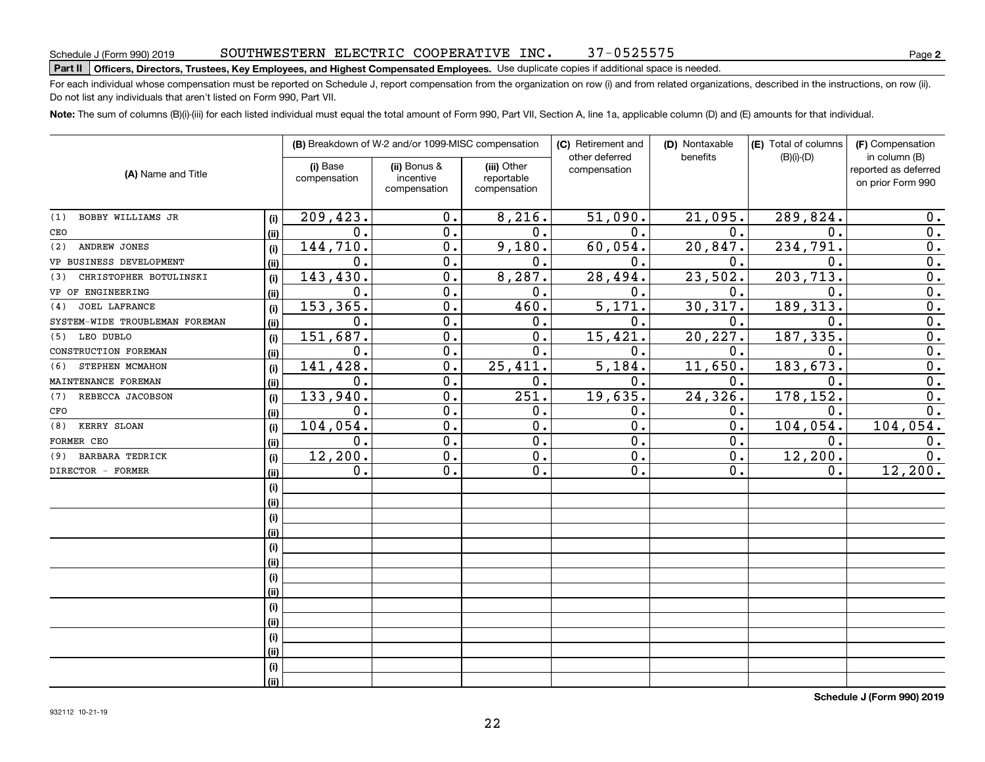# **Part II Officers, Directors, Trustees, Key Employees, and Highest Compensated Employees.**  Schedule J (Form 990) 2019 Page Use duplicate copies if additional space is needed.

For each individual whose compensation must be reported on Schedule J, report compensation from the organization on row (i) and from related organizations, described in the instructions, on row (ii). Do not list any individuals that aren't listed on Form 990, Part VII.

**Note:**  The sum of columns (B)(i)-(iii) for each listed individual must equal the total amount of Form 990, Part VII, Section A, line 1a, applicable column (D) and (E) amounts for that individual.

|                                |      | (B) Breakdown of W-2 and/or 1099-MISC compensation |                                           |                                           | (C) Retirement and             | (D) Nontaxable   | (E) Total of columns | (F) Compensation                                           |
|--------------------------------|------|----------------------------------------------------|-------------------------------------------|-------------------------------------------|--------------------------------|------------------|----------------------|------------------------------------------------------------|
| (A) Name and Title             |      | (i) Base<br>compensation                           | (ii) Bonus &<br>incentive<br>compensation | (iii) Other<br>reportable<br>compensation | other deferred<br>compensation | benefits         | $(B)(i)-(D)$         | in column (B)<br>reported as deferred<br>on prior Form 990 |
| BOBBY WILLIAMS JR<br>(1)       | (i)  | 209,423.                                           | 0.                                        | 8,216.                                    | 51,090.                        | 21,095.          | 289,824.             | 0.                                                         |
| CEO                            | (ii) | 0.                                                 | 0.                                        | $\overline{0}$ .                          | 0.                             | 0.               | 0.                   | $\overline{0}$ .                                           |
| ANDREW JONES<br>(2)            | (i)  | 144,710.                                           | $\overline{0}$ .                          | 9,180.                                    | 60,054.                        | 20,847.          | 234,791.             | $\overline{0}$ .                                           |
| VP BUSINESS DEVELOPMENT        | (ii) | 0.                                                 | 0.                                        | 0.                                        | $\mathbf 0$ .                  | $\mathbf 0$ .    | $\mathbf 0$ .        | $\overline{0}$ .                                           |
| CHRISTOPHER BOTULINSKI<br>(3)  | (i)  | 143, 430.                                          | 0.                                        | 8,287.                                    | 28,494.                        | 23,502.          | 203,713.             | $\overline{0}$ .                                           |
| VP OF ENGINEERING              | (ii) | 0.                                                 | 0.                                        | 0.                                        | $\mathbf 0$ .                  | О.               | 0.                   | $\overline{0}$ .                                           |
| <b>JOEL LAFRANCE</b><br>(4)    | (i)  | 153, 365.                                          | 0.                                        | 460.                                      | 5,171.                         | 30, 317.         | 189, 313.            | $\overline{0}$ .                                           |
| SYSTEM-WIDE TROUBLEMAN FOREMAN | (ii) | 0.                                                 | 0.                                        | 0.                                        | $\mathbf{0}$ .                 | О.               | $\mathbf 0$ .        | 0.                                                         |
| (5) LEO DUBLO                  | (i)  | 151,687.                                           | $\mathbf 0$ .                             | 0.                                        | 15,421.                        | 20,227.          | 187, 335.            | $\overline{0}$ .                                           |
| CONSTRUCTION FOREMAN           | (ii) | 0.                                                 | $\mathbf 0$ .                             | 0.                                        | 0.                             | О.               | $\mathbf 0$ .        | $\overline{0}$ .                                           |
| STEPHEN MCMAHON<br>(6)         | (i)  | 141,428.                                           | $\mathbf 0$ .                             | 25,411.                                   | 5,184.                         | 11,650.          | 183, 673.            | $\overline{0}$ .                                           |
| MAINTENANCE FOREMAN            | (ii) | 0.                                                 | $\mathbf 0$ .                             | 0.                                        | 0.                             | $\mathbf 0$ .    | 0.                   | $\overline{0}$ .                                           |
| REBECCA JACOBSON<br>(7)        | (i)  | 133,940.                                           | $\mathbf 0$ .                             | 251.                                      | 19,635.                        | 24,326.          | 178,152.             | $\mathbf 0$ .                                              |
| CFO                            | (ii) | 0.                                                 | $\mathbf 0$ .                             | 0.                                        | 0.                             | 0.               | $\mathbf 0$ .        | 0.                                                         |
| KERRY SLOAN<br>(8)             | (i)  | 104,054.                                           | $\overline{0}$ .                          | $\overline{0}$ .                          | $\overline{0}$ .               | $\overline{0}$ . | 104,054.             | 104,054.                                                   |
| FORMER CEO                     | (ii) | 0.                                                 | $\overline{0}$ .                          | $\overline{0}$ .                          | 0.                             | $\overline{0}$ . | 0.                   | 0.                                                         |
| <b>BARBARA TEDRICK</b><br>(9)  | (i)  | 12,200.                                            | $\mathbf 0$ .                             | $\overline{0}$ .                          | 0.                             | 0.               | 12, 200.             | $\overline{0}$ .                                           |
| DIRECTOR - FORMER              | (ii) | $\mathbf 0$ .                                      | $\mathbf 0$ .                             | 0.                                        | 0.                             | 0.               | 0.                   | 12,200.                                                    |
|                                | (i)  |                                                    |                                           |                                           |                                |                  |                      |                                                            |
|                                | (ii) |                                                    |                                           |                                           |                                |                  |                      |                                                            |
|                                | (i)  |                                                    |                                           |                                           |                                |                  |                      |                                                            |
|                                | (ii) |                                                    |                                           |                                           |                                |                  |                      |                                                            |
|                                | (i)  |                                                    |                                           |                                           |                                |                  |                      |                                                            |
|                                | (ii) |                                                    |                                           |                                           |                                |                  |                      |                                                            |
|                                | (i)  |                                                    |                                           |                                           |                                |                  |                      |                                                            |
|                                | (ii) |                                                    |                                           |                                           |                                |                  |                      |                                                            |
|                                | (i)  |                                                    |                                           |                                           |                                |                  |                      |                                                            |
|                                | (ii) |                                                    |                                           |                                           |                                |                  |                      |                                                            |
|                                | (i)  |                                                    |                                           |                                           |                                |                  |                      |                                                            |
|                                | (ii) |                                                    |                                           |                                           |                                |                  |                      |                                                            |
|                                | (i)  |                                                    |                                           |                                           |                                |                  |                      |                                                            |
|                                | (ii) |                                                    |                                           |                                           |                                |                  |                      |                                                            |

**Schedule J (Form 990) 2019**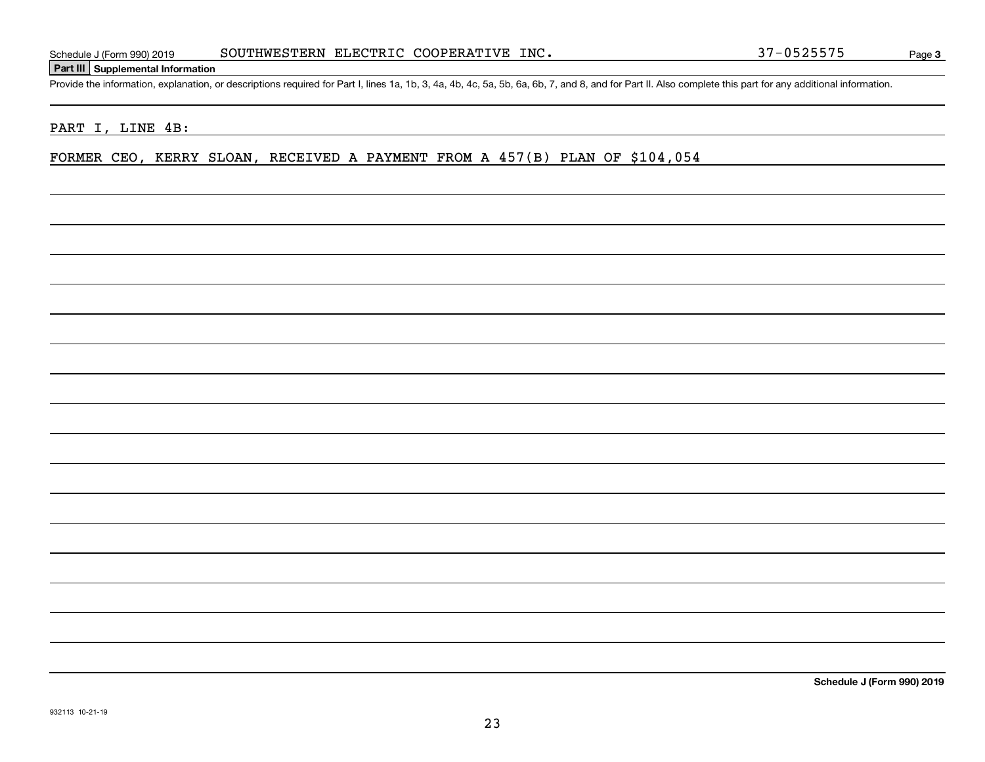**Part III Supplemental Information**

Schedule J (Form 990) 2019 SOUTHWESTERN ELECTRIC COOPERATIVE INC. 37-0525575<br>Part III Supplemental Information<br>Provide the information, explanation, or descriptions required for Part I, lines 1a, 1b, 3, 4a, 4b, 4c, 5a, 5b,

PART I, LINE 4B:

FORMER CEO, KERRY SLOAN, RECEIVED A PAYMENT FROM A 457(B) PLAN OF \$104,054

**Schedule J (Form 990) 2019**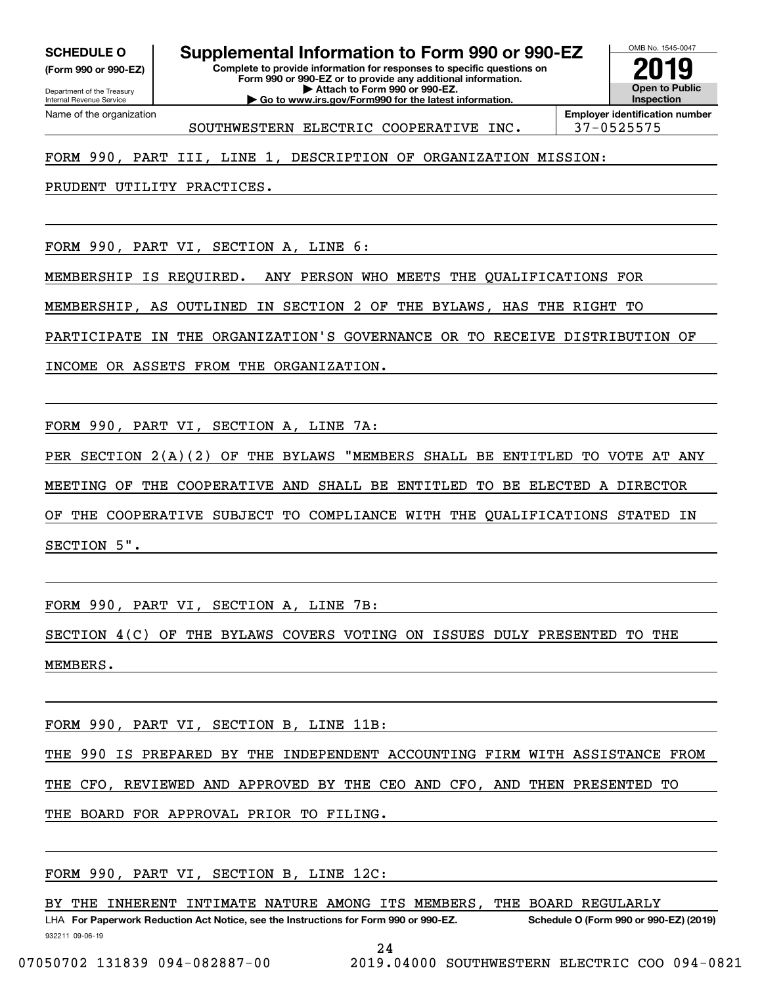Internal Revenue Service

Department of the Treasury **(Form 990 or 990-EZ)**

Name of the organization

**Complete to provide information for responses to specific questions on Form 990 or 990-EZ or to provide any additional information. SCHEDULE O Supplemental Information to Form 990 or 990-EZ**

**| Attach to Form 990 or 990-EZ. | Go to www.irs.gov/Form990 for the latest information.** OMB No. 1545-0047 **Open to Public Inspection2019**

**Employer identification number** SOUTHWESTERN ELECTRIC COOPERATIVE INC. 37-0525575

FORM 990, PART III, LINE 1, DESCRIPTION OF ORGANIZATION MISSION:

PRUDENT UTILITY PRACTICES.

FORM 990, PART VI, SECTION A, LINE 6:

MEMBERSHIP IS REQUIRED. ANY PERSON WHO MEETS THE QUALIFICATIONS FOR

MEMBERSHIP, AS OUTLINED IN SECTION 2 OF THE BYLAWS, HAS THE RIGHT TO

PARTICIPATE IN THE ORGANIZATION'S GOVERNANCE OR TO RECEIVE DISTRIBUTION OF

INCOME OR ASSETS FROM THE ORGANIZATION.

FORM 990, PART VI, SECTION A, LINE 7A:

PER SECTION 2(A)(2) OF THE BYLAWS "MEMBERS SHALL BE ENTITLED TO VOTE AT ANY

MEETING OF THE COOPERATIVE AND SHALL BE ENTITLED TO BE ELECTED A DIRECTOR

OF THE COOPERATIVE SUBJECT TO COMPLIANCE WITH THE QUALIFICATIONS STATED IN SECTION 5".

FORM 990, PART VI, SECTION A, LINE 7B:

SECTION 4(C) OF THE BYLAWS COVERS VOTING ON ISSUES DULY PRESENTED TO THE MEMBERS.

FORM 990, PART VI, SECTION B, LINE 11B:

THE 990 IS PREPARED BY THE INDEPENDENT ACCOUNTING FIRM WITH ASSISTANCE FROM

THE CFO, REVIEWED AND APPROVED BY THE CEO AND CFO, AND THEN PRESENTED TO

THE BOARD FOR APPROVAL PRIOR TO FILING.

FORM 990, PART VI, SECTION B, LINE 12C:

932211 09-06-19 LHA For Paperwork Reduction Act Notice, see the Instructions for Form 990 or 990-EZ. Schedule O (Form 990 or 990-EZ) (2019) BY THE INHERENT INTIMATE NATURE AMONG ITS MEMBERS, THE BOARD REGULARLY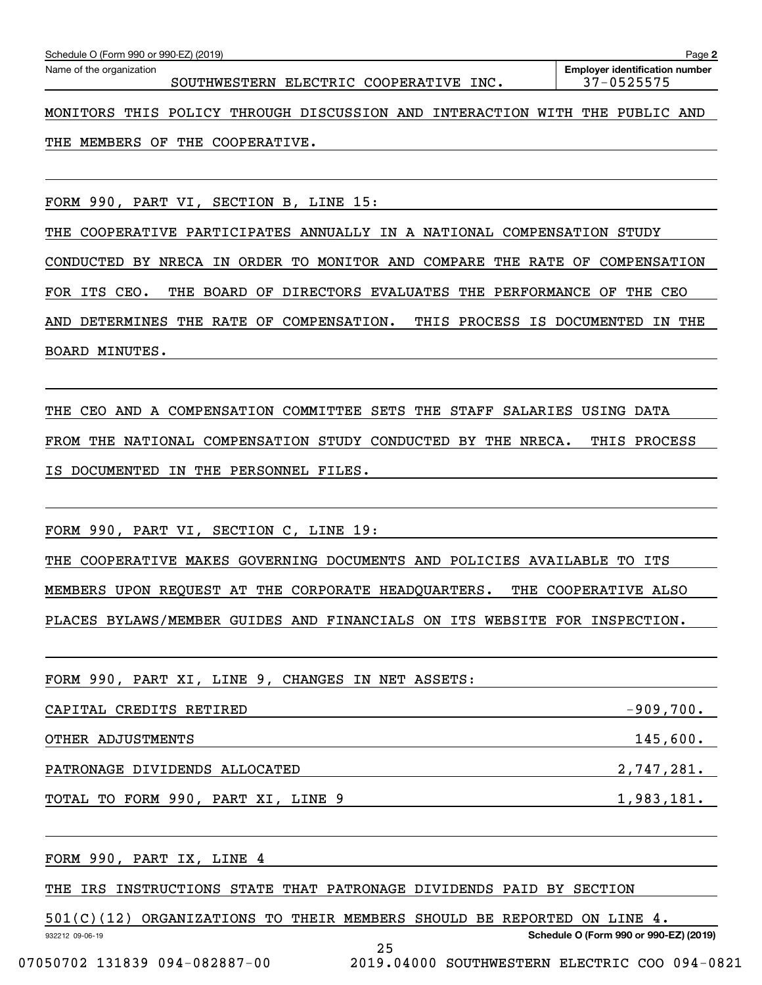| Schedule O (Form 990 or 990-EZ) (2019)                                      | Page 2                                              |
|-----------------------------------------------------------------------------|-----------------------------------------------------|
| Name of the organization<br>SOUTHWESTERN ELECTRIC COOPERATIVE INC.          | <b>Employer identification number</b><br>37-0525575 |
| MONITORS THIS POLICY THROUGH DISCUSSION AND INTERACTION WITH THE PUBLIC AND |                                                     |
| THE MEMBERS OF THE COOPERATIVE.                                             |                                                     |
|                                                                             |                                                     |
| FORM 990, PART VI, SECTION B, LINE 15:                                      |                                                     |
| THE COOPERATIVE PARTICIPATES ANNUALLY IN A NATIONAL COMPENSATION STUDY      |                                                     |
| CONDUCTED BY NRECA IN ORDER TO MONITOR AND COMPARE THE RATE OF COMPENSATION |                                                     |
| FOR ITS CEO.<br>THE BOARD OF DIRECTORS EVALUATES THE PERFORMANCE OF THE CEO |                                                     |
| DETERMINES THE RATE OF COMPENSATION.<br>AND                                 | THIS PROCESS IS DOCUMENTED IN THE                   |
| BOARD MINUTES.                                                              |                                                     |
|                                                                             |                                                     |
| THE CEO AND A COMPENSATION COMMITTEE SETS THE STAFF SALARIES USING DATA     |                                                     |
| FROM THE NATIONAL COMPENSATION STUDY CONDUCTED BY THE NRECA.                | THIS PROCESS                                        |
| IS DOCUMENTED IN THE PERSONNEL FILES.                                       |                                                     |
|                                                                             |                                                     |
| FORM 990, PART VI, SECTION C, LINE 19:                                      |                                                     |
| THE COOPERATIVE MAKES GOVERNING DOCUMENTS AND POLICIES AVAILABLE TO ITS     |                                                     |
| MEMBERS UPON REQUEST AT THE CORPORATE HEADQUARTERS.                         | THE COOPERATIVE ALSO                                |
| PLACES BYLAWS/MEMBER GUIDES AND FINANCIALS ON ITS WEBSITE FOR INSPECTION.   |                                                     |
| <b>TORM QQN</b><br>4 הואד.ז דצ חסגם<br>CHANCES IN NET ASSETS.               |                                                     |

| FORM 990, PART XI, LINE 9, CHANGES IN NET ASSETS: |             |
|---------------------------------------------------|-------------|
| CAPITAL CREDITS RETIRED                           | $-909,700.$ |
| OTHER ADJUSTMENTS                                 | 145,600.    |
| PATRONAGE DIVIDENDS ALLOCATED                     | 2,747,281.  |
| TOTAL TO FORM 990, PART XI, LINE 9                | 1,983,181.  |

932212 09-06-19 **Schedule O (Form 990 or 990-EZ) (2019)** FORM 990, PART IX, LINE 4 THE IRS INSTRUCTIONS STATE THAT PATRONAGE DIVIDENDS PAID BY SECTION 501(C)(12) ORGANIZATIONS TO THEIR MEMBERS SHOULD BE REPORTED ON LINE 4.

25